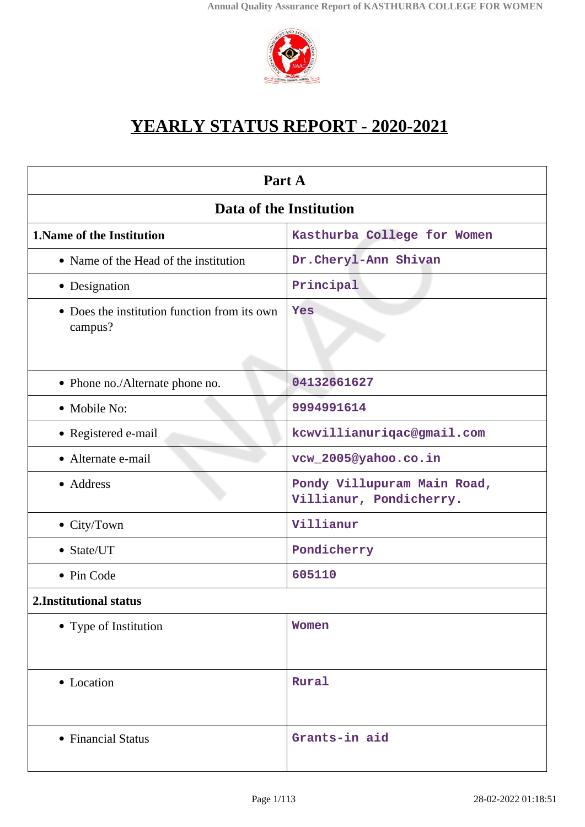

# **YEARLY STATUS REPORT - 2020-2021**

| Part A                                                  |                                                        |  |
|---------------------------------------------------------|--------------------------------------------------------|--|
| Data of the Institution                                 |                                                        |  |
| 1. Name of the Institution                              | Kasthurba College for Women                            |  |
| • Name of the Head of the institution                   | Dr.Cheryl-Ann Shivan                                   |  |
| • Designation                                           | Principal                                              |  |
| • Does the institution function from its own<br>campus? | Yes                                                    |  |
| • Phone no./Alternate phone no.                         | 04132661627                                            |  |
| • Mobile No:                                            | 9994991614                                             |  |
| • Registered e-mail                                     | kcwvillianuriqac@gmail.com                             |  |
| • Alternate e-mail                                      | vcw_2005@yahoo.co.in                                   |  |
| • Address                                               | Pondy Villupuram Main Road,<br>Villianur, Pondicherry. |  |
| • City/Town                                             | Villianur                                              |  |
| • State/UT                                              | Pondicherry                                            |  |
| • Pin Code                                              | 605110                                                 |  |
| 2. Institutional status                                 |                                                        |  |
| • Type of Institution                                   | Women                                                  |  |
| • Location                                              | Rural                                                  |  |
| • Financial Status                                      | Grants-in aid                                          |  |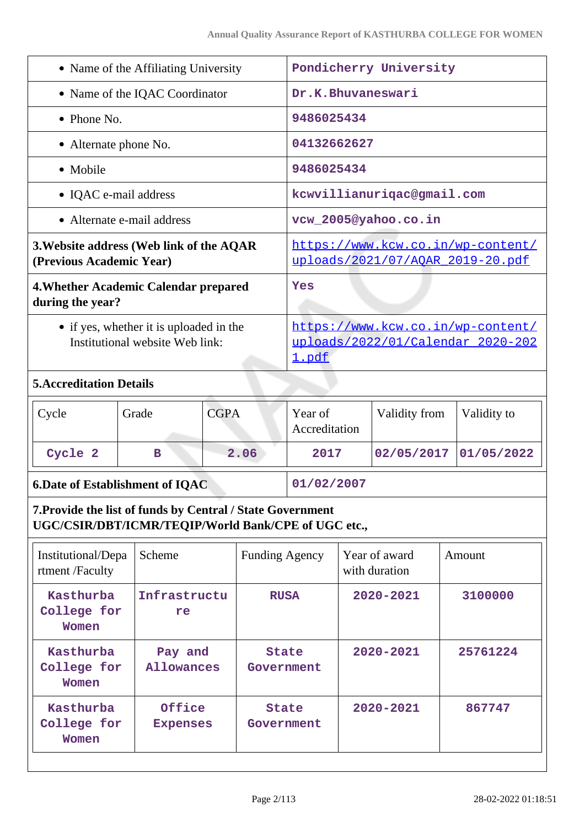| • Name of the Affiliating University                                       | Pondicherry University                                                                 |
|----------------------------------------------------------------------------|----------------------------------------------------------------------------------------|
| • Name of the IQAC Coordinator                                             | Dr.K.Bhuvaneswari                                                                      |
| $\bullet$ Phone No.                                                        | 9486025434                                                                             |
| • Alternate phone No.                                                      | 04132662627                                                                            |
| • Mobile                                                                   | 9486025434                                                                             |
| • IQAC e-mail address                                                      | kcwvillianuriqac@gmail.com                                                             |
| • Alternate e-mail address                                                 | vcw_2005@yahoo.co.in                                                                   |
| 3. Website address (Web link of the AQAR<br>(Previous Academic Year)       | https://www.kcw.co.in/wp-content/<br>uploads/2021/07/AOAR 2019-20.pdf                  |
| 4. Whether Academic Calendar prepared<br>during the year?                  | Yes                                                                                    |
| • if yes, whether it is uploaded in the<br>Institutional website Web link: | https://www.kcw.co.in/wp-content/<br>uploads/2022/01/Calendar 2020-202<br><u>1.pdf</u> |

# **5.Accreditation Details**

| Cycle   | Grade | <b>CGPA</b> | Year of<br>Accreditation | Validity from             | Validity to |
|---------|-------|-------------|--------------------------|---------------------------|-------------|
| Cycle 2 | в     | 2.06        | 2017                     | $02/05/2017$ $01/05/2022$ |             |

# **6.Date of Establishment of IQAC** 01/02/2007

**7.Provide the list of funds by Central / State Government UGC/CSIR/DBT/ICMR/TEQIP/World Bank/CPE of UGC etc.,**

| Institutional/Depa<br>rtment/Faculty | Scheme                    | <b>Funding Agency</b>      | Year of award<br>with duration | Amount   |
|--------------------------------------|---------------------------|----------------------------|--------------------------------|----------|
| Kasthurba<br>College for<br>Women    | Infrastructu<br>re        | <b>RUSA</b>                | $2020 - 2021$                  | 3100000  |
| Kasthurba<br>College for<br>Women    | Pay and<br>Allowances     | <b>State</b><br>Government | $2020 - 2021$                  | 25761224 |
| Kasthurba<br>College for<br>Women    | Office<br><b>Expenses</b> | <b>State</b><br>Government | $2020 - 2021$                  | 867747   |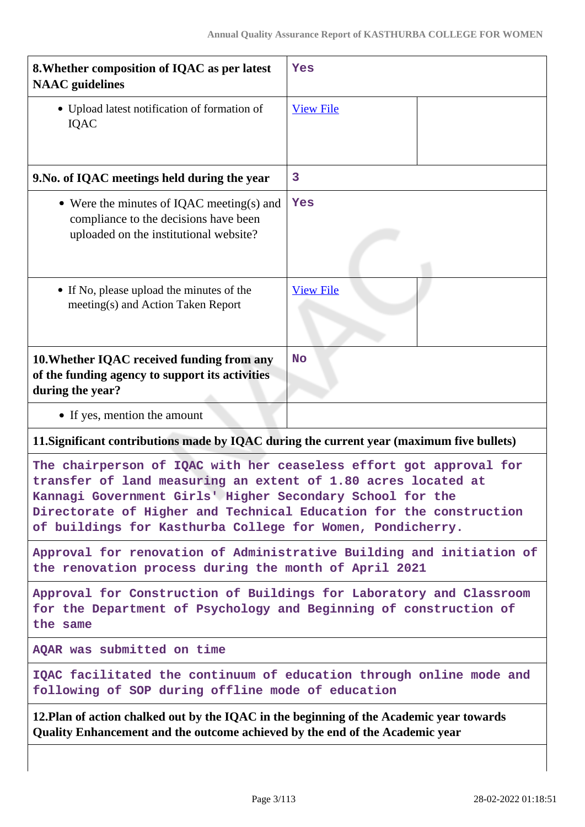| 8. Whether composition of IQAC as per latest<br><b>NAAC</b> guidelines                                                                                                                                                                                                                                                               | Yes              |  |
|--------------------------------------------------------------------------------------------------------------------------------------------------------------------------------------------------------------------------------------------------------------------------------------------------------------------------------------|------------------|--|
| • Upload latest notification of formation of<br><b>IQAC</b>                                                                                                                                                                                                                                                                          | <b>View File</b> |  |
| 9. No. of IQAC meetings held during the year                                                                                                                                                                                                                                                                                         | 3                |  |
| • Were the minutes of IQAC meeting(s) and<br>compliance to the decisions have been<br>uploaded on the institutional website?                                                                                                                                                                                                         | Yes              |  |
| • If No, please upload the minutes of the<br>meeting(s) and Action Taken Report                                                                                                                                                                                                                                                      | <b>View File</b> |  |
| 10. Whether IQAC received funding from any<br>of the funding agency to support its activities<br>during the year?                                                                                                                                                                                                                    | <b>No</b>        |  |
| • If yes, mention the amount                                                                                                                                                                                                                                                                                                         |                  |  |
| 11. Significant contributions made by IQAC during the current year (maximum five bullets)                                                                                                                                                                                                                                            |                  |  |
| The chairperson of IQAC with her ceaseless effort got approval for<br>transfer of land measuring an extent of 1.80 acres located at<br>Kannagi Government Girls' Higher Secondary School for the<br>Directorate of Higher and Technical Education for the construction<br>of buildings for Kasthurba College for Women, Pondicherry. |                  |  |
| Approval for renovation of Administrative Building and initiation of<br>the renovation process during the month of April 2021                                                                                                                                                                                                        |                  |  |
| Approval for Construction of Buildings for Laboratory and Classroom<br>for the Department of Psychology and Beginning of construction of<br>the same                                                                                                                                                                                 |                  |  |
| AQAR was submitted on time                                                                                                                                                                                                                                                                                                           |                  |  |
| IQAC facilitated the continuum of education through online mode and<br>following of SOP during offline mode of education                                                                                                                                                                                                             |                  |  |
| 12. Plan of action chalked out by the IQAC in the beginning of the Academic year towards<br>Quality Enhancement and the outcome achieved by the end of the Academic year                                                                                                                                                             |                  |  |
|                                                                                                                                                                                                                                                                                                                                      |                  |  |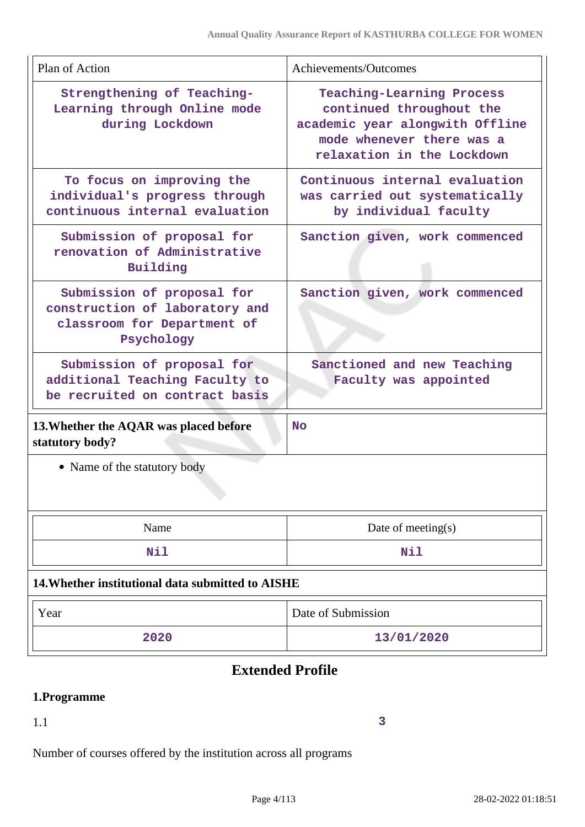| Plan of Action                                                                                            | Achievements/Outcomes                                                                                                                               |  |
|-----------------------------------------------------------------------------------------------------------|-----------------------------------------------------------------------------------------------------------------------------------------------------|--|
| Strengthening of Teaching-<br>Learning through Online mode<br>during Lockdown                             | Teaching-Learning Process<br>continued throughout the<br>academic year alongwith Offline<br>mode whenever there was a<br>relaxation in the Lockdown |  |
| To focus on improving the<br>individual's progress through<br>continuous internal evaluation              | Continuous internal evaluation<br>was carried out systematically<br>by individual faculty                                                           |  |
| Submission of proposal for<br>renovation of Administrative<br>Building                                    | Sanction given, work commenced                                                                                                                      |  |
| Submission of proposal for<br>construction of laboratory and<br>classroom for Department of<br>Psychology | Sanction given, work commenced                                                                                                                      |  |
| Submission of proposal for<br>additional Teaching Faculty to<br>be recruited on contract basis            | Sanctioned and new Teaching<br>Faculty was appointed                                                                                                |  |
| 13. Whether the AQAR was placed before<br>statutory body?                                                 | <b>No</b>                                                                                                                                           |  |
| • Name of the statutory body                                                                              |                                                                                                                                                     |  |
| Name                                                                                                      | Date of meeting $(s)$                                                                                                                               |  |
| Nil                                                                                                       | Nil                                                                                                                                                 |  |
| 14. Whether institutional data submitted to AISHE                                                         |                                                                                                                                                     |  |
| Year                                                                                                      | Date of Submission                                                                                                                                  |  |
| 2020                                                                                                      | 13/01/2020                                                                                                                                          |  |

# **Extended Profile**

# **1.Programme**

1.1

**3**

Number of courses offered by the institution across all programs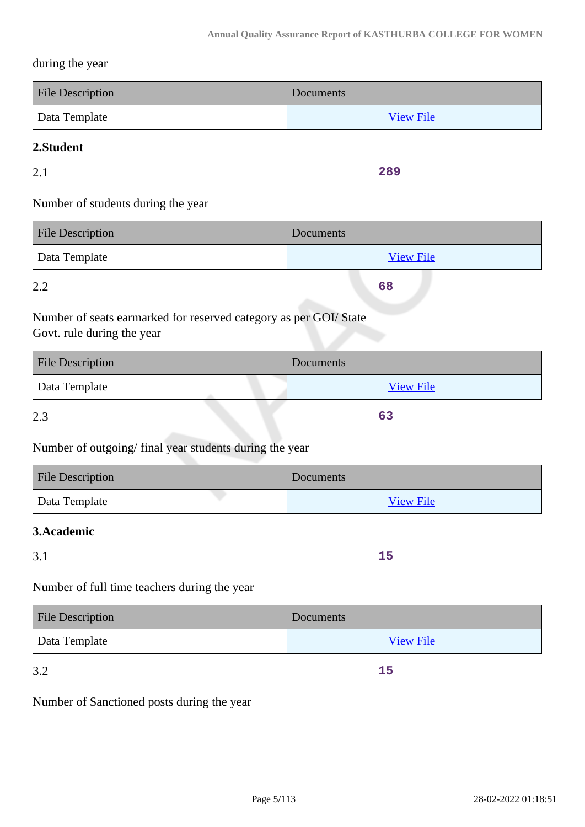#### during the year

| <b>File Description</b> | Documents        |
|-------------------------|------------------|
| Data Template           | <b>View File</b> |

### **2.Student**

2.1

**289**

**68**

**63**

# Number of students during the year

| <b>File Description</b> | Documents        |
|-------------------------|------------------|
| Data Template           | <b>View File</b> |

2.2

Number of seats earmarked for reserved category as per GOI/ State Govt. rule during the year

| <b>File Description</b> | Documents        |
|-------------------------|------------------|
| Data Template           | <b>View File</b> |
|                         |                  |

2.3

# Number of outgoing/ final year students during the year

| <b>File Description</b> | Documents        |
|-------------------------|------------------|
| Data Template           | <b>View File</b> |

#### **3.Academic**

3.1

**15**

**15**

Number of full time teachers during the year

| <b>File Description</b> | Documents        |
|-------------------------|------------------|
| Data Template           | <b>View File</b> |

3.2

Number of Sanctioned posts during the year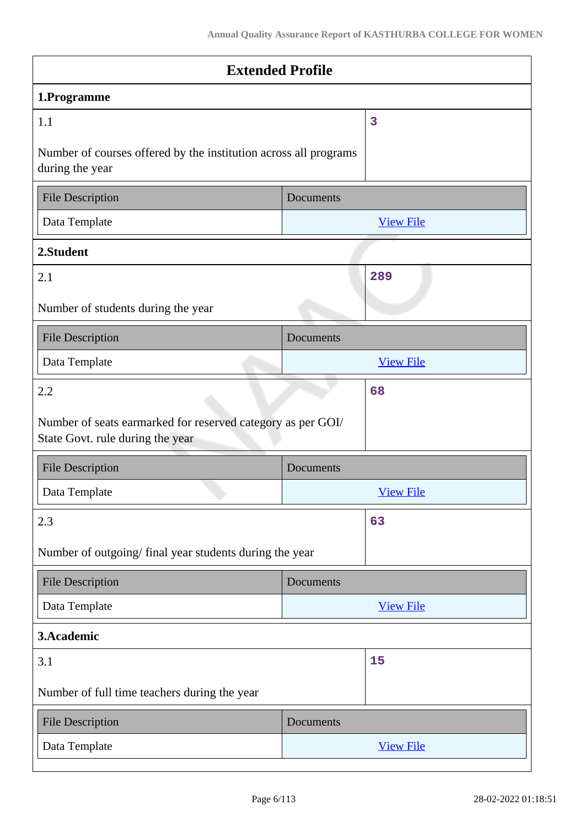| <b>Extended Profile</b>                                                                         |           |                  |  |
|-------------------------------------------------------------------------------------------------|-----------|------------------|--|
| 1.Programme                                                                                     |           |                  |  |
| 1.1                                                                                             |           | 3                |  |
| Number of courses offered by the institution across all programs<br>during the year             |           |                  |  |
| <b>File Description</b>                                                                         | Documents |                  |  |
| Data Template                                                                                   |           | <b>View File</b> |  |
| 2.Student                                                                                       |           |                  |  |
| 2.1                                                                                             |           | 289              |  |
| Number of students during the year                                                              |           |                  |  |
| <b>File Description</b>                                                                         | Documents |                  |  |
| Data Template                                                                                   |           | <b>View File</b> |  |
| 2.2                                                                                             |           | 68               |  |
| Number of seats earmarked for reserved category as per GOI/<br>State Govt. rule during the year |           |                  |  |
| <b>File Description</b>                                                                         | Documents |                  |  |
| Data Template                                                                                   |           | <b>View File</b> |  |
| 2.3                                                                                             |           | 63               |  |
| Number of outgoing/final year students during the year                                          |           |                  |  |
| <b>File Description</b>                                                                         | Documents |                  |  |
| Data Template                                                                                   |           | <b>View File</b> |  |
| 3.Academic                                                                                      |           |                  |  |
| 3.1                                                                                             |           | 15               |  |
| Number of full time teachers during the year                                                    |           |                  |  |
| <b>File Description</b>                                                                         | Documents |                  |  |
| Data Template                                                                                   |           | <b>View File</b> |  |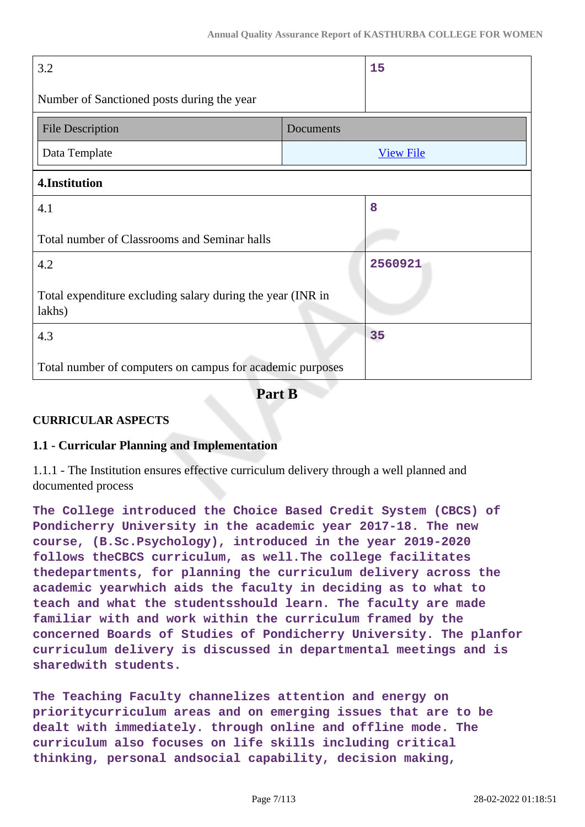| 3.2                                                                  |           | 15               |
|----------------------------------------------------------------------|-----------|------------------|
| Number of Sanctioned posts during the year                           |           |                  |
| <b>File Description</b>                                              | Documents |                  |
| Data Template                                                        |           | <b>View File</b> |
| 4.Institution                                                        |           |                  |
| 4.1                                                                  |           | 8                |
| Total number of Classrooms and Seminar halls                         |           |                  |
| 4.2                                                                  |           | 2560921          |
| Total expenditure excluding salary during the year (INR in<br>lakhs) |           |                  |
| 4.3                                                                  |           | 35               |
| Total number of computers on campus for academic purposes            |           |                  |

**Part B**

### **CURRICULAR ASPECTS**

### **1.1 - Curricular Planning and Implementation**

1.1.1 - The Institution ensures effective curriculum delivery through a well planned and documented process

**The College introduced the Choice Based Credit System (CBCS) of Pondicherry University in the academic year 2017-18. The new course, (B.Sc.Psychology), introduced in the year 2019-2020 follows theCBCS curriculum, as well.The college facilitates thedepartments, for planning the curriculum delivery across the academic yearwhich aids the faculty in deciding as to what to teach and what the studentsshould learn. The faculty are made familiar with and work within the curriculum framed by the concerned Boards of Studies of Pondicherry University. The planfor curriculum delivery is discussed in departmental meetings and is sharedwith students.**

**The Teaching Faculty channelizes attention and energy on prioritycurriculum areas and on emerging issues that are to be dealt with immediately. through online and offline mode. The curriculum also focuses on life skills including critical thinking, personal andsocial capability, decision making,**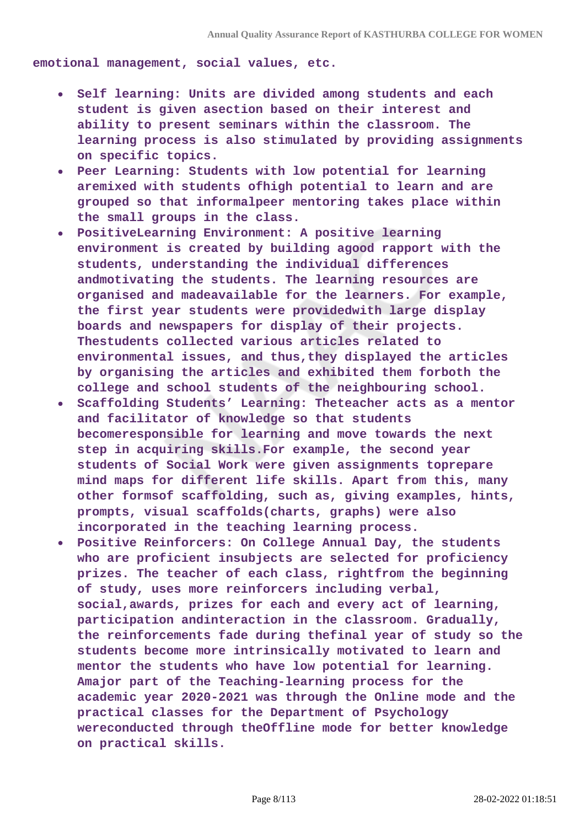**emotional management, social values, etc.**

- **Self learning: Units are divided among students and each student is given asection based on their interest and ability to present seminars within the classroom. The learning process is also stimulated by providing assignments on specific topics.**
- **Peer Learning: Students with low potential for learning aremixed with students ofhigh potential to learn and are grouped so that informalpeer mentoring takes place within the small groups in the class.**
- **PositiveLearning Environment: A positive learning environment is created by building agood rapport with the students, understanding the individual differences andmotivating the students. The learning resources are organised and madeavailable for the learners. For example, the first year students were providedwith large display boards and newspapers for display of their projects. Thestudents collected various articles related to environmental issues, and thus,they displayed the articles by organising the articles and exhibited them forboth the college and school students of the neighbouring school.**
- **Scaffolding Students' Learning: Theteacher acts as a mentor and facilitator of knowledge so that students becomeresponsible for learning and move towards the next step in acquiring skills.For example, the second year students of Social Work were given assignments toprepare mind maps for different life skills. Apart from this, many other formsof scaffolding, such as, giving examples, hints, prompts, visual scaffolds(charts, graphs) were also incorporated in the teaching learning process.**
- **Positive Reinforcers: On College Annual Day, the students who are proficient insubjects are selected for proficiency prizes. The teacher of each class, rightfrom the beginning of study, uses more reinforcers including verbal, social,awards, prizes for each and every act of learning, participation andinteraction in the classroom. Gradually, the reinforcements fade during thefinal year of study so the students become more intrinsically motivated to learn and mentor the students who have low potential for learning. Amajor part of the Teaching-learning process for the academic year 2020-2021 was through the Online mode and the practical classes for the Department of Psychology wereconducted through theOffline mode for better knowledge on practical skills.**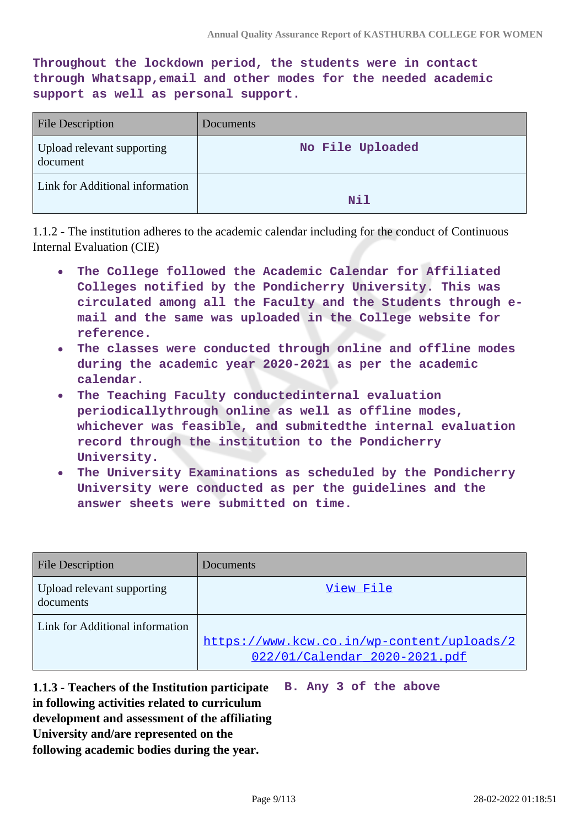**Throughout the lockdown period, the students were in contact through Whatsapp,email and other modes for the needed academic support as well as personal support.**

| <b>File Description</b>                | Documents        |
|----------------------------------------|------------------|
| Upload relevant supporting<br>document | No File Uploaded |
| Link for Additional information        | <b>Nil</b>       |

1.1.2 - The institution adheres to the academic calendar including for the conduct of Continuous Internal Evaluation (CIE)

- **The College followed the Academic Calendar for Affiliated**  $\bullet$ **Colleges notified by the Pondicherry University. This was circulated among all the Faculty and the Students through email and the same was uploaded in the College website for reference.**
- **The classes were conducted through online and offline modes during the academic year 2020-2021 as per the academic calendar.**
- **The Teaching Faculty conductedinternal evaluation**  $\bullet$ **periodicallythrough online as well as offline modes, whichever was feasible, and submitedthe internal evaluation record through the institution to the Pondicherry University.**
- **The University Examinations as scheduled by the Pondicherry University were conducted as per the guidelines and the answer sheets were submitted on time.**

| <b>File Description</b>                 | Documents                                                                   |
|-----------------------------------------|-----------------------------------------------------------------------------|
| Upload relevant supporting<br>documents | View File                                                                   |
| Link for Additional information         | https://www.kcw.co.in/wp-content/uploads/2<br>022/01/Calendar 2020-2021.pdf |

**1.1.3 - Teachers of the Institution participate B. Any 3 of the above in following activities related to curriculum development and assessment of the affiliating University and/are represented on the following academic bodies during the year.**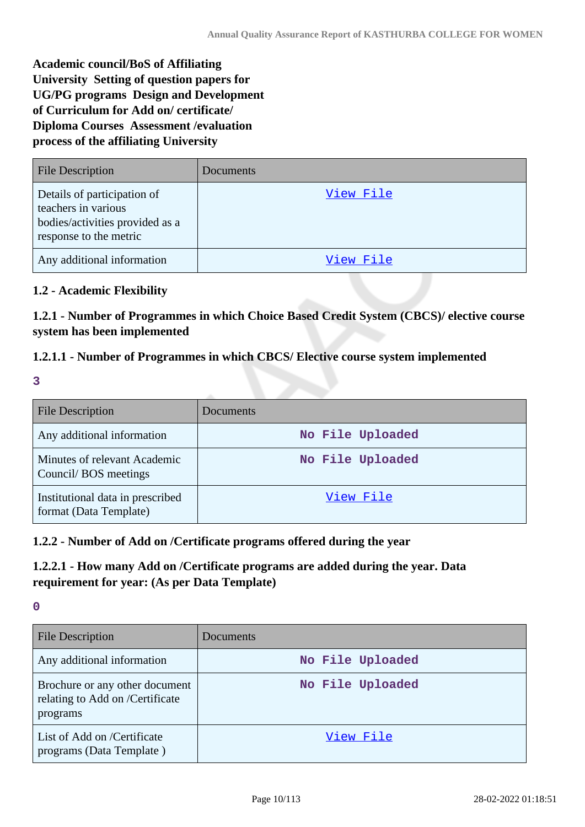**Academic council/BoS of Affiliating University Setting of question papers for UG/PG programs Design and Development of Curriculum for Add on/ certificate/ Diploma Courses Assessment /evaluation process of the affiliating University**

| <b>File Description</b>                                                                                         | Documents |
|-----------------------------------------------------------------------------------------------------------------|-----------|
| Details of participation of<br>teachers in various<br>bodies/activities provided as a<br>response to the metric | View File |
| Any additional information                                                                                      | View File |

### **1.2 - Academic Flexibility**

**1.2.1 - Number of Programmes in which Choice Based Credit System (CBCS)/ elective course system has been implemented**

### **1.2.1.1 - Number of Programmes in which CBCS/ Elective course system implemented**

**3**

| <b>File Description</b>                                    | Documents        |
|------------------------------------------------------------|------------------|
| Any additional information                                 | No File Uploaded |
| Minutes of relevant Academic<br>Council/BOS meetings       | No File Uploaded |
| Institutional data in prescribed<br>format (Data Template) | View File        |

### **1.2.2 - Number of Add on /Certificate programs offered during the year**

### **1.2.2.1 - How many Add on /Certificate programs are added during the year. Data requirement for year: (As per Data Template)**

| <b>File Description</b>                                                       | Documents        |
|-------------------------------------------------------------------------------|------------------|
| Any additional information                                                    | No File Uploaded |
| Brochure or any other document<br>relating to Add on /Certificate<br>programs | No File Uploaded |
| List of Add on /Certificate<br>programs (Data Template)                       | View File        |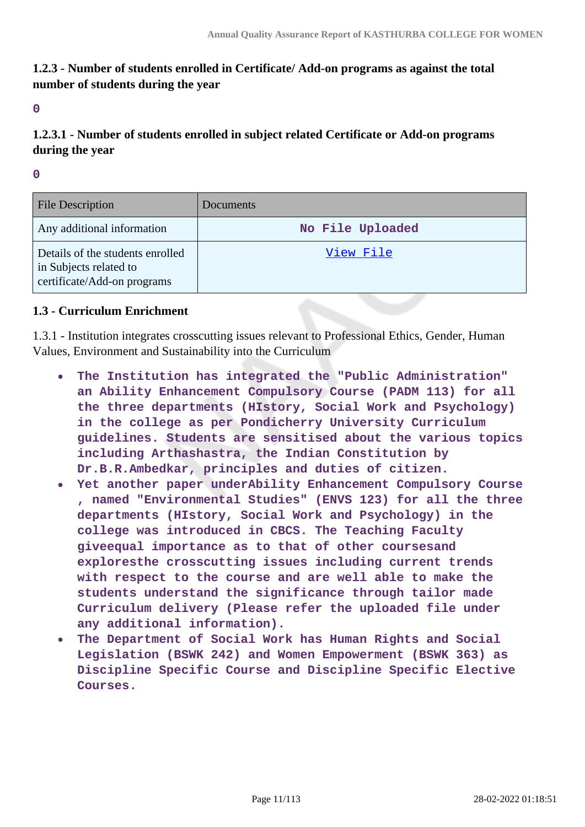### **1.2.3 - Number of students enrolled in Certificate/ Add-on programs as against the total number of students during the year**

**0**

# **1.2.3.1 - Number of students enrolled in subject related Certificate or Add-on programs during the year**

**0**

| File Description                                                                          | Documents        |
|-------------------------------------------------------------------------------------------|------------------|
| Any additional information                                                                | No File Uploaded |
| Details of the students enrolled<br>in Subjects related to<br>certificate/Add-on programs | View File        |

### **1.3 - Curriculum Enrichment**

1.3.1 - Institution integrates crosscutting issues relevant to Professional Ethics, Gender, Human Values, Environment and Sustainability into the Curriculum

- $\bullet$ **The Institution has integrated the "Public Administration" an Ability Enhancement Compulsory Course (PADM 113) for all the three departments (HIstory, Social Work and Psychology) in the college as per Pondicherry University Curriculum guidelines. Students are sensitised about the various topics including Arthashastra, the Indian Constitution by Dr.B.R.Ambedkar, principles and duties of citizen.**
- **Yet another paper underAbility Enhancement Compulsory Course , named "Environmental Studies" (ENVS 123) for all the three departments (HIstory, Social Work and Psychology) in the college was introduced in CBCS. The Teaching Faculty giveequal importance as to that of other coursesand exploresthe crosscutting issues including current trends with respect to the course and are well able to make the students understand the significance through tailor made Curriculum delivery (Please refer the uploaded file under any additional information).**
- **The Department of Social Work has Human Rights and Social Legislation (BSWK 242) and Women Empowerment (BSWK 363) as Discipline Specific Course and Discipline Specific Elective Courses.**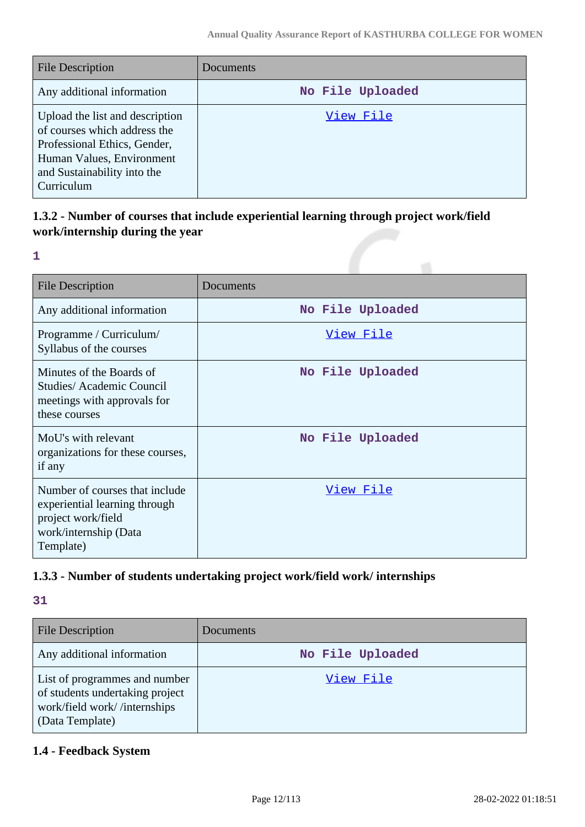| File Description                                                                                                                                                          | Documents        |
|---------------------------------------------------------------------------------------------------------------------------------------------------------------------------|------------------|
| Any additional information                                                                                                                                                | No File Uploaded |
| Upload the list and description<br>of courses which address the<br>Professional Ethics, Gender,<br>Human Values, Environment<br>and Sustainability into the<br>Curriculum | View File        |

# **1.3.2 - Number of courses that include experiential learning through project work/field work/internship during the year**

**1**

| <b>File Description</b>                                                                                                     | Documents        |
|-----------------------------------------------------------------------------------------------------------------------------|------------------|
| Any additional information                                                                                                  | No File Uploaded |
| Programme / Curriculum/<br>Syllabus of the courses                                                                          | View File        |
| Minutes of the Boards of<br><b>Studies/Academic Council</b><br>meetings with approvals for<br>these courses                 | No File Uploaded |
| MoU's with relevant<br>organizations for these courses,<br>if any                                                           | No File Uploaded |
| Number of courses that include<br>experiential learning through<br>project work/field<br>work/internship (Data<br>Template) | <u>View File</u> |

# **1.3.3 - Number of students undertaking project work/field work/ internships**

**31**

| <b>File Description</b>                                                                                             | Documents        |
|---------------------------------------------------------------------------------------------------------------------|------------------|
| Any additional information                                                                                          | No File Uploaded |
| List of programmes and number<br>of students undertaking project<br>work/field work//internships<br>(Data Template) | View File        |

# **1.4 - Feedback System**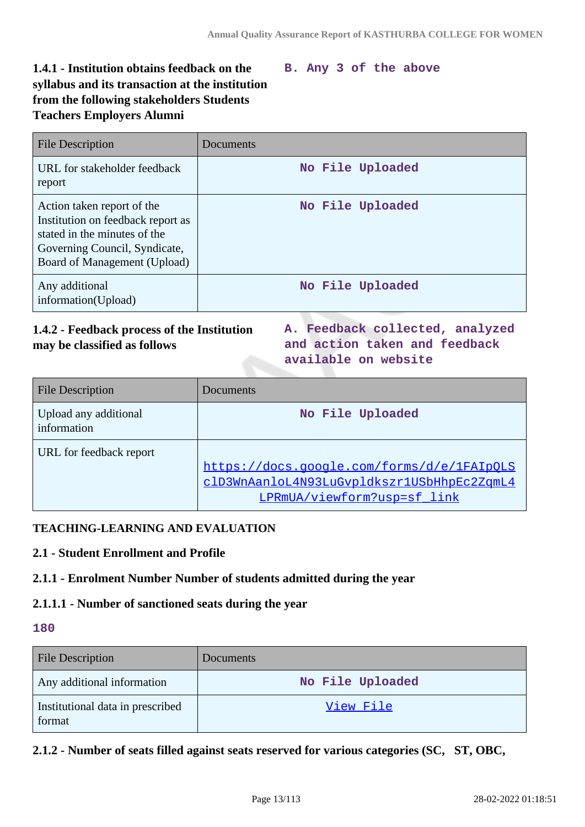# **1.4.1 - Institution obtains feedback on the syllabus and its transaction at the institution from the following stakeholders Students Teachers Employers Alumni**

#### **B. Any 3 of the above**

| <b>File Description</b>                                                                                                                                          | Documents        |
|------------------------------------------------------------------------------------------------------------------------------------------------------------------|------------------|
| URL for stakeholder feedback<br>report                                                                                                                           | No File Uploaded |
| Action taken report of the<br>Institution on feedback report as<br>stated in the minutes of the<br>Governing Council, Syndicate,<br>Board of Management (Upload) | No File Uploaded |
| Any additional<br>information(Upload)                                                                                                                            | No File Uploaded |

### **1.4.2 - Feedback process of the Institution may be classified as follows**

**A. Feedback collected, analyzed and action taken and feedback available on website**

| <b>File Description</b>              | Documents                                                                                                               |
|--------------------------------------|-------------------------------------------------------------------------------------------------------------------------|
| Upload any additional<br>information | No File Uploaded                                                                                                        |
| URL for feedback report              | https://docs.google.com/forms/d/e/1FAIpQLS<br>clD3WnAanloL4N93LuGvpldkszr1USbHhpEc2ZqmL4<br>LPRmUA/viewform?usp=sf link |

### **TEACHING-LEARNING AND EVALUATION**

### **2.1 - Student Enrollment and Profile**

### **2.1.1 - Enrolment Number Number of students admitted during the year**

#### **2.1.1.1 - Number of sanctioned seats during the year**

### **180**

| <b>File Description</b>                    | Documents        |
|--------------------------------------------|------------------|
| Any additional information                 | No File Uploaded |
| Institutional data in prescribed<br>format | View File        |

### **2.1.2 - Number of seats filled against seats reserved for various categories (SC, ST, OBC,**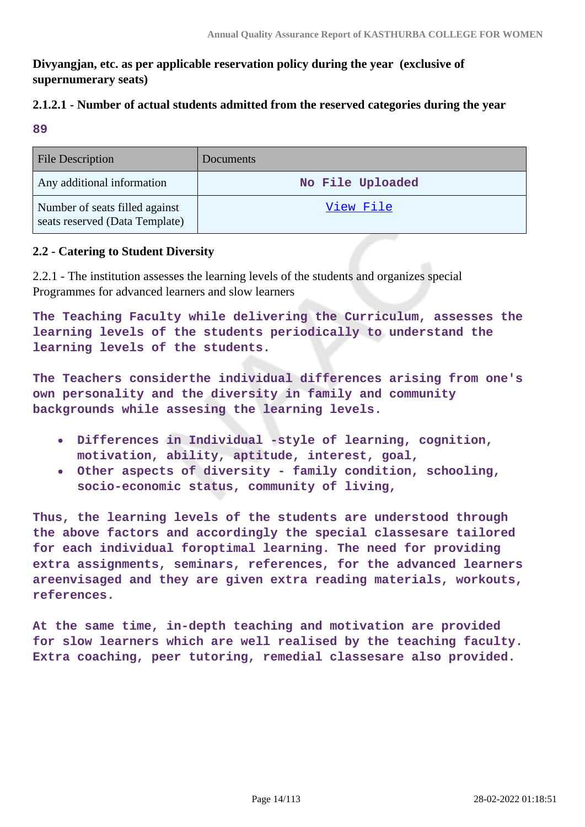### **Divyangjan, etc. as per applicable reservation policy during the year (exclusive of supernumerary seats)**

### **2.1.2.1 - Number of actual students admitted from the reserved categories during the year**

**89**

| <b>File Description</b>                                          | Documents        |
|------------------------------------------------------------------|------------------|
| Any additional information                                       | No File Uploaded |
| Number of seats filled against<br>seats reserved (Data Template) | View File        |

### **2.2 - Catering to Student Diversity**

2.2.1 - The institution assesses the learning levels of the students and organizes special Programmes for advanced learners and slow learners

**The Teaching Faculty while delivering the Curriculum, assesses the learning levels of the students periodically to understand the learning levels of the students.**

**The Teachers considerthe individual differences arising from one's own personality and the diversity in family and community backgrounds while assesing the learning levels.**

- **Differences in Individual -style of learning, cognition, motivation, ability, aptitude, interest, goal,**
- **Other aspects of diversity family condition, schooling, socio-economic status, community of living,**

**Thus, the learning levels of the students are understood through the above factors and accordingly the special classesare tailored for each individual foroptimal learning. The need for providing extra assignments, seminars, references, for the advanced learners areenvisaged and they are given extra reading materials, workouts, references.**

**At the same time, in-depth teaching and motivation are provided for slow learners which are well realised by the teaching faculty. Extra coaching, peer tutoring, remedial classesare also provided.**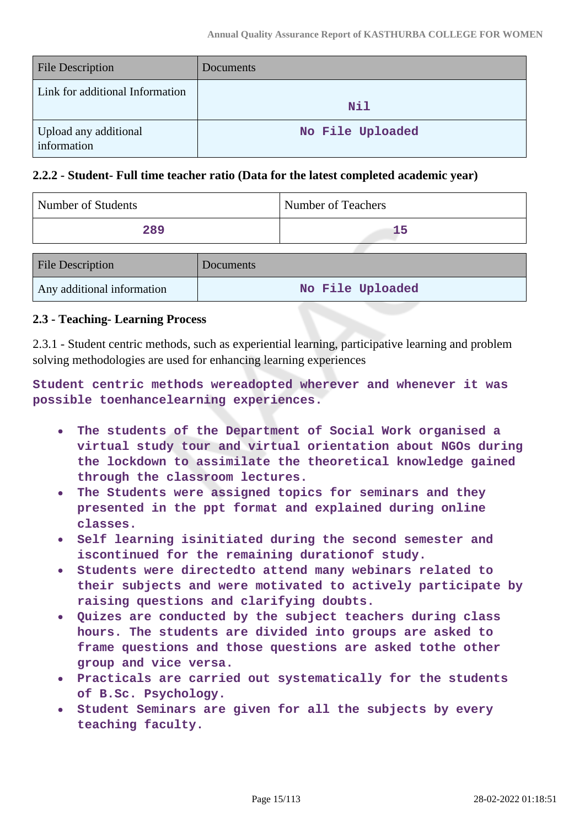| <b>File Description</b>              | Documents        |
|--------------------------------------|------------------|
| Link for additional Information      | Nil              |
| Upload any additional<br>information | No File Uploaded |

#### **2.2.2 - Student- Full time teacher ratio (Data for the latest completed academic year)**

| <b>Number of Students</b>                        |              | Number of Teachers |
|--------------------------------------------------|--------------|--------------------|
| 289                                              |              | 15                 |
| $\Box$ $\Box$ $\Box$ $\Box$ $\Box$ $\Box$ $\Box$ | $\mathbf{D}$ |                    |

| <b>File Description</b>    | Documents        |
|----------------------------|------------------|
| Any additional information | No File Uploaded |

#### **2.3 - Teaching- Learning Process**

2.3.1 - Student centric methods, such as experiential learning, participative learning and problem solving methodologies are used for enhancing learning experiences

**Student centric methods wereadopted wherever and whenever it was possible toenhancelearning experiences.**

- **The students of the Department of Social Work organised a**  $\bullet$ **virtual study tour and virtual orientation about NGOs during the lockdown to assimilate the theoretical knowledge gained through the classroom lectures.**
- **The Students were assigned topics for seminars and they presented in the ppt format and explained during online classes.**
- **Self learning isinitiated during the second semester and iscontinued for the remaining durationof study.**
- **Students were directedto attend many webinars related to their subjects and were motivated to actively participate by raising questions and clarifying doubts.**
- **Quizes are conducted by the subject teachers during class hours. The students are divided into groups are asked to frame questions and those questions are asked tothe other group and vice versa.**
- **Practicals are carried out systematically for the students of B.Sc. Psychology.**
- **Student Seminars are given for all the subjects by every teaching faculty.**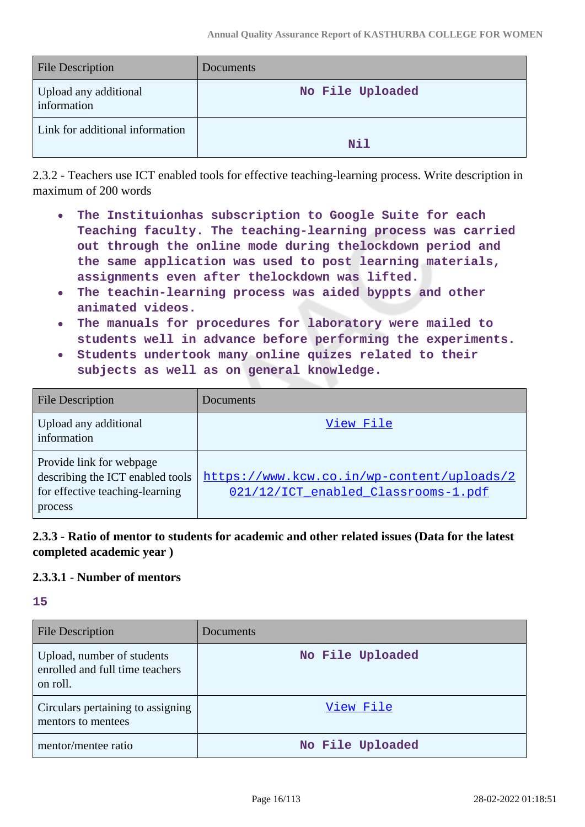| <b>File Description</b>              | Documents        |
|--------------------------------------|------------------|
| Upload any additional<br>information | No File Uploaded |
| Link for additional information      | Nil              |

2.3.2 - Teachers use ICT enabled tools for effective teaching-learning process. Write description in maximum of 200 words

- **The Instituionhas subscription to Google Suite for each Teaching faculty. The teaching-learning process was carried out through the online mode during thelockdown period and the same application was used to post learning materials, assignments even after thelockdown was lifted.**
- **The teachin-learning process was aided byppts and other**  $\bullet$ **animated videos.**
- **The manuals for procedures for laboratory were mailed to students well in advance before performing the experiments.**
- **Students undertook many online quizes related to their**  $\bullet$ **subjects as well as on general knowledge.**

| <b>File Description</b>                                                                                    | Documents <sup>®</sup>                                                            |
|------------------------------------------------------------------------------------------------------------|-----------------------------------------------------------------------------------|
| Upload any additional<br>information                                                                       | View File                                                                         |
| Provide link for webpage<br>describing the ICT enabled tools<br>for effective teaching-learning<br>process | https://www.kcw.co.in/wp-content/uploads/2<br>021/12/ICT enabled Classrooms-1.pdf |

### **2.3.3 - Ratio of mentor to students for academic and other related issues (Data for the latest completed academic year )**

### **2.3.3.1 - Number of mentors**

| <b>File Description</b>                                                   | Documents        |
|---------------------------------------------------------------------------|------------------|
| Upload, number of students<br>enrolled and full time teachers<br>on roll. | No File Uploaded |
| Circulars pertaining to assigning<br>mentors to mentees                   | View File        |
| mentor/mentee ratio                                                       | No File Uploaded |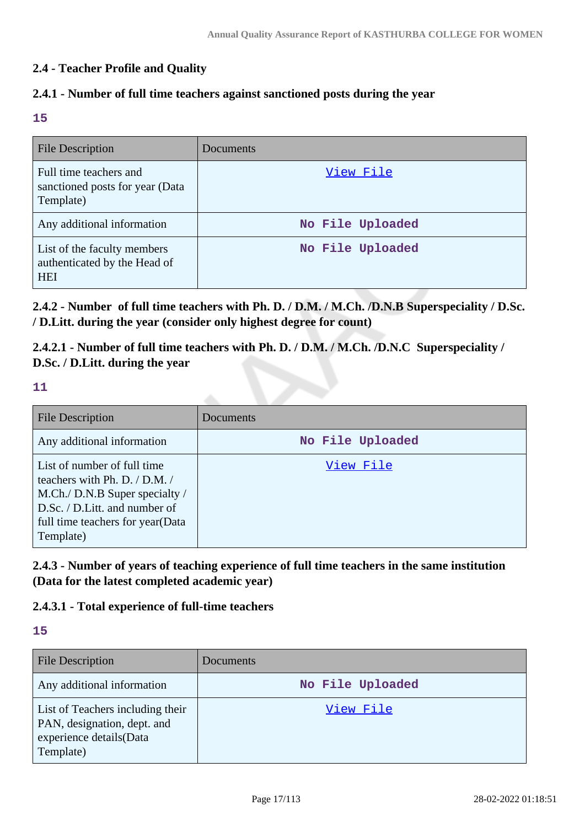### **2.4 - Teacher Profile and Quality**

### **2.4.1 - Number of full time teachers against sanctioned posts during the year**

**15**

| <b>File Description</b>                                                   | Documents        |
|---------------------------------------------------------------------------|------------------|
| Full time teachers and<br>sanctioned posts for year (Data<br>Template)    | View File        |
| Any additional information                                                | No File Uploaded |
| List of the faculty members<br>authenticated by the Head of<br><b>HEI</b> | No File Uploaded |

**2.4.2 - Number of full time teachers with Ph. D. / D.M. / M.Ch. /D.N.B Superspeciality / D.Sc. / D.Litt. during the year (consider only highest degree for count)**

**2.4.2.1 - Number of full time teachers with Ph. D. / D.M. / M.Ch. /D.N.C Superspeciality / D.Sc. / D.Litt. during the year**

**11**

| <b>File Description</b>                                                                                                                                                               | Documents        |
|---------------------------------------------------------------------------------------------------------------------------------------------------------------------------------------|------------------|
| Any additional information                                                                                                                                                            | No File Uploaded |
| List of number of full time<br>teachers with Ph. D. $/$ D.M. $/$<br>M.Ch./ D.N.B Super specialty /<br>D.Sc. / D.Litt. and number of<br>full time teachers for year (Data<br>Template) | View File        |

**2.4.3 - Number of years of teaching experience of full time teachers in the same institution (Data for the latest completed academic year)**

### **2.4.3.1 - Total experience of full-time teachers**

| <b>File Description</b>                                                                                 | Documents        |
|---------------------------------------------------------------------------------------------------------|------------------|
| Any additional information                                                                              | No File Uploaded |
| List of Teachers including their<br>PAN, designation, dept. and<br>experience details(Data<br>Template) | View File        |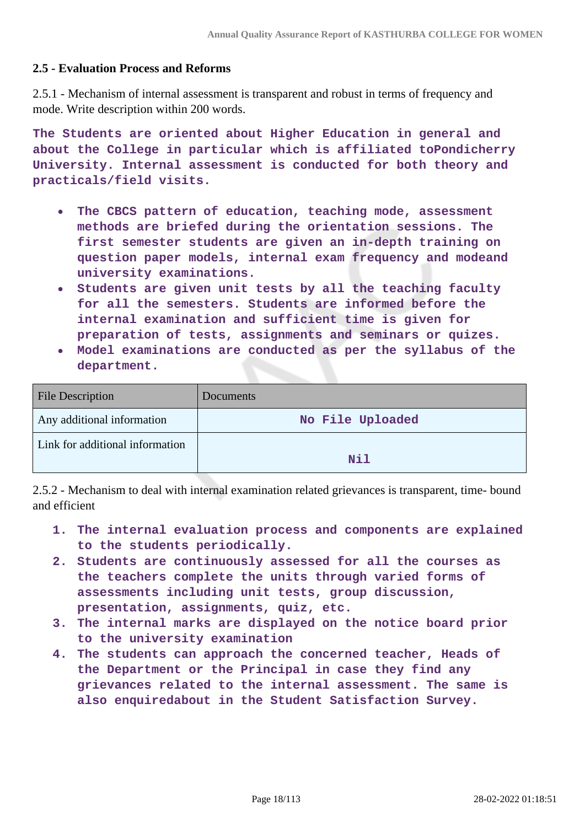#### **2.5 - Evaluation Process and Reforms**

2.5.1 - Mechanism of internal assessment is transparent and robust in terms of frequency and mode. Write description within 200 words.

**The Students are oriented about Higher Education in general and about the College in particular which is affiliated toPondicherry University. Internal assessment is conducted for both theory and practicals/field visits.**

- **The CBCS pattern of education, teaching mode, assessment**  $\bullet$ **methods are briefed during the orientation sessions. The first semester students are given an in-depth training on question paper models, internal exam frequency and modeand university examinations.**
- **Students are given unit tests by all the teaching faculty**  $\bullet$ **for all the semesters. Students are informed before the internal examination and sufficient time is given for preparation of tests, assignments and seminars or quizes.**
- **Model examinations are conducted as per the syllabus of the department.**

| <b>File Description</b>         | <b>Documents</b> |
|---------------------------------|------------------|
| Any additional information      | No File Uploaded |
| Link for additional information | Nil              |

2.5.2 - Mechanism to deal with internal examination related grievances is transparent, time- bound and efficient

- **1. The internal evaluation process and components are explained to the students periodically.**
- **2. Students are continuously assessed for all the courses as the teachers complete the units through varied forms of assessments including unit tests, group discussion, presentation, assignments, quiz, etc.**
- **3. The internal marks are displayed on the notice board prior to the university examination**
- **4. The students can approach the concerned teacher, Heads of the Department or the Principal in case they find any grievances related to the internal assessment. The same is also enquiredabout in the Student Satisfaction Survey.**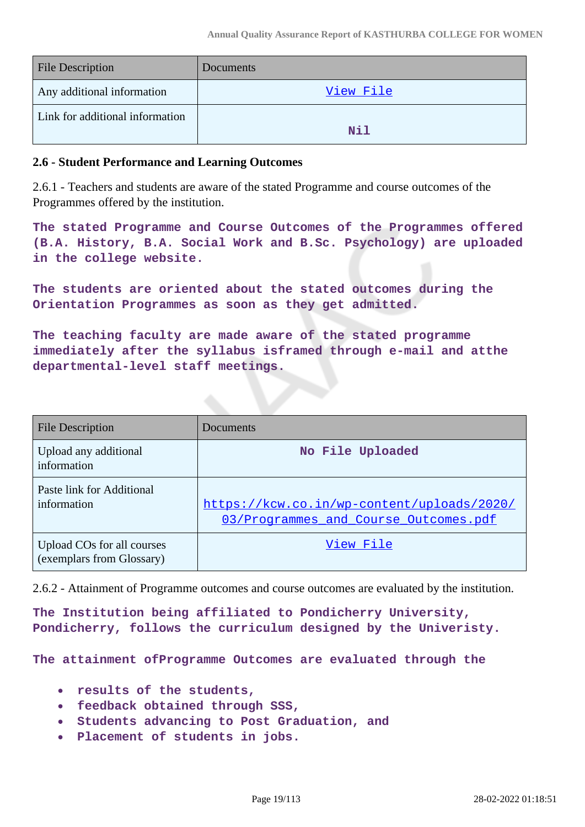| <b>File Description</b>         | <b>Documents</b> |
|---------------------------------|------------------|
| Any additional information      | View File        |
| Link for additional information | Nil              |

#### **2.6 - Student Performance and Learning Outcomes**

2.6.1 - Teachers and students are aware of the stated Programme and course outcomes of the Programmes offered by the institution.

**The stated Programme and Course Outcomes of the Programmes offered (B.A. History, B.A. Social Work and B.Sc. Psychology) are uploaded in the college website.**

**The students are oriented about the stated outcomes during the Orientation Programmes as soon as they get admitted.**

**The teaching faculty are made aware of the stated programme immediately after the syllabus isframed through e-mail and atthe departmental-level staff meetings.**

| File Description                                        | Documents                                                                           |
|---------------------------------------------------------|-------------------------------------------------------------------------------------|
| Upload any additional<br>information                    | No File Uploaded                                                                    |
| Paste link for Additional<br>information                | https://kcw.co.in/wp-content/uploads/2020/<br>03/Programmes_and_Course_Outcomes.pdf |
| Upload COs for all courses<br>(exemplars from Glossary) | View File                                                                           |

2.6.2 - Attainment of Programme outcomes and course outcomes are evaluated by the institution.

**The Institution being affiliated to Pondicherry University, Pondicherry, follows the curriculum designed by the Univeristy.**

**The attainment ofProgramme Outcomes are evaluated through the**

- **results of the students,**
- **feedback obtained through SSS,**
- **Students advancing to Post Graduation, and**
- **Placement of students in jobs.**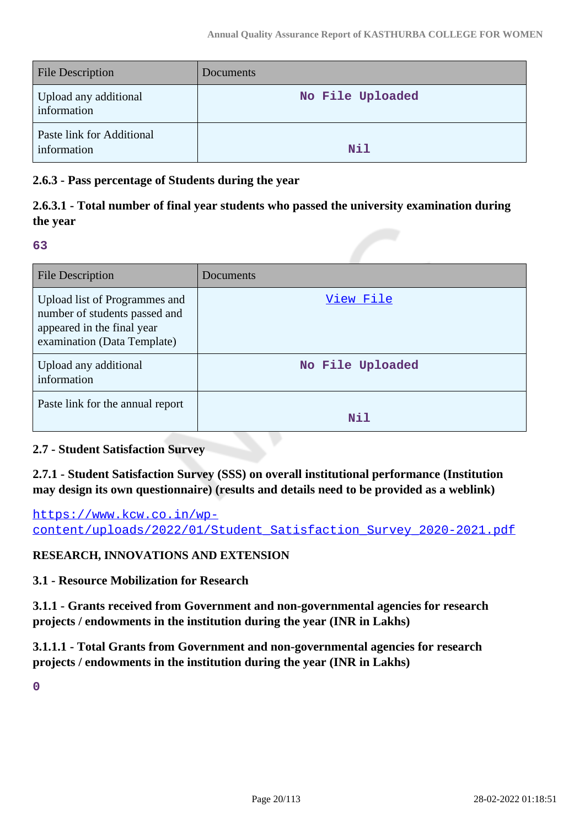| <b>File Description</b>                  | Documents        |
|------------------------------------------|------------------|
| Upload any additional<br>information     | No File Uploaded |
| Paste link for Additional<br>information | N11              |

### **2.6.3 - Pass percentage of Students during the year**

# **2.6.3.1 - Total number of final year students who passed the university examination during the year**

**63**

| File Description                                                                                                            | Documents        |
|-----------------------------------------------------------------------------------------------------------------------------|------------------|
| Upload list of Programmes and<br>number of students passed and<br>appeared in the final year<br>examination (Data Template) | View File        |
| Upload any additional<br>information                                                                                        | No File Uploaded |
| Paste link for the annual report                                                                                            | Nil              |

### **2.7 - Student Satisfaction Survey**

**2.7.1 - Student Satisfaction Survey (SSS) on overall institutional performance (Institution may design its own questionnaire) (results and details need to be provided as a weblink)**

[https://www.kcw.co.in/wp](https://www.kcw.co.in/wp-content/uploads/2022/01/Student_Satisfaction_Survey_2020-2021.pdf)[content/uploads/2022/01/Student\\_Satisfaction\\_Survey\\_2020-2021.pdf](https://www.kcw.co.in/wp-content/uploads/2022/01/Student_Satisfaction_Survey_2020-2021.pdf)

### **RESEARCH, INNOVATIONS AND EXTENSION**

**3.1 - Resource Mobilization for Research**

**3.1.1 - Grants received from Government and non-governmental agencies for research projects / endowments in the institution during the year (INR in Lakhs)**

**3.1.1.1 - Total Grants from Government and non-governmental agencies for research projects / endowments in the institution during the year (INR in Lakhs)**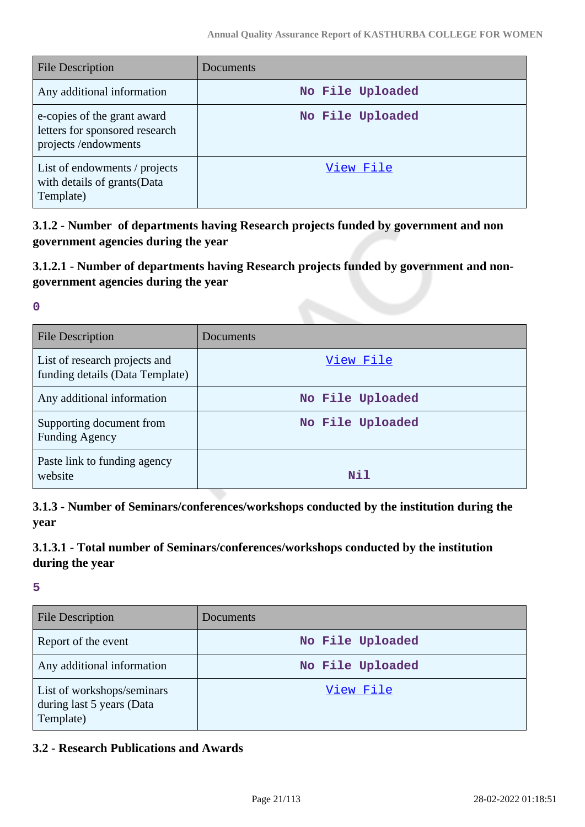| <b>File Description</b>                                                              | Documents        |
|--------------------------------------------------------------------------------------|------------------|
| Any additional information                                                           | No File Uploaded |
| e-copies of the grant award<br>letters for sponsored research<br>projects/endowments | No File Uploaded |
| List of endowments / projects<br>with details of grants(Data<br>Template)            | View File        |

**3.1.2 - Number of departments having Research projects funded by government and non government agencies during the year**

### **3.1.2.1 - Number of departments having Research projects funded by government and nongovernment agencies during the year**

**0**

| File Description                                                 | Documents        |
|------------------------------------------------------------------|------------------|
| List of research projects and<br>funding details (Data Template) | View File        |
| Any additional information                                       | No File Uploaded |
| Supporting document from<br><b>Funding Agency</b>                | No File Uploaded |
| Paste link to funding agency<br>website                          | Nil              |

**3.1.3 - Number of Seminars/conferences/workshops conducted by the institution during the year**

# **3.1.3.1 - Total number of Seminars/conferences/workshops conducted by the institution during the year**

**5**

| <b>File Description</b>                                              | Documents        |
|----------------------------------------------------------------------|------------------|
| Report of the event                                                  | No File Uploaded |
| Any additional information                                           | No File Uploaded |
| List of workshops/seminars<br>during last 5 years (Data<br>Template) | View File        |

### **3.2 - Research Publications and Awards**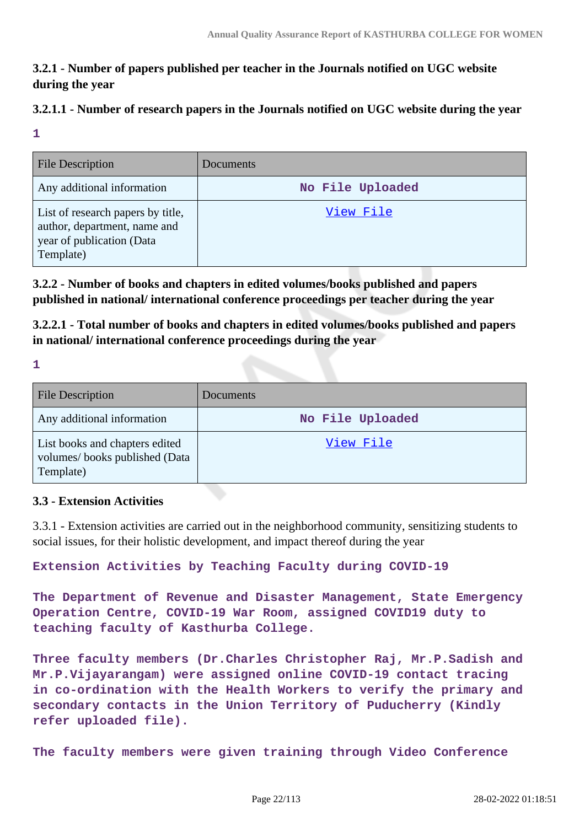# **3.2.1 - Number of papers published per teacher in the Journals notified on UGC website during the year**

### **3.2.1.1 - Number of research papers in the Journals notified on UGC website during the year**

**1**

| <b>File Description</b>                                                                                     | Documents        |
|-------------------------------------------------------------------------------------------------------------|------------------|
| Any additional information                                                                                  | No File Uploaded |
| List of research papers by title,<br>author, department, name and<br>year of publication (Data<br>Template) | View File        |

**3.2.2 - Number of books and chapters in edited volumes/books published and papers published in national/ international conference proceedings per teacher during the year**

**3.2.2.1 - Total number of books and chapters in edited volumes/books published and papers in national/ international conference proceedings during the year**

**1**

| File Description                                                             | Documents        |
|------------------------------------------------------------------------------|------------------|
| Any additional information                                                   | No File Uploaded |
| List books and chapters edited<br>volumes/books published (Data<br>Template) | View File        |

### **3.3 - Extension Activities**

3.3.1 - Extension activities are carried out in the neighborhood community, sensitizing students to social issues, for their holistic development, and impact thereof during the year

**Extension Activities by Teaching Faculty during COVID-19** 

**The Department of Revenue and Disaster Management, State Emergency Operation Centre, COVID-19 War Room, assigned COVID19 duty to teaching faculty of Kasthurba College.**

**Three faculty members (Dr.Charles Christopher Raj, Mr.P.Sadish and Mr.P.Vijayarangam) were assigned online COVID-19 contact tracing in co-ordination with the Health Workers to verify the primary and secondary contacts in the Union Territory of Puducherry (Kindly refer uploaded file).**

**The faculty members were given training through Video Conference**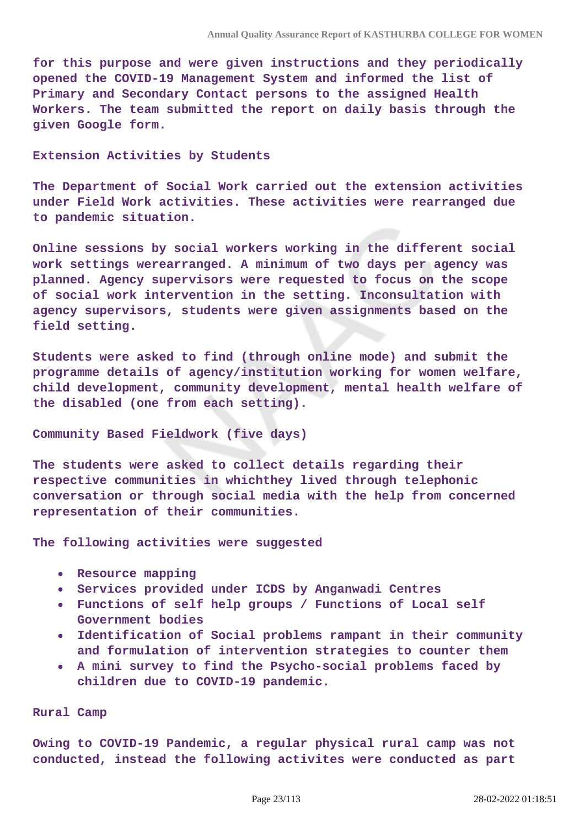**for this purpose and were given instructions and they periodically opened the COVID-19 Management System and informed the list of Primary and Secondary Contact persons to the assigned Health Workers. The team submitted the report on daily basis through the given Google form.**

#### **Extension Activities by Students**

**The Department of Social Work carried out the extension activities under Field Work activities. These activities were rearranged due to pandemic situation.**

**Online sessions by social workers working in the different social work settings werearranged. A minimum of two days per agency was planned. Agency supervisors were requested to focus on the scope of social work intervention in the setting. Inconsultation with agency supervisors, students were given assignments based on the field setting.**

**Students were asked to find (through online mode) and submit the programme details of agency/institution working for women welfare, child development, community development, mental health welfare of the disabled (one from each setting).**

#### **Community Based Fieldwork (five days)**

**The students were asked to collect details regarding their respective communities in whichthey lived through telephonic conversation or through social media with the help from concerned representation of their communities.**

**The following activities were suggested**

- **Resource mapping**
- **Services provided under ICDS by Anganwadi Centres**
- **Functions of self help groups / Functions of Local self Government bodies**
- **Identification of Social problems rampant in their community**  $\bullet$ **and formulation of intervention strategies to counter them**
- **A mini survey to find the Psycho-social problems faced by children due to COVID-19 pandemic.**

#### **Rural Camp**

**Owing to COVID-19 Pandemic, a regular physical rural camp was not conducted, instead the following activites were conducted as part**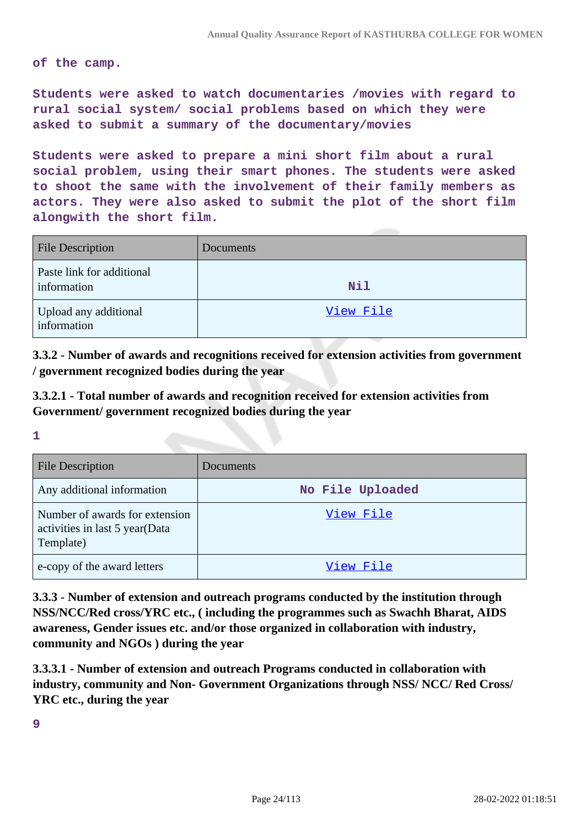**of the camp.**

**Students were asked to watch documentaries /movies with regard to rural social system/ social problems based on which they were asked to submit a summary of the documentary/movies**

**Students were asked to prepare a mini short film about a rural social problem, using their smart phones. The students were asked to shoot the same with the involvement of their family members as actors. They were also asked to submit the plot of the short film alongwith the short film.**

| <b>File Description</b>                  | Documents  |
|------------------------------------------|------------|
| Paste link for additional<br>information | <b>Nil</b> |
| Upload any additional<br>information     | View File  |

**3.3.2 - Number of awards and recognitions received for extension activities from government / government recognized bodies during the year**

**3.3.2.1 - Total number of awards and recognition received for extension activities from Government/ government recognized bodies during the year**

**1**

| <b>File Description</b>                                                       | Documents        |
|-------------------------------------------------------------------------------|------------------|
| Any additional information                                                    | No File Uploaded |
| Number of awards for extension<br>activities in last 5 year(Data<br>Template) | View File        |
| e-copy of the award letters                                                   | View File        |

**3.3.3 - Number of extension and outreach programs conducted by the institution through NSS/NCC/Red cross/YRC etc., ( including the programmes such as Swachh Bharat, AIDS awareness, Gender issues etc. and/or those organized in collaboration with industry, community and NGOs ) during the year**

**3.3.3.1 - Number of extension and outreach Programs conducted in collaboration with industry, community and Non- Government Organizations through NSS/ NCC/ Red Cross/ YRC etc., during the year**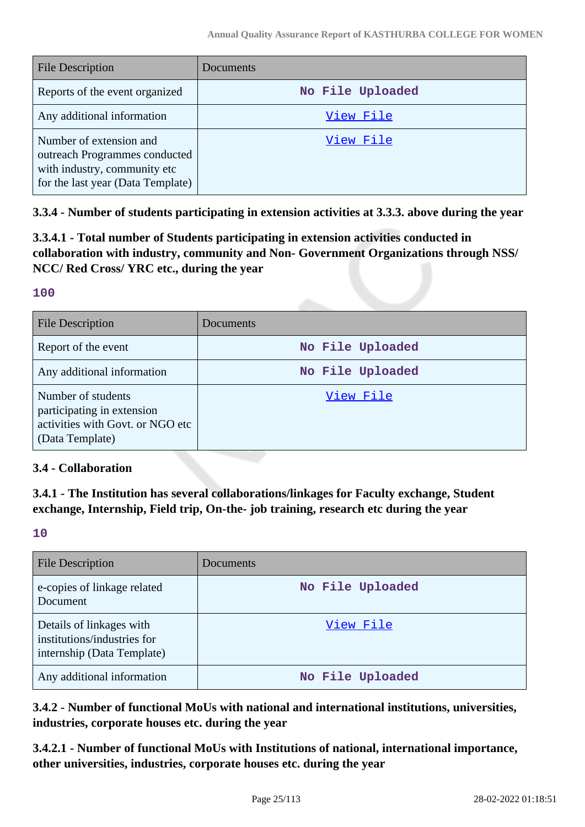| <b>File Description</b>                                                                                                       | Documents        |
|-------------------------------------------------------------------------------------------------------------------------------|------------------|
| Reports of the event organized                                                                                                | No File Uploaded |
| Any additional information                                                                                                    | View File        |
| Number of extension and<br>outreach Programmes conducted<br>with industry, community etc<br>for the last year (Data Template) | View File        |

**3.3.4 - Number of students participating in extension activities at 3.3.3. above during the year**

**3.3.4.1 - Total number of Students participating in extension activities conducted in collaboration with industry, community and Non- Government Organizations through NSS/ NCC/ Red Cross/ YRC etc., during the year**

#### **100**

| <b>File Description</b>                                                                                 | Documents        |
|---------------------------------------------------------------------------------------------------------|------------------|
| Report of the event                                                                                     | No File Uploaded |
| Any additional information                                                                              | No File Uploaded |
| Number of students<br>participating in extension<br>activities with Govt. or NGO etc<br>(Data Template) | View File        |

### **3.4 - Collaboration**

**3.4.1 - The Institution has several collaborations/linkages for Faculty exchange, Student exchange, Internship, Field trip, On-the- job training, research etc during the year**

#### **10**

| <b>File Description</b>                                                               | Documents        |
|---------------------------------------------------------------------------------------|------------------|
| e-copies of linkage related<br>Document                                               | No File Uploaded |
| Details of linkages with<br>institutions/industries for<br>internship (Data Template) | View File        |
| Any additional information                                                            | No File Uploaded |

**3.4.2 - Number of functional MoUs with national and international institutions, universities, industries, corporate houses etc. during the year**

**3.4.2.1 - Number of functional MoUs with Institutions of national, international importance, other universities, industries, corporate houses etc. during the year**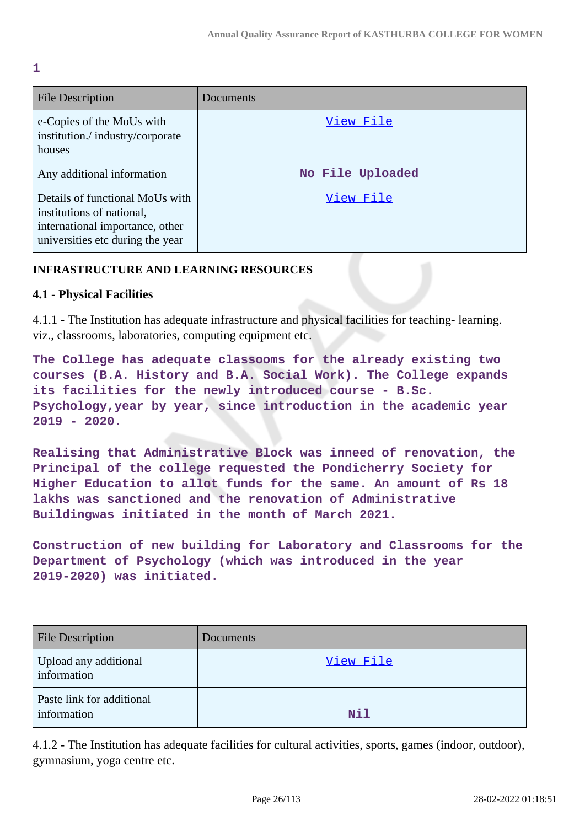**1**

| <b>File Description</b>                                                                                                             | Documents        |
|-------------------------------------------------------------------------------------------------------------------------------------|------------------|
| e-Copies of the MoUs with<br>institution./industry/corporate<br>houses                                                              | View File        |
| Any additional information                                                                                                          | No File Uploaded |
| Details of functional MoUs with<br>institutions of national,<br>international importance, other<br>universities etc during the year | View File        |

### **INFRASTRUCTURE AND LEARNING RESOURCES**

### **4.1 - Physical Facilities**

4.1.1 - The Institution has adequate infrastructure and physical facilities for teaching- learning. viz., classrooms, laboratories, computing equipment etc.

**The College has adequate classooms for the already existing two courses (B.A. History and B.A. Social Work). The College expands its facilities for the newly introduced course - B.Sc. Psychology,year by year, since introduction in the academic year 2019 - 2020.**

**Realising that Administrative Block was inneed of renovation, the Principal of the college requested the Pondicherry Society for Higher Education to allot funds for the same. An amount of Rs 18 lakhs was sanctioned and the renovation of Administrative Buildingwas initiated in the month of March 2021.**

**Construction of new building for Laboratory and Classrooms for the Department of Psychology (which was introduced in the year 2019-2020) was initiated.**

| <b>File Description</b>                  | Documents |
|------------------------------------------|-----------|
| Upload any additional<br>information     | View File |
| Paste link for additional<br>information | Nil       |

4.1.2 - The Institution has adequate facilities for cultural activities, sports, games (indoor, outdoor), gymnasium, yoga centre etc.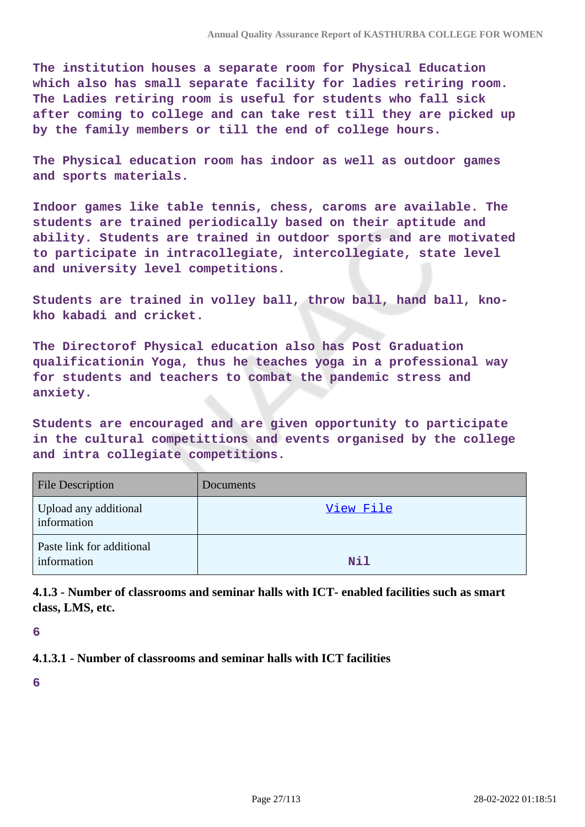**The institution houses a separate room for Physical Education which also has small separate facility for ladies retiring room. The Ladies retiring room is useful for students who fall sick after coming to college and can take rest till they are picked up by the family members or till the end of college hours.**

**The Physical education room has indoor as well as outdoor games and sports materials.**

**Indoor games like table tennis, chess, caroms are available. The students are trained periodically based on their aptitude and ability. Students are trained in outdoor sports and are motivated to participate in intracollegiate, intercollegiate, state level and university level competitions.**

**Students are trained in volley ball, throw ball, hand ball, knokho kabadi and cricket.**

**The Directorof Physical education also has Post Graduation qualificationin Yoga, thus he teaches yoga in a professional way for students and teachers to combat the pandemic stress and anxiety.**

**Students are encouraged and are given opportunity to participate in the cultural competittions and events organised by the college and intra collegiate competitions.**

| <b>File Description</b>                  | Documents  |
|------------------------------------------|------------|
| Upload any additional<br>information     | View File  |
| Paste link for additional<br>information | <b>Nil</b> |

**4.1.3 - Number of classrooms and seminar halls with ICT- enabled facilities such as smart class, LMS, etc.**

**6**

#### **4.1.3.1 - Number of classrooms and seminar halls with ICT facilities**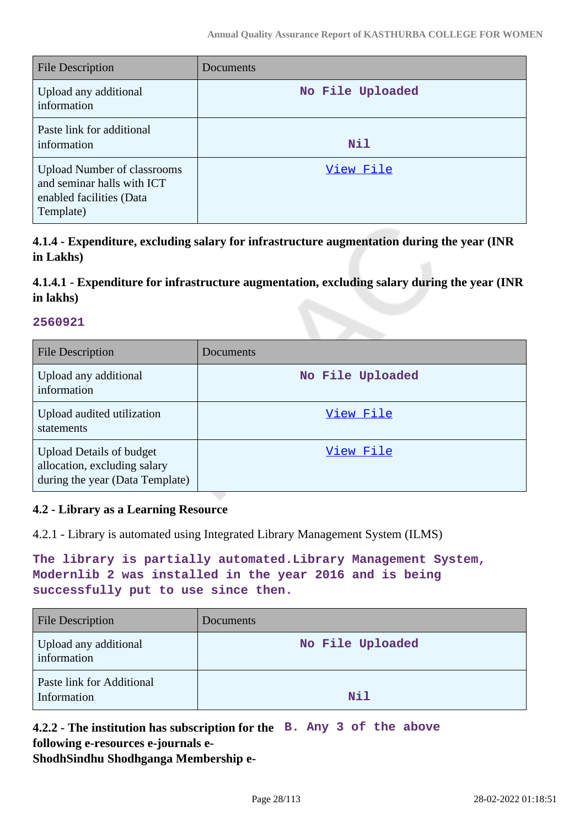| <b>File Description</b>                                                                                   | Documents        |
|-----------------------------------------------------------------------------------------------------------|------------------|
| Upload any additional<br>information                                                                      | No File Uploaded |
| Paste link for additional<br>information                                                                  | <b>Nil</b>       |
| <b>Upload Number of classrooms</b><br>and seminar halls with ICT<br>enabled facilities (Data<br>Template) | View File        |

**4.1.4 - Expenditure, excluding salary for infrastructure augmentation during the year (INR in Lakhs)**

# **4.1.4.1 - Expenditure for infrastructure augmentation, excluding salary during the year (INR in lakhs)**

#### **2560921**

| <b>File Description</b>                                                                            | Documents        |
|----------------------------------------------------------------------------------------------------|------------------|
| Upload any additional<br>information                                                               | No File Uploaded |
| Upload audited utilization<br>statements                                                           | View File        |
| <b>Upload Details of budget</b><br>allocation, excluding salary<br>during the year (Data Template) | View File        |

### **4.2 - Library as a Learning Resource**

4.2.1 - Library is automated using Integrated Library Management System (ILMS)

| The library is partially automated. Library Management System, |  |
|----------------------------------------------------------------|--|
| Modernlib 2 was installed in the year 2016 and is being        |  |
| successfully put to use since then.                            |  |

| <b>File Description</b>                  | Documents        |
|------------------------------------------|------------------|
| Upload any additional<br>information     | No File Uploaded |
| Paste link for Additional<br>Information | Nil              |

**4.2.2 - The institution has subscription for the B. Any 3 of the above following e-resources e-journals e-ShodhSindhu Shodhganga Membership e-**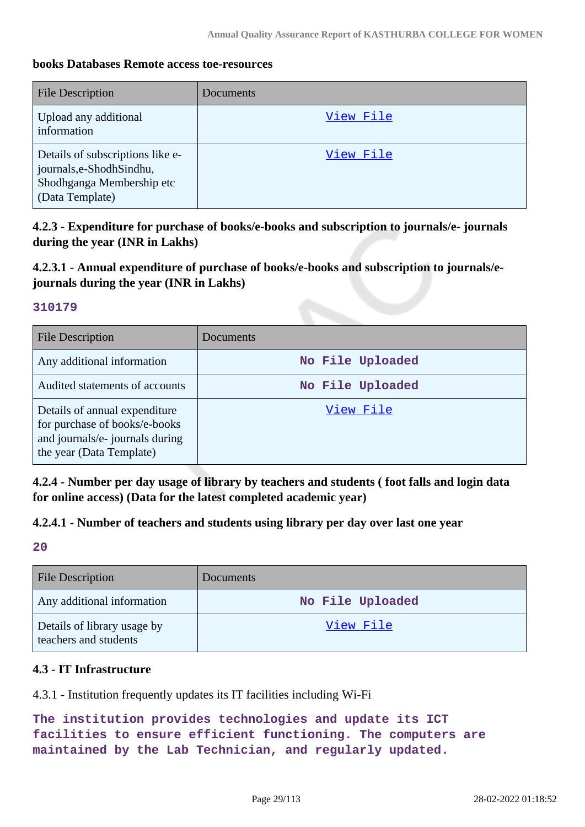### **books Databases Remote access toe-resources**

| <b>File Description</b>                                                                                       | Documents |
|---------------------------------------------------------------------------------------------------------------|-----------|
| Upload any additional<br>information                                                                          | View File |
| Details of subscriptions like e-<br>journals, e-Shodh Sindhu,<br>Shodhganga Membership etc<br>(Data Template) | View File |

**4.2.3 - Expenditure for purchase of books/e-books and subscription to journals/e- journals during the year (INR in Lakhs)**

### **4.2.3.1 - Annual expenditure of purchase of books/e-books and subscription to journals/ejournals during the year (INR in Lakhs)**

#### **310179**

| <b>File Description</b>                                                                                                       | Documents        |
|-------------------------------------------------------------------------------------------------------------------------------|------------------|
| Any additional information                                                                                                    | No File Uploaded |
| Audited statements of accounts                                                                                                | No File Uploaded |
| Details of annual expenditure<br>for purchase of books/e-books<br>and journals/e- journals during<br>the year (Data Template) | View File        |

**4.2.4 - Number per day usage of library by teachers and students ( foot falls and login data for online access) (Data for the latest completed academic year)**

### **4.2.4.1 - Number of teachers and students using library per day over last one year**

**20**

| <b>File Description</b>                              | Documents        |
|------------------------------------------------------|------------------|
| Any additional information                           | No File Uploaded |
| Details of library usage by<br>teachers and students | View File        |

### **4.3 - IT Infrastructure**

4.3.1 - Institution frequently updates its IT facilities including Wi-Fi

```
The institution provides technologies and update its ICT
facilities to ensure efficient functioning. The computers are
maintained by the Lab Technician, and regularly updated.
```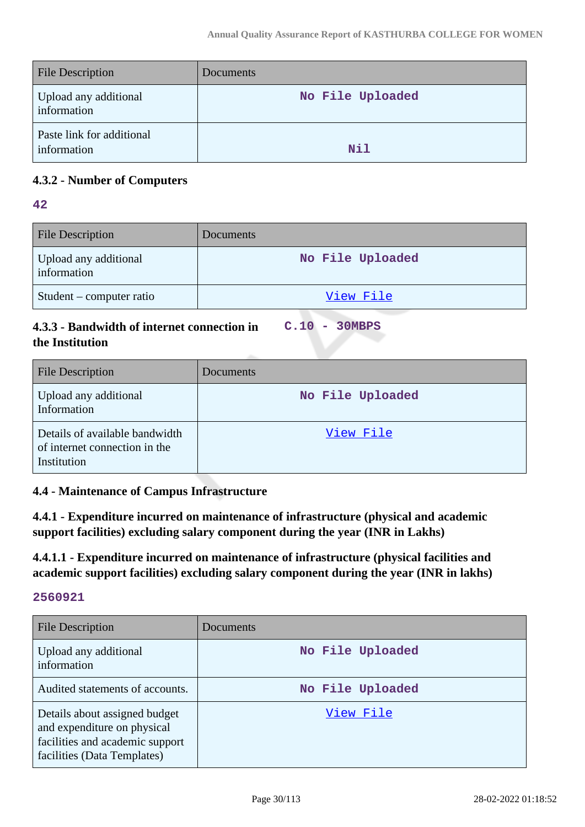| <b>File Description</b>                  | Documents        |
|------------------------------------------|------------------|
| Upload any additional<br>information     | No File Uploaded |
| Paste link for additional<br>information | N11              |

### **4.3.2 - Number of Computers**

### **42**

| <b>File Description</b>              | <b>Documents</b> |
|--------------------------------------|------------------|
| Upload any additional<br>information | No File Uploaded |
| Student – computer ratio             | View File        |

### **4.3.3 - Bandwidth of internet connection in the Institution**

**C.10 - 30MBPS**

| <b>File Description</b>                                                        | Documents        |
|--------------------------------------------------------------------------------|------------------|
| Upload any additional<br>Information                                           | No File Uploaded |
| Details of available bandwidth<br>of internet connection in the<br>Institution | View File        |

### **4.4 - Maintenance of Campus Infrastructure**

**4.4.1 - Expenditure incurred on maintenance of infrastructure (physical and academic support facilities) excluding salary component during the year (INR in Lakhs)**

**4.4.1.1 - Expenditure incurred on maintenance of infrastructure (physical facilities and academic support facilities) excluding salary component during the year (INR in lakhs)**

| <b>File Description</b>                                                                                                        | Documents        |
|--------------------------------------------------------------------------------------------------------------------------------|------------------|
| Upload any additional<br>information                                                                                           | No File Uploaded |
| Audited statements of accounts.                                                                                                | No File Uploaded |
| Details about assigned budget<br>and expenditure on physical<br>facilities and academic support<br>facilities (Data Templates) | View File        |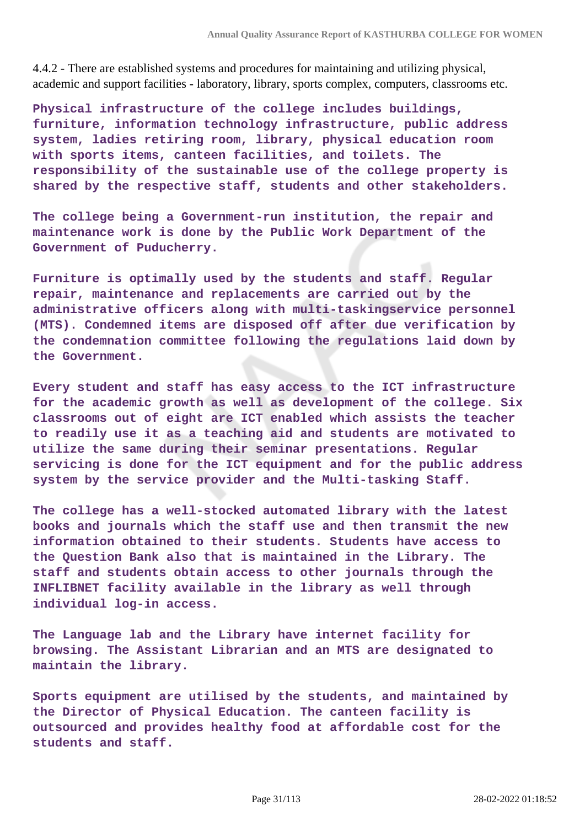4.4.2 - There are established systems and procedures for maintaining and utilizing physical, academic and support facilities - laboratory, library, sports complex, computers, classrooms etc.

**Physical infrastructure of the college includes buildings, furniture, information technology infrastructure, public address system, ladies retiring room, library, physical education room with sports items, canteen facilities, and toilets. The responsibility of the sustainable use of the college property is shared by the respective staff, students and other stakeholders.**

**The college being a Government-run institution, the repair and maintenance work is done by the Public Work Department of the Government of Puducherry.**

**Furniture is optimally used by the students and staff. Regular repair, maintenance and replacements are carried out by the administrative officers along with multi-taskingservice personnel (MTS). Condemned items are disposed off after due verification by the condemnation committee following the regulations laid down by the Government.**

**Every student and staff has easy access to the ICT infrastructure for the academic growth as well as development of the college. Six classrooms out of eight are ICT enabled which assists the teacher to readily use it as a teaching aid and students are motivated to utilize the same during their seminar presentations. Regular servicing is done for the ICT equipment and for the public address system by the service provider and the Multi-tasking Staff.**

**The college has a well-stocked automated library with the latest books and journals which the staff use and then transmit the new information obtained to their students. Students have access to the Question Bank also that is maintained in the Library. The staff and students obtain access to other journals through the INFLIBNET facility available in the library as well through individual log-in access.**

**The Language lab and the Library have internet facility for browsing. The Assistant Librarian and an MTS are designated to maintain the library.**

**Sports equipment are utilised by the students, and maintained by the Director of Physical Education. The canteen facility is outsourced and provides healthy food at affordable cost for the students and staff.**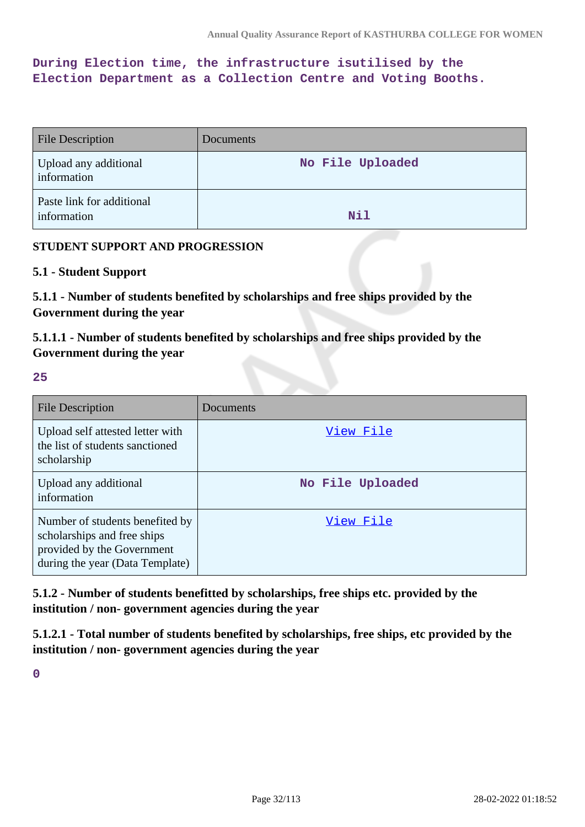**During Election time, the infrastructure isutilised by the Election Department as a Collection Centre and Voting Booths.**

| <b>File Description</b>                  | <b>Documents</b> |
|------------------------------------------|------------------|
| Upload any additional<br>information     | No File Uploaded |
| Paste link for additional<br>information | <b>Nil</b>       |

### **STUDENT SUPPORT AND PROGRESSION**

#### **5.1 - Student Support**

**5.1.1 - Number of students benefited by scholarships and free ships provided by the Government during the year**

**5.1.1.1 - Number of students benefited by scholarships and free ships provided by the Government during the year**

#### **25**

| <b>File Description</b>                                                                                                         | Documents        |
|---------------------------------------------------------------------------------------------------------------------------------|------------------|
| Upload self attested letter with<br>the list of students sanctioned<br>scholarship                                              | View File        |
| Upload any additional<br>information                                                                                            | No File Uploaded |
| Number of students benefited by<br>scholarships and free ships<br>provided by the Government<br>during the year (Data Template) | View File        |

**5.1.2 - Number of students benefitted by scholarships, free ships etc. provided by the institution / non- government agencies during the year**

**5.1.2.1 - Total number of students benefited by scholarships, free ships, etc provided by the institution / non- government agencies during the year**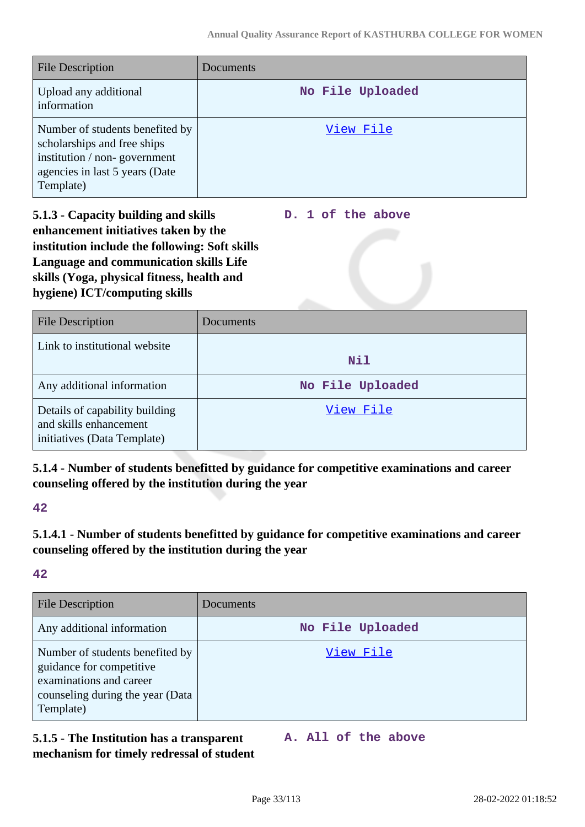| <b>File Description</b>                                                                                                                       | Documents        |
|-----------------------------------------------------------------------------------------------------------------------------------------------|------------------|
| Upload any additional<br>information                                                                                                          | No File Uploaded |
| Number of students benefited by<br>scholarships and free ships<br>institution / non-government<br>agencies in last 5 years (Date<br>Template) | View File        |

**5.1.3 - Capacity building and skills enhancement initiatives taken by the institution include the following: Soft skills Language and communication skills Life skills (Yoga, physical fitness, health and hygiene) ICT/computing skills**

**D. 1 of the above**

| <b>File Description</b>                                                                 | Documents        |
|-----------------------------------------------------------------------------------------|------------------|
| Link to institutional website                                                           | <b>Nil</b>       |
| Any additional information                                                              | No File Uploaded |
| Details of capability building<br>and skills enhancement<br>initiatives (Data Template) | View File        |

**5.1.4 - Number of students benefitted by guidance for competitive examinations and career counseling offered by the institution during the year**

**42**

**5.1.4.1 - Number of students benefitted by guidance for competitive examinations and career counseling offered by the institution during the year**

**42**

| <b>File Description</b>                                                                                                                 | Documents        |
|-----------------------------------------------------------------------------------------------------------------------------------------|------------------|
| Any additional information                                                                                                              | No File Uploaded |
| Number of students benefited by<br>guidance for competitive<br>examinations and career<br>counseling during the year (Data<br>Template) | View File        |

### **5.1.5 - The Institution has a transparent mechanism for timely redressal of student**

**A. All of the above**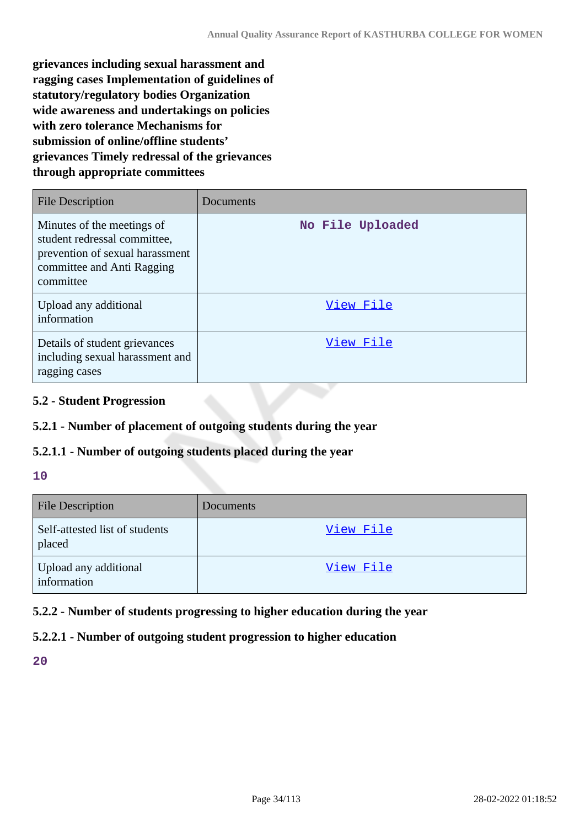**grievances including sexual harassment and ragging cases Implementation of guidelines of statutory/regulatory bodies Organization wide awareness and undertakings on policies with zero tolerance Mechanisms for submission of online/offline students' grievances Timely redressal of the grievances through appropriate committees**

| <b>File Description</b>                                                                                                                  | Documents        |
|------------------------------------------------------------------------------------------------------------------------------------------|------------------|
| Minutes of the meetings of<br>student redressal committee,<br>prevention of sexual harassment<br>committee and Anti Ragging<br>committee | No File Uploaded |
| Upload any additional<br>information                                                                                                     | View File        |
| Details of student grievances<br>including sexual harassment and<br>ragging cases                                                        | View File        |

#### **5.2 - Student Progression**

### **5.2.1 - Number of placement of outgoing students during the year**

#### **5.2.1.1 - Number of outgoing students placed during the year**

#### **10**

| <b>File Description</b>                  | Documents |
|------------------------------------------|-----------|
| Self-attested list of students<br>placed | View File |
| Upload any additional<br>information     | View File |

### **5.2.2 - Number of students progressing to higher education during the year**

### **5.2.2.1 - Number of outgoing student progression to higher education**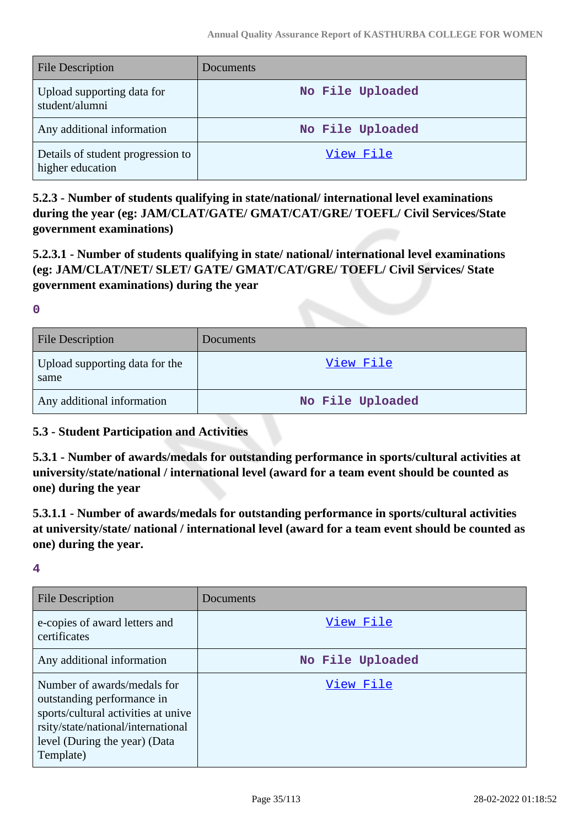| <b>File Description</b>                               | Documents        |
|-------------------------------------------------------|------------------|
| Upload supporting data for<br>student/alumni          | No File Uploaded |
| Any additional information                            | No File Uploaded |
| Details of student progression to<br>higher education | View File        |

**5.2.3 - Number of students qualifying in state/national/ international level examinations during the year (eg: JAM/CLAT/GATE/ GMAT/CAT/GRE/ TOEFL/ Civil Services/State government examinations)**

**5.2.3.1 - Number of students qualifying in state/ national/ international level examinations (eg: JAM/CLAT/NET/ SLET/ GATE/ GMAT/CAT/GRE/ TOEFL/ Civil Services/ State government examinations) during the year**

**0**

| <b>File Description</b>                | Documents        |
|----------------------------------------|------------------|
| Upload supporting data for the<br>same | View File        |
| Any additional information             | No File Uploaded |

### **5.3 - Student Participation and Activities**

**5.3.1 - Number of awards/medals for outstanding performance in sports/cultural activities at university/state/national / international level (award for a team event should be counted as one) during the year**

**5.3.1.1 - Number of awards/medals for outstanding performance in sports/cultural activities at university/state/ national / international level (award for a team event should be counted as one) during the year.**

| <b>File Description</b>                                                                                                                                                              | Documents        |
|--------------------------------------------------------------------------------------------------------------------------------------------------------------------------------------|------------------|
| e-copies of award letters and<br>certificates                                                                                                                                        | View File        |
| Any additional information                                                                                                                                                           | No File Uploaded |
| Number of awards/medals for<br>outstanding performance in<br>sports/cultural activities at unive<br>rsity/state/national/international<br>level (During the year) (Data<br>Template) | View File        |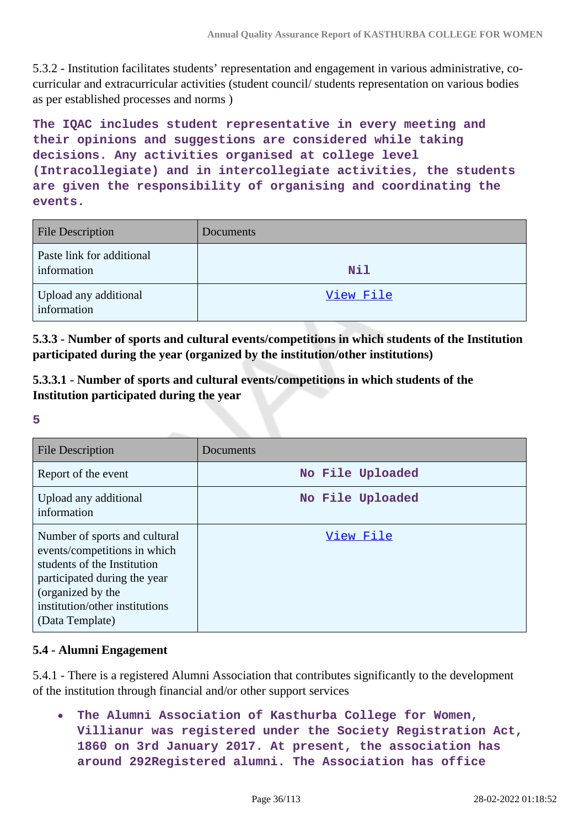5.3.2 - Institution facilitates students' representation and engagement in various administrative, cocurricular and extracurricular activities (student council/ students representation on various bodies as per established processes and norms )

**The IQAC includes student representative in every meeting and their opinions and suggestions are considered while taking decisions. Any activities organised at college level (Intracollegiate) and in intercollegiate activities, the students are given the responsibility of organising and coordinating the events.**

| <b>File Description</b>                  | Documents  |
|------------------------------------------|------------|
| Paste link for additional<br>information | <b>Nil</b> |
| Upload any additional<br>information     | View File  |

**5.3.3 - Number of sports and cultural events/competitions in which students of the Institution participated during the year (organized by the institution/other institutions)**

**5.3.3.1 - Number of sports and cultural events/competitions in which students of the Institution participated during the year**

**5**

| <b>File Description</b>                                                                                                                                                                                | Documents        |
|--------------------------------------------------------------------------------------------------------------------------------------------------------------------------------------------------------|------------------|
| Report of the event                                                                                                                                                                                    | No File Uploaded |
| Upload any additional<br>information                                                                                                                                                                   | No File Uploaded |
| Number of sports and cultural<br>events/competitions in which<br>students of the Institution<br>participated during the year<br>(organized by the<br>institution/other institutions<br>(Data Template) | View File        |

### **5.4 - Alumni Engagement**

5.4.1 - There is a registered Alumni Association that contributes significantly to the development of the institution through financial and/or other support services

**The Alumni Association of Kasthurba College for Women, Villianur was registered under the Society Registration Act, 1860 on 3rd January 2017. At present, the association has around 292Registered alumni. The Association has office**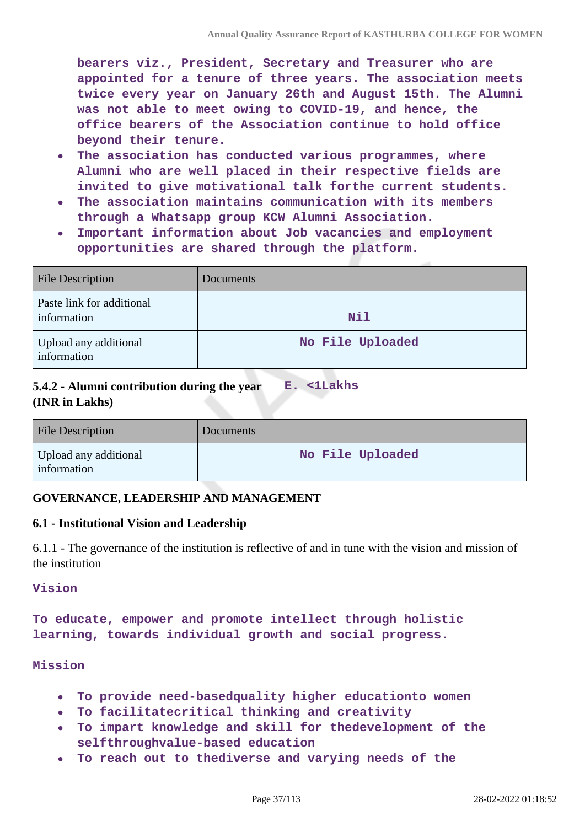**bearers viz., President, Secretary and Treasurer who are appointed for a tenure of three years. The association meets twice every year on January 26th and August 15th. The Alumni was not able to meet owing to COVID-19, and hence, the office bearers of the Association continue to hold office beyond their tenure.**

- **The association has conducted various programmes, where**  $\bullet$ **Alumni who are well placed in their respective fields are invited to give motivational talk forthe current students.**
- **The association maintains communication with its members through a Whatsapp group KCW Alumni Association.**
- **Important information about Job vacancies and employment**  $\bullet$ **opportunities are shared through the platform.**

| <b>File Description</b>                  | Documents        |
|------------------------------------------|------------------|
| Paste link for additional<br>information | Nil              |
| Upload any additional<br>information     | No File Uploaded |

#### **5.4.2 - Alumni contribution during the year (INR in Lakhs) E. <1Lakhs**

| <b>File Description</b>              | <b>Documents</b> |
|--------------------------------------|------------------|
| Upload any additional<br>information | No File Uploaded |

## **GOVERNANCE, LEADERSHIP AND MANAGEMENT**

## **6.1 - Institutional Vision and Leadership**

6.1.1 - The governance of the institution is reflective of and in tune with the vision and mission of the institution

**Vision**

**To educate, empower and promote intellect through holistic learning, towards individual growth and social progress.**

**Mission**

- **To provide need-basedquality higher educationto women**  $\bullet$
- **To facilitatecritical thinking and creativity**  $\bullet$
- **To impart knowledge and skill for thedevelopment of the selfthroughvalue-based education**
- **To reach out to thediverse and varying needs of the**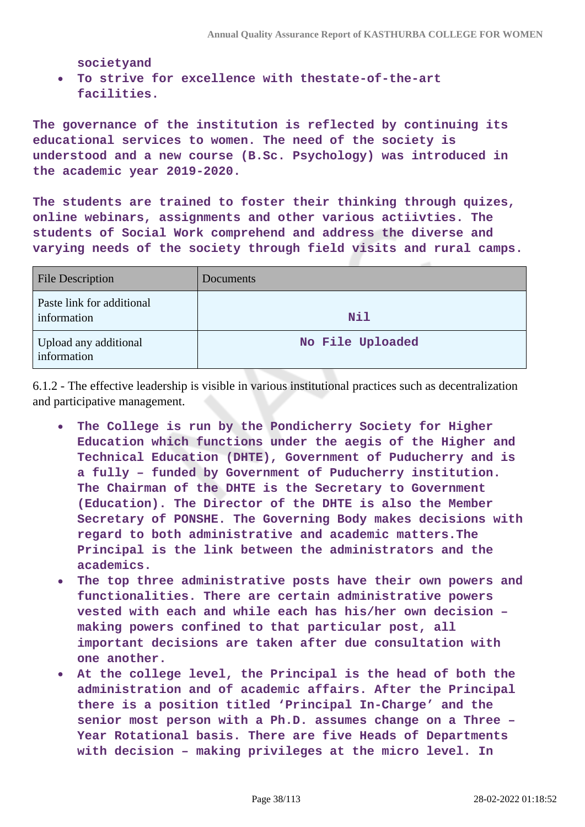**societyand**

**To strive for excellence with thestate-of-the-art facilities.**

**The governance of the institution is reflected by continuing its educational services to women. The need of the society is understood and a new course (B.Sc. Psychology) was introduced in the academic year 2019-2020.**

**The students are trained to foster their thinking through quizes, online webinars, assignments and other various actiivties. The students of Social Work comprehend and address the diverse and varying needs of the society through field visits and rural camps.**

| <b>File Description</b>                  | Documents        |
|------------------------------------------|------------------|
| Paste link for additional<br>information | Nil              |
| Upload any additional<br>information     | No File Uploaded |

6.1.2 - The effective leadership is visible in various institutional practices such as decentralization and participative management.

- **The College is run by the Pondicherry Society for Higher**  $\bullet$ **Education which functions under the aegis of the Higher and Technical Education (DHTE), Government of Puducherry and is a fully – funded by Government of Puducherry institution. The Chairman of the DHTE is the Secretary to Government (Education). The Director of the DHTE is also the Member Secretary of PONSHE. The Governing Body makes decisions with regard to both administrative and academic matters.The Principal is the link between the administrators and the academics.**
- **The top three administrative posts have their own powers and functionalities. There are certain administrative powers vested with each and while each has his/her own decision – making powers confined to that particular post, all important decisions are taken after due consultation with one another.**
- **At the college level, the Principal is the head of both the**  $\bullet$ **administration and of academic affairs. After the Principal there is a position titled 'Principal In-Charge' and the senior most person with a Ph.D. assumes change on a Three – Year Rotational basis. There are five Heads of Departments with decision – making privileges at the micro level. In**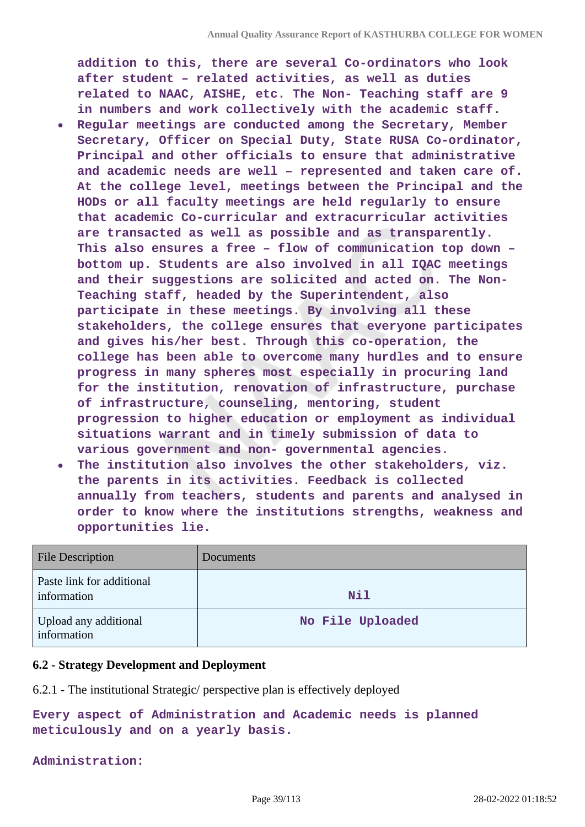**addition to this, there are several Co-ordinators who look after student – related activities, as well as duties related to NAAC, AISHE, etc. The Non- Teaching staff are 9 in numbers and work collectively with the academic staff.**

- **Regular meetings are conducted among the Secretary, Member**  $\bullet$ **Secretary, Officer on Special Duty, State RUSA Co-ordinator, Principal and other officials to ensure that administrative and academic needs are well – represented and taken care of. At the college level, meetings between the Principal and the HODs or all faculty meetings are held regularly to ensure that academic Co-curricular and extracurricular activities are transacted as well as possible and as transparently. This also ensures a free – flow of communication top down – bottom up. Students are also involved in all IQAC meetings and their suggestions are solicited and acted on. The Non-Teaching staff, headed by the Superintendent, also participate in these meetings. By involving all these stakeholders, the college ensures that everyone participates and gives his/her best. Through this co-operation, the college has been able to overcome many hurdles and to ensure progress in many spheres most especially in procuring land for the institution, renovation of infrastructure, purchase of infrastructure, counseling, mentoring, student progression to higher education or employment as individual situations warrant and in timely submission of data to various government and non- governmental agencies.**
- **The institution also involves the other stakeholders, viz. the parents in its activities. Feedback is collected annually from teachers, students and parents and analysed in order to know where the institutions strengths, weakness and opportunities lie.**

| <b>File Description</b>                  | Documents        |
|------------------------------------------|------------------|
| Paste link for additional<br>information | <b>Nil</b>       |
| Upload any additional<br>information     | No File Uploaded |

#### **6.2 - Strategy Development and Deployment**

6.2.1 - The institutional Strategic/ perspective plan is effectively deployed

**Every aspect of Administration and Academic needs is planned meticulously and on a yearly basis.**

#### **Administration:**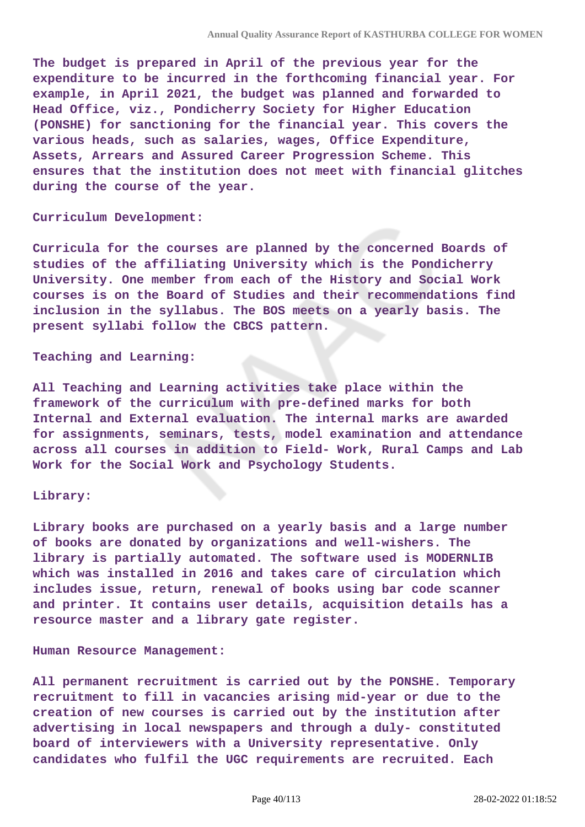**The budget is prepared in April of the previous year for the expenditure to be incurred in the forthcoming financial year. For example, in April 2021, the budget was planned and forwarded to Head Office, viz., Pondicherry Society for Higher Education (PONSHE) for sanctioning for the financial year. This covers the various heads, such as salaries, wages, Office Expenditure, Assets, Arrears and Assured Career Progression Scheme. This ensures that the institution does not meet with financial glitches during the course of the year.**

#### **Curriculum Development:**

**Curricula for the courses are planned by the concerned Boards of studies of the affiliating University which is the Pondicherry University. One member from each of the History and Social Work courses is on the Board of Studies and their recommendations find inclusion in the syllabus. The BOS meets on a yearly basis. The present syllabi follow the CBCS pattern.**

#### **Teaching and Learning:**

**All Teaching and Learning activities take place within the framework of the curriculum with pre-defined marks for both Internal and External evaluation. The internal marks are awarded for assignments, seminars, tests, model examination and attendance across all courses in addition to Field- Work, Rural Camps and Lab Work for the Social Work and Psychology Students.**

#### **Library:**

**Library books are purchased on a yearly basis and a large number of books are donated by organizations and well-wishers. The library is partially automated. The software used is MODERNLIB which was installed in 2016 and takes care of circulation which includes issue, return, renewal of books using bar code scanner and printer. It contains user details, acquisition details has a resource master and a library gate register.**

#### **Human Resource Management:**

**All permanent recruitment is carried out by the PONSHE. Temporary recruitment to fill in vacancies arising mid-year or due to the creation of new courses is carried out by the institution after advertising in local newspapers and through a duly- constituted board of interviewers with a University representative. Only candidates who fulfil the UGC requirements are recruited. Each**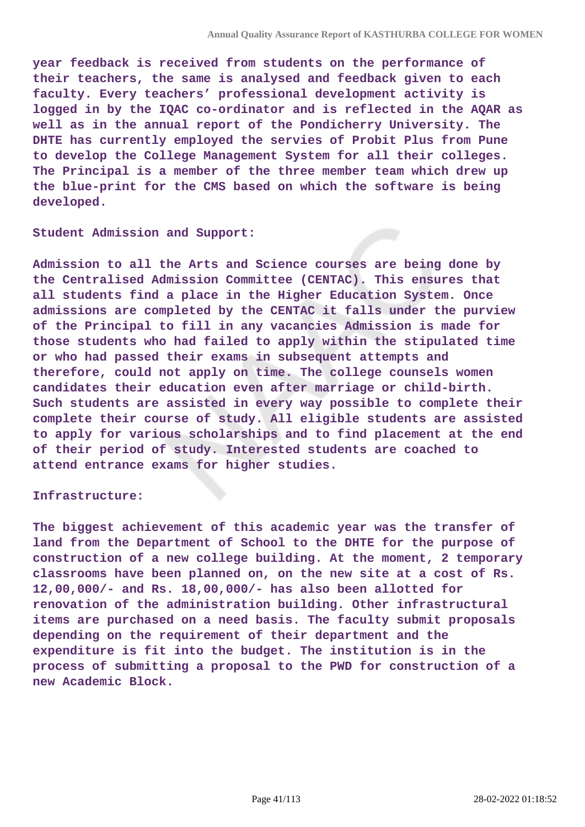**year feedback is received from students on the performance of their teachers, the same is analysed and feedback given to each faculty. Every teachers' professional development activity is logged in by the IQAC co-ordinator and is reflected in the AQAR as well as in the annual report of the Pondicherry University. The DHTE has currently employed the servies of Probit Plus from Pune to develop the College Management System for all their colleges. The Principal is a member of the three member team which drew up the blue-print for the CMS based on which the software is being developed.**

**Student Admission and Support:**

**Admission to all the Arts and Science courses are being done by the Centralised Admission Committee (CENTAC). This ensures that all students find a place in the Higher Education System. Once admissions are completed by the CENTAC it falls under the purview of the Principal to fill in any vacancies Admission is made for those students who had failed to apply within the stipulated time or who had passed their exams in subsequent attempts and therefore, could not apply on time. The college counsels women candidates their education even after marriage or child-birth. Such students are assisted in every way possible to complete their complete their course of study. All eligible students are assisted to apply for various scholarships and to find placement at the end of their period of study. Interested students are coached to attend entrance exams for higher studies.**

#### **Infrastructure:**

**The biggest achievement of this academic year was the transfer of land from the Department of School to the DHTE for the purpose of construction of a new college building. At the moment, 2 temporary classrooms have been planned on, on the new site at a cost of Rs. 12,00,000/- and Rs. 18,00,000/- has also been allotted for renovation of the administration building. Other infrastructural items are purchased on a need basis. The faculty submit proposals depending on the requirement of their department and the expenditure is fit into the budget. The institution is in the process of submitting a proposal to the PWD for construction of a new Academic Block.**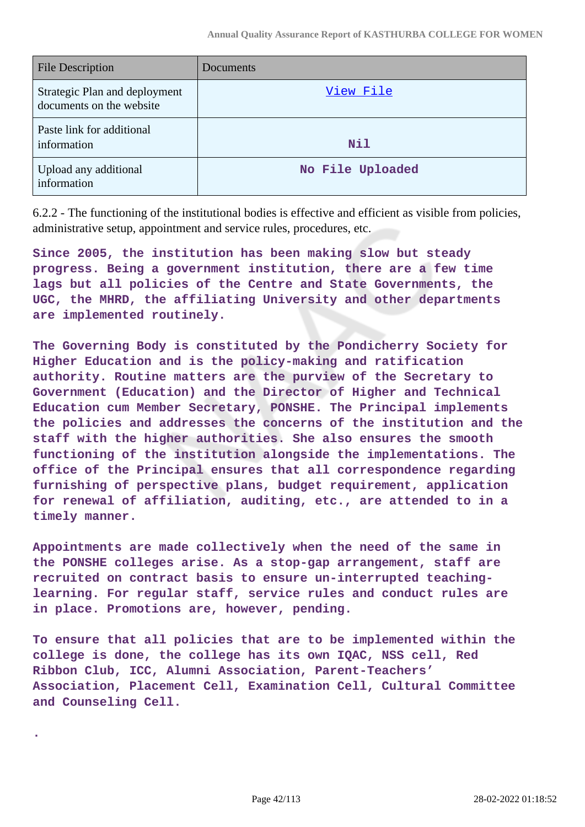| <b>File Description</b>                                   | <b>Documents</b> |
|-----------------------------------------------------------|------------------|
| Strategic Plan and deployment<br>documents on the website | View File        |
| Paste link for additional<br>information                  | <b>Nil</b>       |
| Upload any additional<br>information                      | No File Uploaded |

6.2.2 - The functioning of the institutional bodies is effective and efficient as visible from policies, administrative setup, appointment and service rules, procedures, etc.

**Since 2005, the institution has been making slow but steady progress. Being a government institution, there are a few time lags but all policies of the Centre and State Governments, the UGC, the MHRD, the affiliating University and other departments are implemented routinely.**

**The Governing Body is constituted by the Pondicherry Society for Higher Education and is the policy-making and ratification authority. Routine matters are the purview of the Secretary to Government (Education) and the Director of Higher and Technical Education cum Member Secretary, PONSHE. The Principal implements the policies and addresses the concerns of the institution and the staff with the higher authorities. She also ensures the smooth functioning of the institution alongside the implementations. The office of the Principal ensures that all correspondence regarding furnishing of perspective plans, budget requirement, application for renewal of affiliation, auditing, etc., are attended to in a timely manner.**

**Appointments are made collectively when the need of the same in the PONSHE colleges arise. As a stop-gap arrangement, staff are recruited on contract basis to ensure un-interrupted teachinglearning. For regular staff, service rules and conduct rules are in place. Promotions are, however, pending.**

**To ensure that all policies that are to be implemented within the college is done, the college has its own IQAC, NSS cell, Red Ribbon Club, ICC, Alumni Association, Parent-Teachers' Association, Placement Cell, Examination Cell, Cultural Committee and Counseling Cell.**

**.**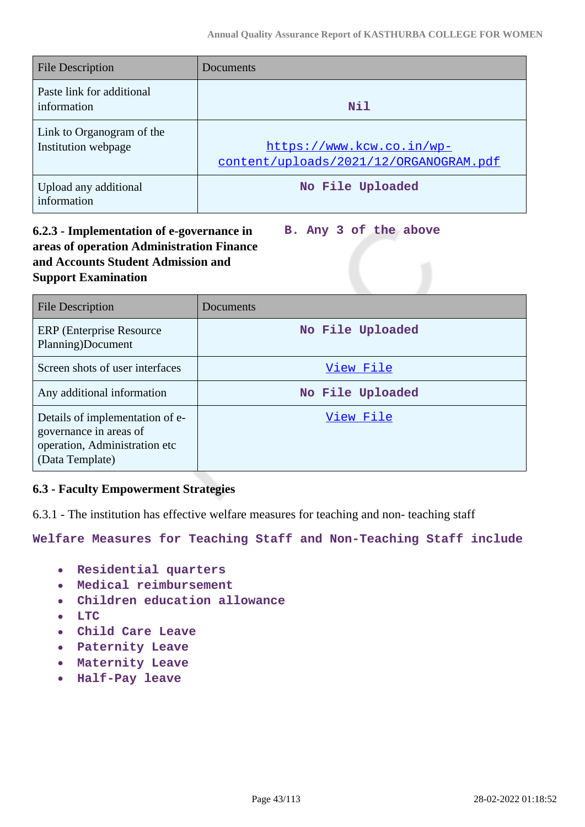| <b>File Description</b>                          | Documents                                                           |
|--------------------------------------------------|---------------------------------------------------------------------|
| Paste link for additional<br>information         | <b>Nil</b>                                                          |
| Link to Organogram of the<br>Institution webpage | https://www.kcw.co.in/wp-<br>content/uploads/2021/12/ORGANOGRAM.pdf |
| Upload any additional<br>information             | No File Uploaded                                                    |

## **6.2.3 - Implementation of e-governance in areas of operation Administration Finance and Accounts Student Admission and Support Examination**

**B. Any 3 of the above**

| File Description                                                                                              | Documents        |
|---------------------------------------------------------------------------------------------------------------|------------------|
| <b>ERP</b> (Enterprise Resource)<br>Planning)Document                                                         | No File Uploaded |
| Screen shots of user interfaces                                                                               | View File        |
| Any additional information                                                                                    | No File Uploaded |
| Details of implementation of e-<br>governance in areas of<br>operation, Administration etc<br>(Data Template) | View File        |

## **6.3 - Faculty Empowerment Strategies**

6.3.1 - The institution has effective welfare measures for teaching and non- teaching staff

**Welfare Measures for Teaching Staff and Non-Teaching Staff include**

- **Residential quarters**  $\bullet$
- **Medical reimbursement**  $\bullet$
- **Children education allowance**  $\bullet$
- **LTC**
- **Child Care Leave**
- **Paternity Leave**
- **Maternity Leave**
- **Half-Pay leave**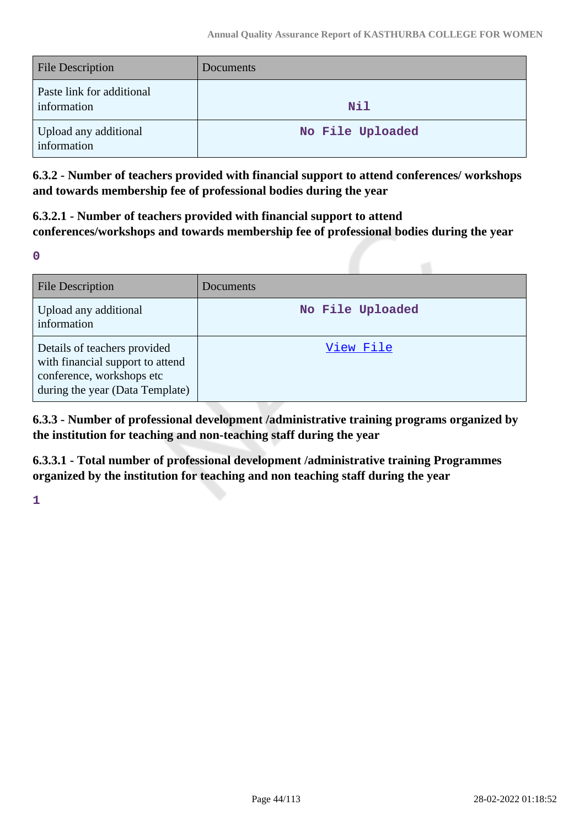| File Description                         | Documents        |
|------------------------------------------|------------------|
| Paste link for additional<br>information | <b>Nil</b>       |
| Upload any additional<br>information     | No File Uploaded |

**6.3.2 - Number of teachers provided with financial support to attend conferences/ workshops and towards membership fee of professional bodies during the year**

**6.3.2.1 - Number of teachers provided with financial support to attend conferences/workshops and towards membership fee of professional bodies during the year**

**0**

| File Description                                                                                                                 | Documents        |
|----------------------------------------------------------------------------------------------------------------------------------|------------------|
| Upload any additional<br>information                                                                                             | No File Uploaded |
| Details of teachers provided<br>with financial support to attend<br>conference, workshops etc<br>during the year (Data Template) | View File        |

**6.3.3 - Number of professional development /administrative training programs organized by the institution for teaching and non-teaching staff during the year**

**6.3.3.1 - Total number of professional development /administrative training Programmes organized by the institution for teaching and non teaching staff during the year**

**1**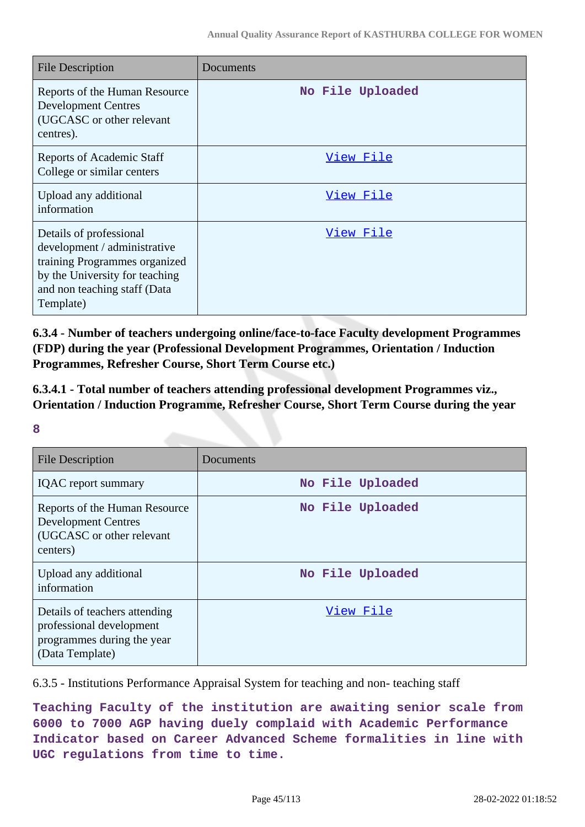| <b>File Description</b>                                                                                                                                                 | Documents        |
|-------------------------------------------------------------------------------------------------------------------------------------------------------------------------|------------------|
| Reports of the Human Resource<br><b>Development Centres</b><br>(UGCASC or other relevant<br>centres).                                                                   | No File Uploaded |
| <b>Reports of Academic Staff</b><br>College or similar centers                                                                                                          | <u>View File</u> |
| Upload any additional<br>information                                                                                                                                    | <u>View File</u> |
| Details of professional<br>development / administrative<br>training Programmes organized<br>by the University for teaching<br>and non teaching staff (Data<br>Template) | <u>View File</u> |

**6.3.4 - Number of teachers undergoing online/face-to-face Faculty development Programmes (FDP) during the year (Professional Development Programmes, Orientation / Induction Programmes, Refresher Course, Short Term Course etc.)**

**6.3.4.1 - Total number of teachers attending professional development Programmes viz., Orientation / Induction Programme, Refresher Course, Short Term Course during the year**

#### **8**

| <b>File Description</b>                                                                                    | Documents        |
|------------------------------------------------------------------------------------------------------------|------------------|
| <b>IQAC</b> report summary                                                                                 | No File Uploaded |
| Reports of the Human Resource<br><b>Development Centres</b><br>(UGCASC or other relevant<br>centers)       | No File Uploaded |
| Upload any additional<br>information                                                                       | No File Uploaded |
| Details of teachers attending<br>professional development<br>programmes during the year<br>(Data Template) | View File        |

6.3.5 - Institutions Performance Appraisal System for teaching and non- teaching staff

**Teaching Faculty of the institution are awaiting senior scale from 6000 to 7000 AGP having duely complaid with Academic Performance Indicator based on Career Advanced Scheme formalities in line with UGC regulations from time to time.**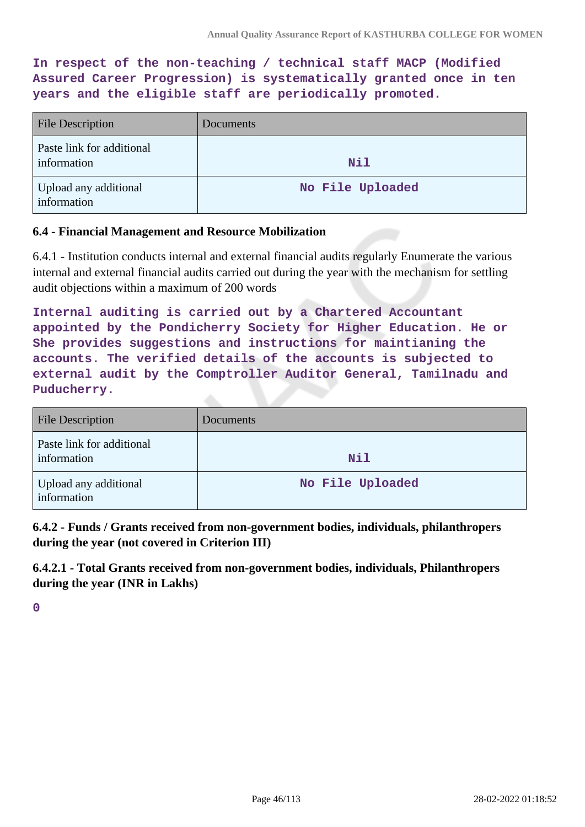**In respect of the non-teaching / technical staff MACP (Modified Assured Career Progression) is systematically granted once in ten years and the eligible staff are periodically promoted.**

| <b>File Description</b>                  | Documents        |
|------------------------------------------|------------------|
| Paste link for additional<br>information | <b>Nil</b>       |
| Upload any additional<br>information     | No File Uploaded |

### **6.4 - Financial Management and Resource Mobilization**

6.4.1 - Institution conducts internal and external financial audits regularly Enumerate the various internal and external financial audits carried out during the year with the mechanism for settling audit objections within a maximum of 200 words

**Internal auditing is carried out by a Chartered Accountant appointed by the Pondicherry Society for Higher Education. He or She provides suggestions and instructions for maintianing the accounts. The verified details of the accounts is subjected to external audit by the Comptroller Auditor General, Tamilnadu and Puducherry.**

| <b>File Description</b>                  | Documents        |
|------------------------------------------|------------------|
| Paste link for additional<br>information | <b>Nil</b>       |
| Upload any additional<br>information     | No File Uploaded |

**6.4.2 - Funds / Grants received from non-government bodies, individuals, philanthropers during the year (not covered in Criterion III)**

**6.4.2.1 - Total Grants received from non-government bodies, individuals, Philanthropers during the year (INR in Lakhs)**

**0**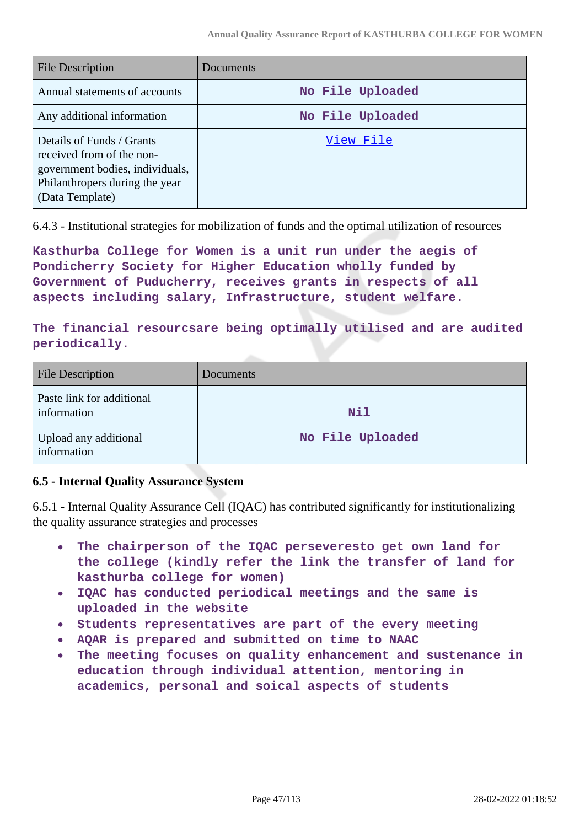| <b>File Description</b>                                                                                                                        | Documents        |
|------------------------------------------------------------------------------------------------------------------------------------------------|------------------|
| Annual statements of accounts                                                                                                                  | No File Uploaded |
| Any additional information                                                                                                                     | No File Uploaded |
| Details of Funds / Grants<br>received from of the non-<br>government bodies, individuals,<br>Philanthropers during the year<br>(Data Template) | View File        |

6.4.3 - Institutional strategies for mobilization of funds and the optimal utilization of resources

**Kasthurba College for Women is a unit run under the aegis of Pondicherry Society for Higher Education wholly funded by Government of Puducherry, receives grants in respects of all aspects including salary, Infrastructure, student welfare.**

**The financial resourcsare being optimally utilised and are audited periodically.**

| <b>File Description</b>                  | Documents        |
|------------------------------------------|------------------|
| Paste link for additional<br>information | <b>Nil</b>       |
| Upload any additional<br>information     | No File Uploaded |

## **6.5 - Internal Quality Assurance System**

6.5.1 - Internal Quality Assurance Cell (IQAC) has contributed significantly for institutionalizing the quality assurance strategies and processes

- $\bullet$ **The chairperson of the IQAC perseveresto get own land for the college (kindly refer the link the transfer of land for kasthurba college for women)**
- **IQAC has conducted periodical meetings and the same is uploaded in the website**
- **Students representatives are part of the every meeting**
- **AQAR is prepared and submitted on time to NAAC**
- **The meeting focuses on quality enhancement and sustenance in**  $\bullet$ **education through individual attention, mentoring in academics, personal and soical aspects of students**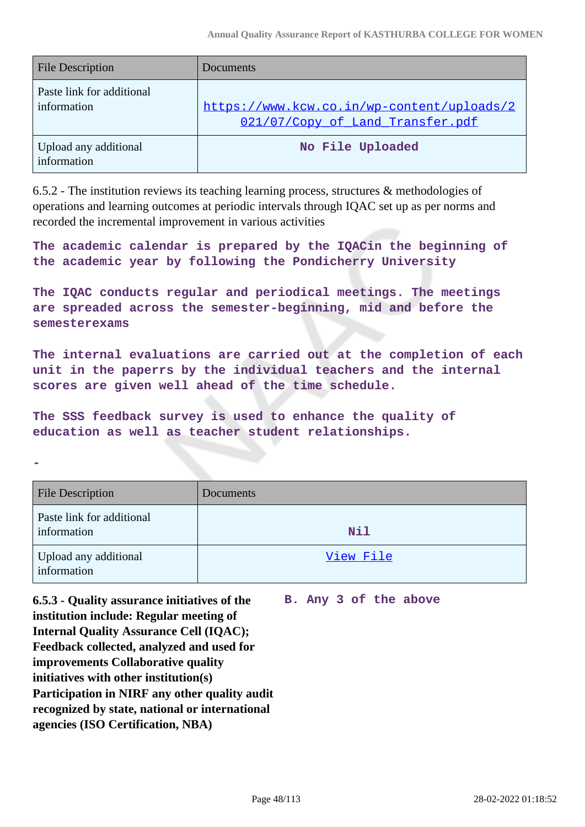| <b>File Description</b>                  | Documents                                                                      |
|------------------------------------------|--------------------------------------------------------------------------------|
| Paste link for additional<br>information | https://www.kcw.co.in/wp-content/uploads/2<br>021/07/Copy_of_Land_Transfer.pdf |
| Upload any additional<br>information     | No File Uploaded                                                               |

6.5.2 - The institution reviews its teaching learning process, structures & methodologies of operations and learning outcomes at periodic intervals through IQAC set up as per norms and recorded the incremental improvement in various activities

**The academic calendar is prepared by the IQACin the beginning of the academic year by following the Pondicherry University**

**The IQAC conducts regular and periodical meetings. The meetings are spreaded across the semester-beginning, mid and before the semesterexams**

**The internal evaluations are carried out at the completion of each unit in the paperrs by the individual teachers and the internal scores are given well ahead of the time schedule.**

**The SSS feedback survey is used to enhance the quality of education as well as teacher student relationships.**

**-**

| <b>File Description</b>                  | Documents  |
|------------------------------------------|------------|
| Paste link for additional<br>information | <b>Nil</b> |
| Upload any additional<br>information     | View File  |

**6.5.3 - Quality assurance initiatives of the institution include: Regular meeting of Internal Quality Assurance Cell (IQAC); Feedback collected, analyzed and used for improvements Collaborative quality initiatives with other institution(s) Participation in NIRF any other quality audit recognized by state, national or international agencies (ISO Certification, NBA) B. Any 3 of the above**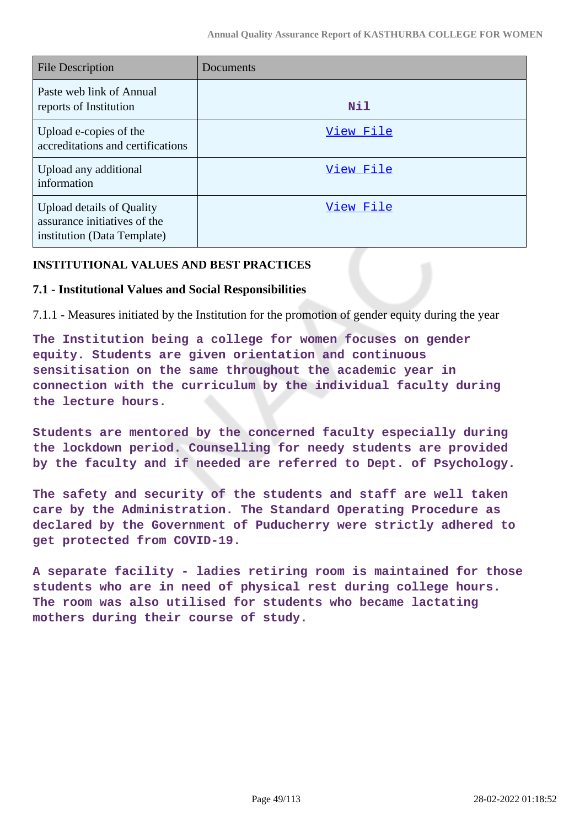| <b>File Description</b>                                                                  | Documents |
|------------------------------------------------------------------------------------------|-----------|
| Paste web link of Annual<br>reports of Institution                                       | Nil       |
| Upload e-copies of the<br>accreditations and certifications                              | View File |
| Upload any additional<br>information                                                     | View File |
| Upload details of Quality<br>assurance initiatives of the<br>institution (Data Template) | View File |

#### **INSTITUTIONAL VALUES AND BEST PRACTICES**

#### **7.1 - Institutional Values and Social Responsibilities**

7.1.1 - Measures initiated by the Institution for the promotion of gender equity during the year

**The Institution being a college for women focuses on gender equity. Students are given orientation and continuous sensitisation on the same throughout the academic year in connection with the curriculum by the individual faculty during the lecture hours.**

**Students are mentored by the concerned faculty especially during the lockdown period. Counselling for needy students are provided by the faculty and if needed are referred to Dept. of Psychology.**

**The safety and security of the students and staff are well taken care by the Administration. The Standard Operating Procedure as declared by the Government of Puducherry were strictly adhered to get protected from COVID-19.**

**A separate facility - ladies retiring room is maintained for those students who are in need of physical rest during college hours. The room was also utilised for students who became lactating mothers during their course of study.**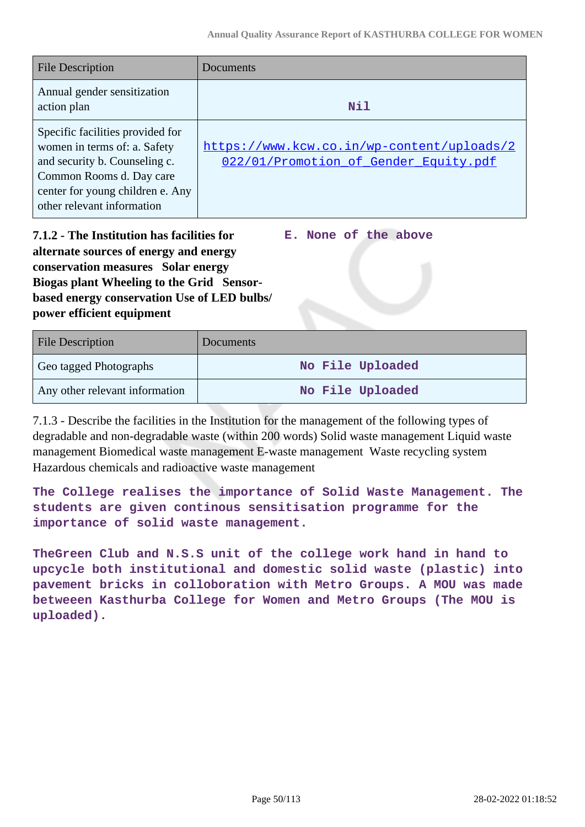| <b>File Description</b>                                                                                                                                                                         | Documents                                                                           |
|-------------------------------------------------------------------------------------------------------------------------------------------------------------------------------------------------|-------------------------------------------------------------------------------------|
| Annual gender sensitization<br>action plan                                                                                                                                                      | Nil                                                                                 |
| Specific facilities provided for<br>women in terms of: a. Safety<br>and security b. Counseling c.<br>Common Rooms d. Day care<br>center for young children e. Any<br>other relevant information | https://www.kcw.co.in/wp-content/uploads/2<br>022/01/Promotion of Gender Equity.pdf |

**7.1.2 - The Institution has facilities for alternate sources of energy and energy conservation measures Solar energy Biogas plant Wheeling to the Grid Sensorbased energy conservation Use of LED bulbs/ power efficient equipment** 

**E. None of the above**

| <b>File Description</b>        | Documents        |
|--------------------------------|------------------|
| Geo tagged Photographs         | No File Uploaded |
| Any other relevant information | No File Uploaded |

7.1.3 - Describe the facilities in the Institution for the management of the following types of degradable and non-degradable waste (within 200 words) Solid waste management Liquid waste management Biomedical waste management E-waste management Waste recycling system Hazardous chemicals and radioactive waste management

**The College realises the importance of Solid Waste Management. The students are given continous sensitisation programme for the importance of solid waste management.**

**TheGreen Club and N.S.S unit of the college work hand in hand to upcycle both institutional and domestic solid waste (plastic) into pavement bricks in colloboration with Metro Groups. A MOU was made betweeen Kasthurba College for Women and Metro Groups (The MOU is uploaded).**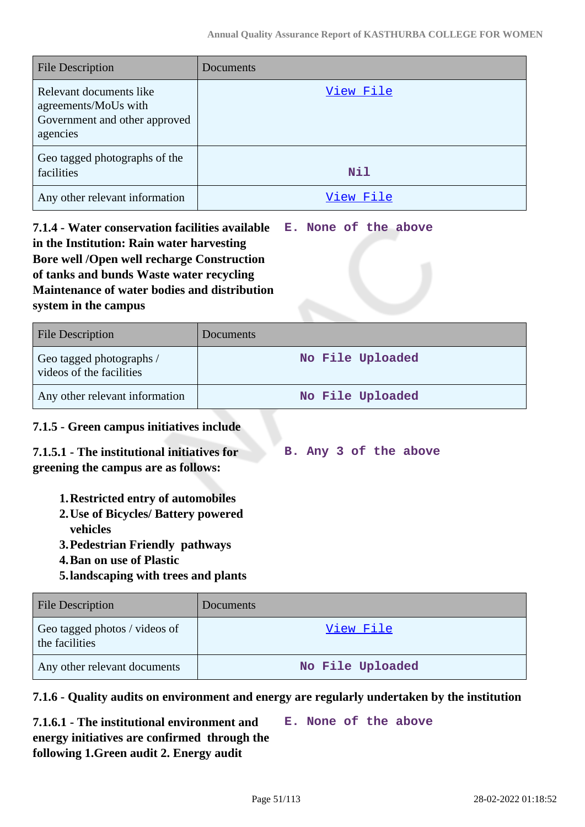| <b>File Description</b>                                                                      | Documents  |
|----------------------------------------------------------------------------------------------|------------|
| Relevant documents like<br>agreements/MoUs with<br>Government and other approved<br>agencies | View File  |
| Geo tagged photographs of the<br>facilities                                                  | <b>Nil</b> |
| Any other relevant information                                                               | View File  |

**7.1.4 - Water conservation facilities available in the Institution: Rain water harvesting Bore well /Open well recharge Construction of tanks and bunds Waste water recycling Maintenance of water bodies and distribution system in the campus E. None of the above**

| <b>File Description</b>                              | Documents        |
|------------------------------------------------------|------------------|
| Geo tagged photographs /<br>videos of the facilities | No File Uploaded |
| Any other relevant information                       | No File Uploaded |

## **7.1.5 - Green campus initiatives include**

| 7.1.5.1 - The institutional initiatives for |  |  | B. Any 3 of the above |
|---------------------------------------------|--|--|-----------------------|
| greening the campus are as follows:         |  |  |                       |

- **1.Restricted entry of automobiles**
- **2.Use of Bicycles/ Battery powered vehicles**
- **3.Pedestrian Friendly pathways**
- **4.Ban on use of Plastic**
- **5.landscaping with trees and plants**

| <b>File Description</b>                         | <b>Documents</b> |
|-------------------------------------------------|------------------|
| Geo tagged photos / videos of<br>the facilities | View File        |
| Any other relevant documents                    | No File Uploaded |

#### **7.1.6 - Quality audits on environment and energy are regularly undertaken by the institution**

**7.1.6.1 - The institutional environment and energy initiatives are confirmed through the following 1.Green audit 2. Energy audit E. None of the above**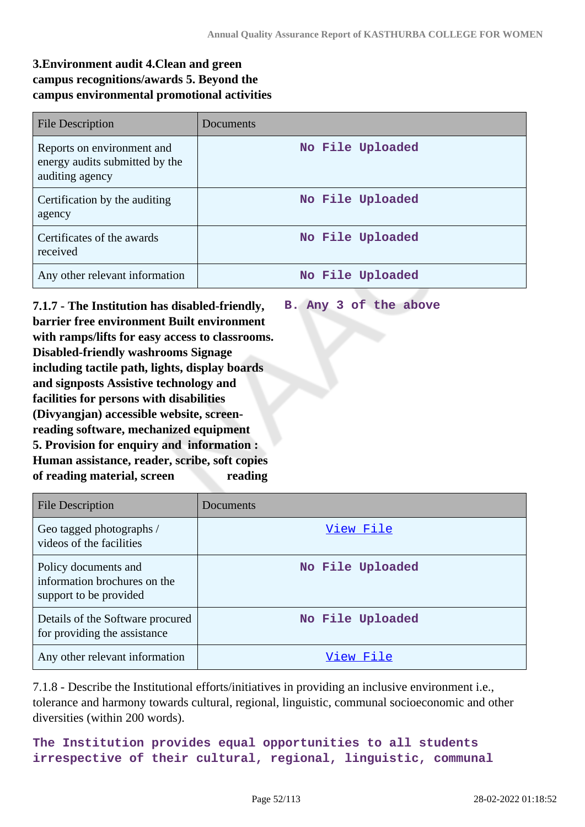## **3.Environment audit 4.Clean and green campus recognitions/awards 5. Beyond the campus environmental promotional activities**

| <b>File Description</b>                                                         | Documents        |
|---------------------------------------------------------------------------------|------------------|
| Reports on environment and<br>energy audits submitted by the<br>auditing agency | No File Uploaded |
| Certification by the auditing<br>agency                                         | No File Uploaded |
| Certificates of the awards<br>received                                          | No File Uploaded |
| Any other relevant information                                                  | No File Uploaded |

**7.1.7 - The Institution has disabled-friendly, barrier free environment Built environment with ramps/lifts for easy access to classrooms. Disabled-friendly washrooms Signage including tactile path, lights, display boards and signposts Assistive technology and facilities for persons with disabilities (Divyangjan) accessible website, screenreading software, mechanized equipment 5. Provision for enquiry and information : Human assistance, reader, scribe, soft copies** of reading material, screen reading **B. Any 3 of the above**

| <b>File Description</b>                                                        | Documents        |
|--------------------------------------------------------------------------------|------------------|
| Geo tagged photographs /<br>videos of the facilities                           | View File        |
| Policy documents and<br>information brochures on the<br>support to be provided | No File Uploaded |
| Details of the Software procured<br>for providing the assistance               | No File Uploaded |
| Any other relevant information                                                 | View File        |

7.1.8 - Describe the Institutional efforts/initiatives in providing an inclusive environment i.e., tolerance and harmony towards cultural, regional, linguistic, communal socioeconomic and other diversities (within 200 words).

**The Institution provides equal opportunities to all students irrespective of their cultural, regional, linguistic, communal**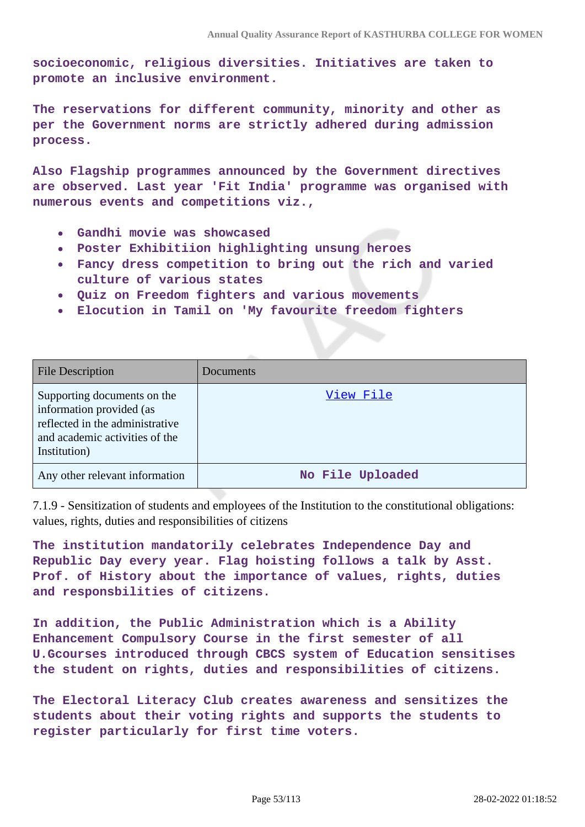**socioeconomic, religious diversities. Initiatives are taken to promote an inclusive environment.**

**The reservations for different community, minority and other as per the Government norms are strictly adhered during admission process.**

**Also Flagship programmes announced by the Government directives are observed. Last year 'Fit India' programme was organised with numerous events and competitions viz.,**

- **Gandhi movie was showcased**  $\bullet$
- **Poster Exhibitiion highlighting unsung heroes**
- **Fancy dress competition to bring out the rich and varied culture of various states**
- **Quiz on Freedom fighters and various movements**
- **Elocution in Tamil on 'My favourite freedom fighters**

| <b>File Description</b>                                                                                                                      | Documents        |
|----------------------------------------------------------------------------------------------------------------------------------------------|------------------|
| Supporting documents on the<br>information provided (as<br>reflected in the administrative<br>and academic activities of the<br>Institution) | View File        |
| Any other relevant information                                                                                                               | No File Uploaded |

7.1.9 - Sensitization of students and employees of the Institution to the constitutional obligations: values, rights, duties and responsibilities of citizens

**The institution mandatorily celebrates Independence Day and Republic Day every year. Flag hoisting follows a talk by Asst. Prof. of History about the importance of values, rights, duties and responsbilities of citizens.**

**In addition, the Public Administration which is a Ability Enhancement Compulsory Course in the first semester of all U.Gcourses introduced through CBCS system of Education sensitises the student on rights, duties and responsibilities of citizens.**

**The Electoral Literacy Club creates awareness and sensitizes the students about their voting rights and supports the students to register particularly for first time voters.**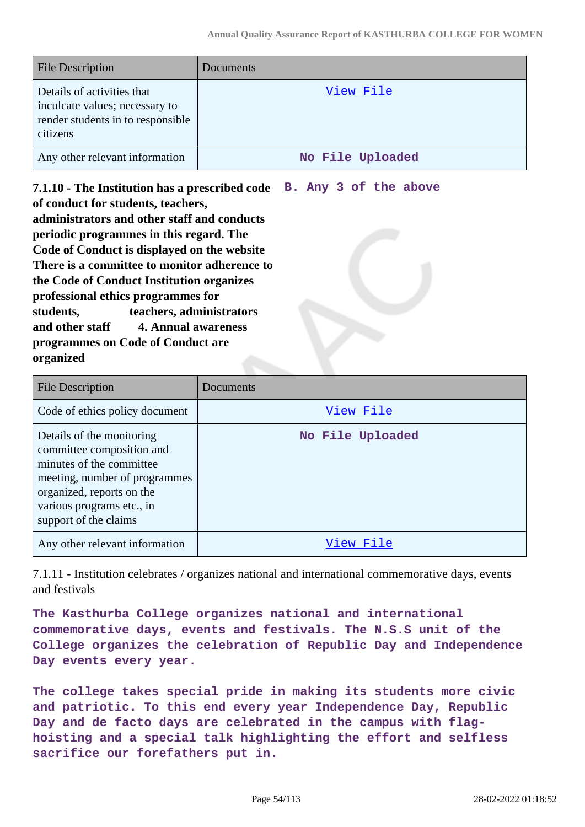| <b>File Description</b>                                                                                       | Documents        |
|---------------------------------------------------------------------------------------------------------------|------------------|
| Details of activities that<br>inculcate values; necessary to<br>render students in to responsible<br>citizens | View File        |
| Any other relevant information                                                                                | No File Uploaded |

**7.1.10 - The Institution has a prescribed code of conduct for students, teachers, administrators and other staff and conducts periodic programmes in this regard. The Code of Conduct is displayed on the website There is a committee to monitor adherence to the Code of Conduct Institution organizes professional ethics programmes for students, teachers, administrators and other staff 4. Annual awareness programmes on Code of Conduct are organized B. Any 3 of the above**

| <b>File Description</b>                                                                                                                                                                                | Documents        |
|--------------------------------------------------------------------------------------------------------------------------------------------------------------------------------------------------------|------------------|
| Code of ethics policy document                                                                                                                                                                         | View File        |
| Details of the monitoring<br>committee composition and<br>minutes of the committee<br>meeting, number of programmes<br>organized, reports on the<br>various programs etc., in<br>support of the claims | No File Uploaded |
| Any other relevant information                                                                                                                                                                         | View File        |

7.1.11 - Institution celebrates / organizes national and international commemorative days, events and festivals

**The Kasthurba College organizes national and international commemorative days, events and festivals. The N.S.S unit of the College organizes the celebration of Republic Day and Independence Day events every year.**

**The college takes special pride in making its students more civic and patriotic. To this end every year Independence Day, Republic Day and de facto days are celebrated in the campus with flaghoisting and a special talk highlighting the effort and selfless sacrifice our forefathers put in.**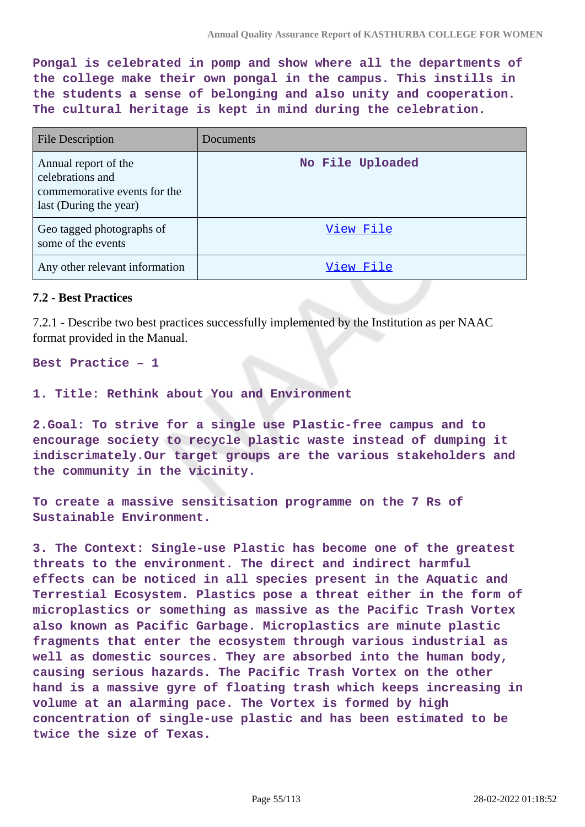**Pongal is celebrated in pomp and show where all the departments of the college make their own pongal in the campus. This instills in the students a sense of belonging and also unity and cooperation. The cultural heritage is kept in mind during the celebration.**

| <b>File Description</b>                                                                            | Documents        |
|----------------------------------------------------------------------------------------------------|------------------|
| Annual report of the<br>celebrations and<br>commemorative events for the<br>last (During the year) | No File Uploaded |
| Geo tagged photographs of<br>some of the events                                                    | View File        |
| Any other relevant information                                                                     | View File        |

#### **7.2 - Best Practices**

7.2.1 - Describe two best practices successfully implemented by the Institution as per NAAC format provided in the Manual.

**Best Practice – 1**

**1. Title: Rethink about You and Environment**

**2.Goal: To strive for a single use Plastic-free campus and to encourage society to recycle plastic waste instead of dumping it indiscrimately.Our target groups are the various stakeholders and the community in the vicinity.**

**To create a massive sensitisation programme on the 7 Rs of Sustainable Environment.**

**3. The Context: Single-use Plastic has become one of the greatest threats to the environment. The direct and indirect harmful effects can be noticed in all species present in the Aquatic and Terrestial Ecosystem. Plastics pose a threat either in the form of microplastics or something as massive as the Pacific Trash Vortex also known as Pacific Garbage. Microplastics are minute plastic fragments that enter the ecosystem through various industrial as well as domestic sources. They are absorbed into the human body, causing serious hazards. The Pacific Trash Vortex on the other hand is a massive gyre of floating trash which keeps increasing in volume at an alarming pace. The Vortex is formed by high concentration of single-use plastic and has been estimated to be twice the size of Texas.**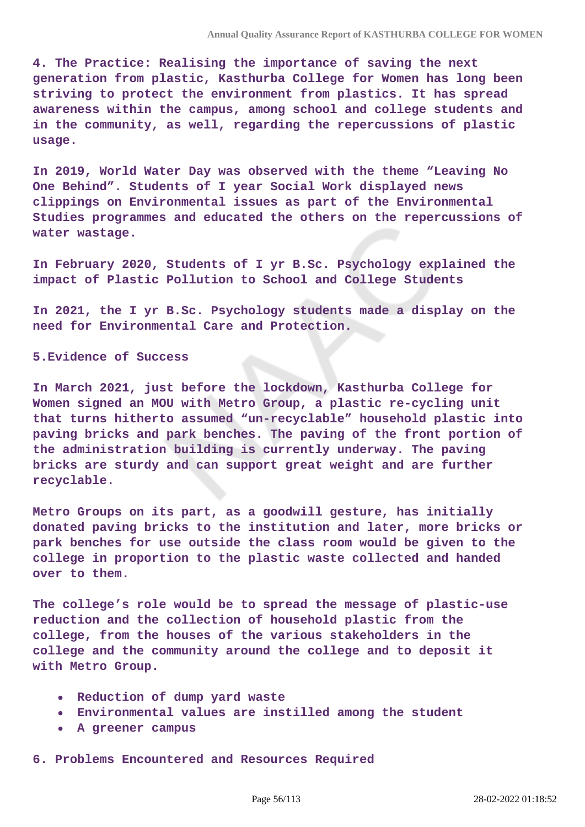**4. The Practice: Realising the importance of saving the next generation from plastic, Kasthurba College for Women has long been striving to protect the environment from plastics. It has spread awareness within the campus, among school and college students and in the community, as well, regarding the repercussions of plastic usage.**

**In 2019, World Water Day was observed with the theme "Leaving No One Behind". Students of I year Social Work displayed news clippings on Environmental issues as part of the Environmental Studies programmes and educated the others on the repercussions of water wastage.**

**In February 2020, Students of I yr B.Sc. Psychology explained the impact of Plastic Pollution to School and College Students**

**In 2021, the I yr B.Sc. Psychology students made a display on the need for Environmental Care and Protection.**

**5.Evidence of Success** 

**In March 2021, just before the lockdown, Kasthurba College for Women signed an MOU with Metro Group, a plastic re-cycling unit that turns hitherto assumed "un-recyclable" household plastic into paving bricks and park benches. The paving of the front portion of the administration building is currently underway. The paving bricks are sturdy and can support great weight and are further recyclable.**

**Metro Groups on its part, as a goodwill gesture, has initially donated paving bricks to the institution and later, more bricks or park benches for use outside the class room would be given to the college in proportion to the plastic waste collected and handed over to them.**

**The college's role would be to spread the message of plastic-use reduction and the collection of household plastic from the college, from the houses of the various stakeholders in the college and the community around the college and to deposit it with Metro Group.**

- **Reduction of dump yard waste**
- **Environmental values are instilled among the student**
- **A greener campus**

**6. Problems Encountered and Resources Required**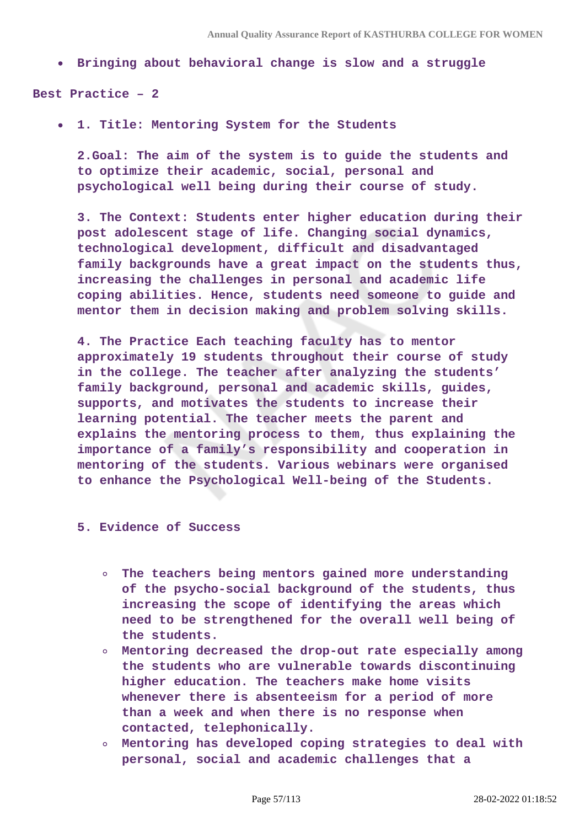**Bringing about behavioral change is slow and a struggle**

**Best Practice – 2**

**1. Title: Mentoring System for the Students**   $\bullet$ 

**2.Goal: The aim of the system is to guide the students and to optimize their academic, social, personal and psychological well being during their course of study.**

**3. The Context: Students enter higher education during their post adolescent stage of life. Changing social dynamics, technological development, difficult and disadvantaged family backgrounds have a great impact on the students thus, increasing the challenges in personal and academic life coping abilities. Hence, students need someone to guide and mentor them in decision making and problem solving skills.**

**4. The Practice Each teaching faculty has to mentor approximately 19 students throughout their course of study in the college. The teacher after analyzing the students' family background, personal and academic skills, guides, supports, and motivates the students to increase their learning potential. The teacher meets the parent and explains the mentoring process to them, thus explaining the importance of a family's responsibility and cooperation in mentoring of the students. Various webinars were organised to enhance the Psychological Well-being of the Students.**

#### **5. Evidence of Success**

- **The teachers being mentors gained more understanding of the psycho-social background of the students, thus increasing the scope of identifying the areas which need to be strengthened for the overall well being of the students.**
- **Mentoring decreased the drop-out rate especially among the students who are vulnerable towards discontinuing higher education. The teachers make home visits whenever there is absenteeism for a period of more than a week and when there is no response when contacted, telephonically.**
- **Mentoring has developed coping strategies to deal with personal, social and academic challenges that a**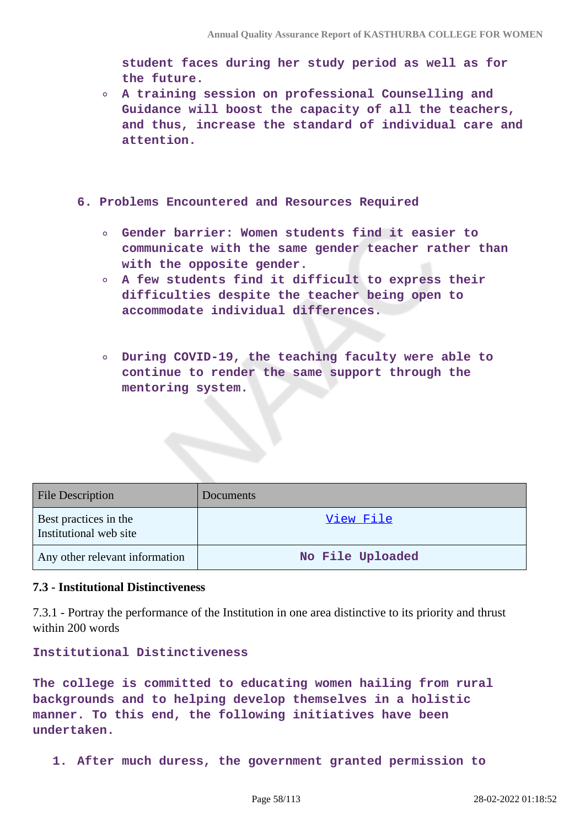**student faces during her study period as well as for the future.**

- **A training session on professional Counselling and Guidance will boost the capacity of all the teachers, and thus, increase the standard of individual care and attention.**
- **6. Problems Encountered and Resources Required** 
	- **Gender barrier: Women students find it easier to communicate with the same gender teacher rather than with the opposite gender.**
	- **A few students find it difficult to express their difficulties despite the teacher being open to accommodate individual differences.**
	- **During COVID-19, the teaching faculty were able to continue to render the same support through the mentoring system.**

| <b>File Description</b>                         | Documents        |
|-------------------------------------------------|------------------|
| Best practices in the<br>Institutional web site | <u>View File</u> |
| Any other relevant information                  | No File Uploaded |

#### **7.3 - Institutional Distinctiveness**

7.3.1 - Portray the performance of the Institution in one area distinctive to its priority and thrust within 200 words

**Institutional Distinctiveness** 

**The college is committed to educating women hailing from rural backgrounds and to helping develop themselves in a holistic manner. To this end, the following initiatives have been undertaken.**

**1. After much duress, the government granted permission to**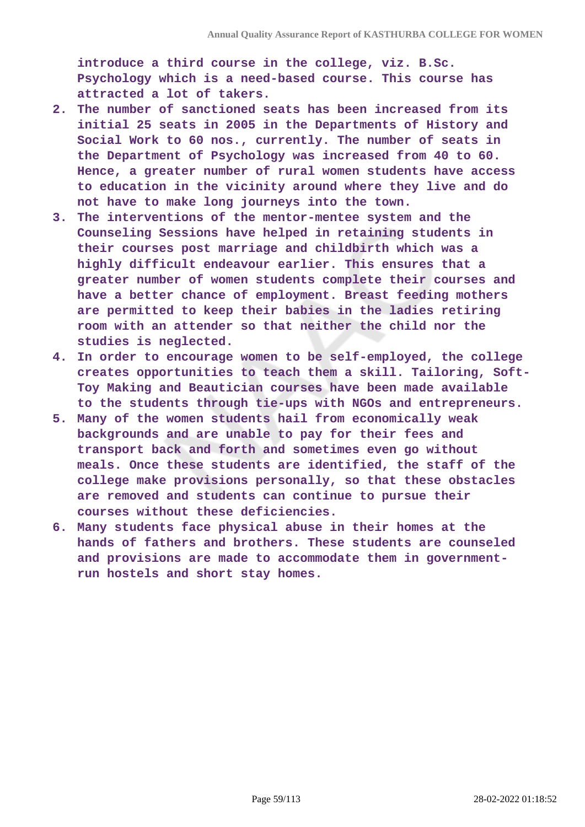**introduce a third course in the college, viz. B.Sc. Psychology which is a need-based course. This course has attracted a lot of takers.**

- **2. The number of sanctioned seats has been increased from its initial 25 seats in 2005 in the Departments of History and Social Work to 60 nos., currently. The number of seats in the Department of Psychology was increased from 40 to 60. Hence, a greater number of rural women students have access to education in the vicinity around where they live and do not have to make long journeys into the town.**
- **3. The interventions of the mentor-mentee system and the Counseling Sessions have helped in retaining students in their courses post marriage and childbirth which was a highly difficult endeavour earlier. This ensures that a greater number of women students complete their courses and have a better chance of employment. Breast feeding mothers are permitted to keep their babies in the ladies retiring room with an attender so that neither the child nor the studies is neglected.**
- **4. In order to encourage women to be self-employed, the college creates opportunities to teach them a skill. Tailoring, Soft-Toy Making and Beautician courses have been made available to the students through tie-ups with NGOs and entrepreneurs.**
- **5. Many of the women students hail from economically weak backgrounds and are unable to pay for their fees and transport back and forth and sometimes even go without meals. Once these students are identified, the staff of the college make provisions personally, so that these obstacles are removed and students can continue to pursue their courses without these deficiencies.**
- **6. Many students face physical abuse in their homes at the hands of fathers and brothers. These students are counseled and provisions are made to accommodate them in governmentrun hostels and short stay homes.**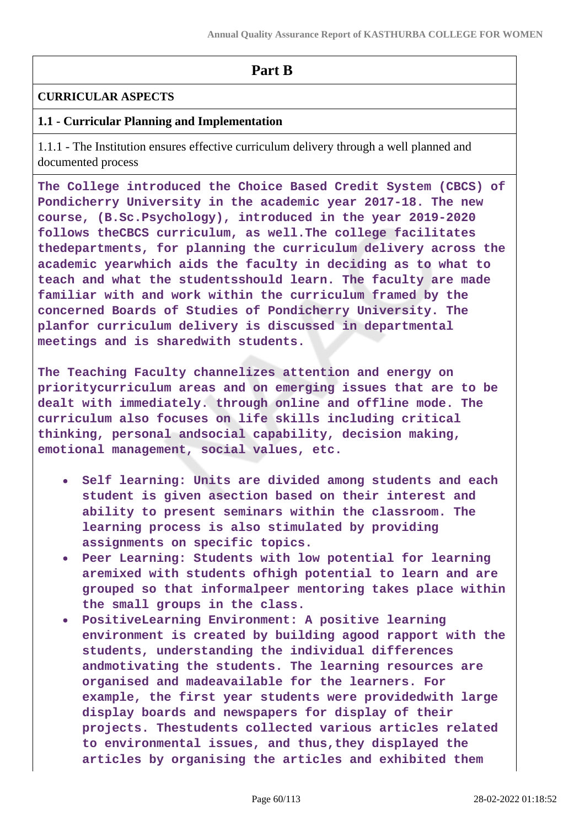## **Part B**

## **CURRICULAR ASPECTS**

## **1.1 - Curricular Planning and Implementation**

1.1.1 - The Institution ensures effective curriculum delivery through a well planned and documented process

**The College introduced the Choice Based Credit System (CBCS) of Pondicherry University in the academic year 2017-18. The new course, (B.Sc.Psychology), introduced in the year 2019-2020 follows theCBCS curriculum, as well.The college facilitates thedepartments, for planning the curriculum delivery across the academic yearwhich aids the faculty in deciding as to what to teach and what the studentsshould learn. The faculty are made familiar with and work within the curriculum framed by the concerned Boards of Studies of Pondicherry University. The planfor curriculum delivery is discussed in departmental meetings and is sharedwith students.**

**The Teaching Faculty channelizes attention and energy on prioritycurriculum areas and on emerging issues that are to be dealt with immediately. through online and offline mode. The curriculum also focuses on life skills including critical thinking, personal andsocial capability, decision making, emotional management, social values, etc.**

- **Self learning: Units are divided among students and each student is given asection based on their interest and ability to present seminars within the classroom. The learning process is also stimulated by providing assignments on specific topics.**
- **Peer Learning: Students with low potential for learning aremixed with students ofhigh potential to learn and are grouped so that informalpeer mentoring takes place within the small groups in the class.**
- **PositiveLearning Environment: A positive learning environment is created by building agood rapport with the students, understanding the individual differences andmotivating the students. The learning resources are organised and madeavailable for the learners. For example, the first year students were providedwith large display boards and newspapers for display of their projects. Thestudents collected various articles related to environmental issues, and thus,they displayed the articles by organising the articles and exhibited them**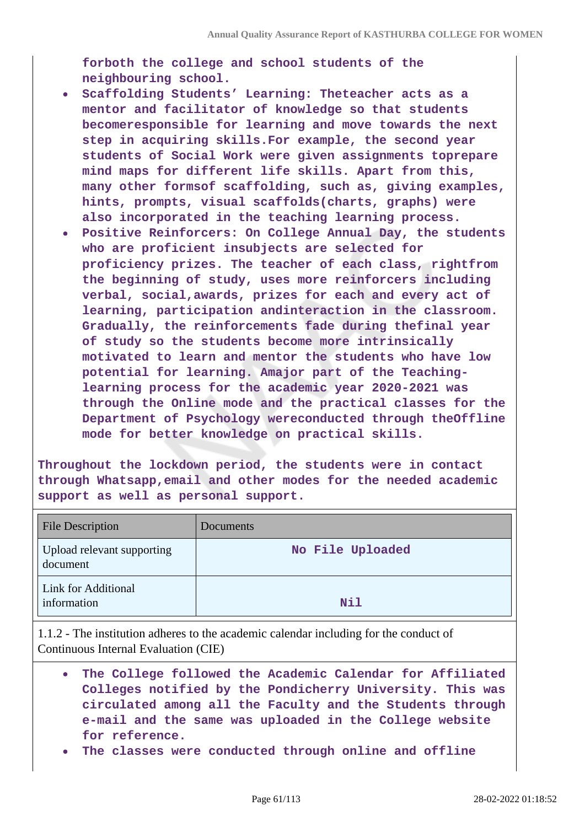**forboth the college and school students of the neighbouring school.**

- **Scaffolding Students' Learning: Theteacher acts as a mentor and facilitator of knowledge so that students becomeresponsible for learning and move towards the next step in acquiring skills.For example, the second year students of Social Work were given assignments toprepare mind maps for different life skills. Apart from this, many other formsof scaffolding, such as, giving examples, hints, prompts, visual scaffolds(charts, graphs) were also incorporated in the teaching learning process.**
- **Positive Reinforcers: On College Annual Day, the students who are proficient insubjects are selected for proficiency prizes. The teacher of each class, rightfrom the beginning of study, uses more reinforcers including verbal, social,awards, prizes for each and every act of learning, participation andinteraction in the classroom. Gradually, the reinforcements fade during thefinal year of study so the students become more intrinsically motivated to learn and mentor the students who have low potential for learning. Amajor part of the Teachinglearning process for the academic year 2020-2021 was through the Online mode and the practical classes for the Department of Psychology wereconducted through theOffline mode for better knowledge on practical skills.**

**Throughout the lockdown period, the students were in contact through Whatsapp,email and other modes for the needed academic support as well as personal support.**

| <b>File Description</b>                | Documents        |
|----------------------------------------|------------------|
| Upload relevant supporting<br>document | No File Uploaded |
| Link for Additional<br>information     | Nil              |

1.1.2 - The institution adheres to the academic calendar including for the conduct of Continuous Internal Evaluation (CIE)

- **The College followed the Academic Calendar for Affiliated Colleges notified by the Pondicherry University. This was circulated among all the Faculty and the Students through e-mail and the same was uploaded in the College website for reference.**
- **The classes were conducted through online and offline**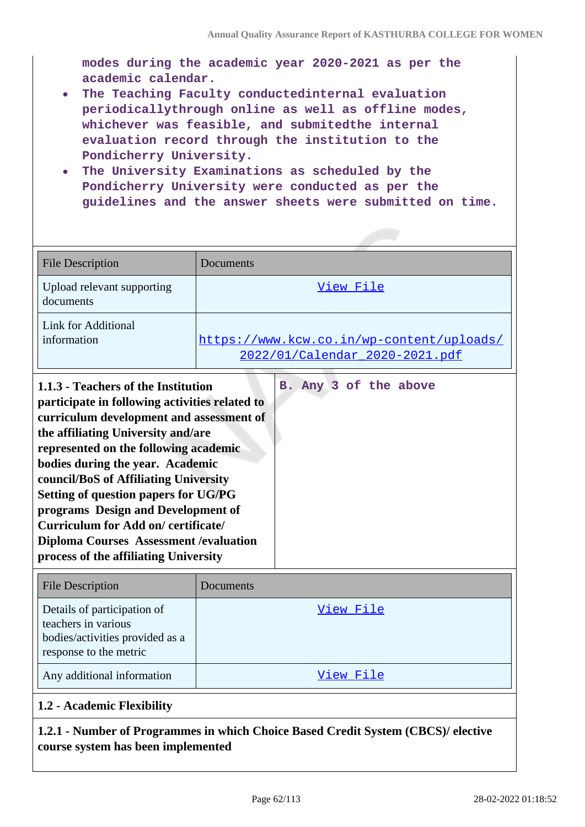**modes during the academic year 2020-2021 as per the academic calendar.**

- **The Teaching Faculty conductedinternal evaluation periodicallythrough online as well as offline modes, whichever was feasible, and submitedthe internal evaluation record through the institution to the Pondicherry University.**
- **The University Examinations as scheduled by the Pondicherry University were conducted as per the guidelines and the answer sheets were submitted on time.**

| <b>File Description</b>                                                                                                                                                                                                                                                                                                | Documents                                                                   |
|------------------------------------------------------------------------------------------------------------------------------------------------------------------------------------------------------------------------------------------------------------------------------------------------------------------------|-----------------------------------------------------------------------------|
| Upload relevant supporting<br>documents                                                                                                                                                                                                                                                                                | View File                                                                   |
| Link for Additional<br>information                                                                                                                                                                                                                                                                                     | https://www.kcw.co.in/wp-content/uploads/<br>2022/01/Calendar 2020-2021.pdf |
| B. Any 3 of the above<br>1.1.3 - Teachers of the Institution<br>participate in following activities related to<br>curriculum development and assessment of<br>the affiliating University and/are<br>represented on the following academic<br>bodies during the year. Academic<br>council/BoS of Affiliating University |                                                                             |

**Setting of question papers for UG/PG programs Design and Development of Curriculum for Add on/ certificate/**

**process of the affiliating University**

Details of participation of

**1.2 - Academic Flexibility**

bodies/activities provided as a

teachers in various

response to the metric

**Diploma Courses Assessment /evaluation**

File Description Documents

Any additional information and the state of the [View File](https://assessmentonline.naac.gov.in/storage/app/public/aqar/12083/12083_5_6.pdf?1646034520)

[View File](https://assessmentonline.naac.gov.in/storage/app/public/aqar/12083/12083_5_5.xlsx?1646034520)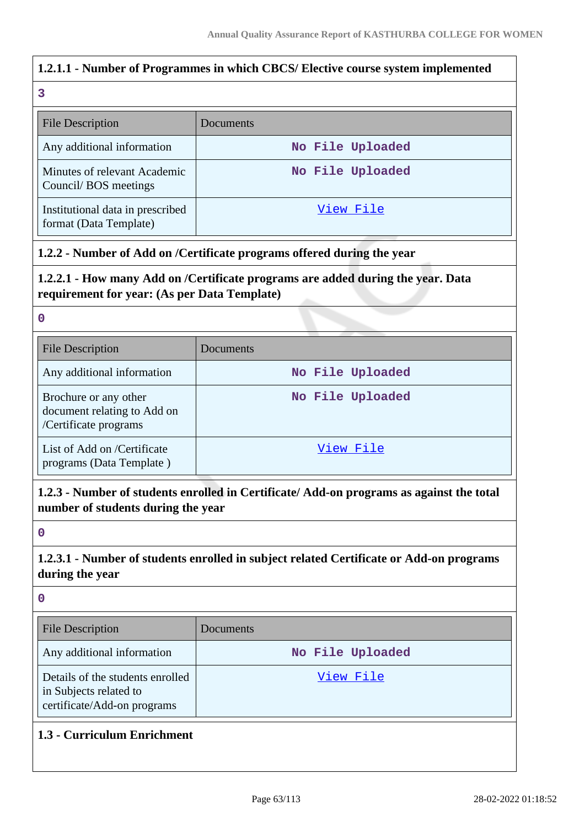## **1.2.1.1 - Number of Programmes in which CBCS/ Elective course system implemented 3** File Description Documents Any additional information **No File Uploaded** Minutes of relevant Academic Council/ BOS meetings **No File Uploaded** Institutional data in prescribed format (Data Template) [View File](https://assessmentonline.naac.gov.in/storage/app/public/aqar/12083/12083_6_9.xlsx?1646034520) **1.2.2 - Number of Add on /Certificate programs offered during the year 1.2.2.1 - How many Add on /Certificate programs are added during the year. Data**

# **requirement for year: (As per Data Template)**

#### **0**

| <b>File Description</b>                                                       | Documents        |
|-------------------------------------------------------------------------------|------------------|
| Any additional information                                                    | No File Uploaded |
| Brochure or any other<br>document relating to Add on<br>/Certificate programs | No File Uploaded |
| List of Add on /Certificate<br>programs (Data Template)                       | View File        |

**1.2.3 - Number of students enrolled in Certificate/ Add-on programs as against the total number of students during the year**

#### **0**

## **1.2.3.1 - Number of students enrolled in subject related Certificate or Add-on programs during the year**

| $\mathbf 0$                                                                               |                  |
|-------------------------------------------------------------------------------------------|------------------|
| File Description                                                                          | Documents        |
| Any additional information                                                                | No File Uploaded |
| Details of the students enrolled<br>in Subjects related to<br>certificate/Add-on programs | View File        |
| 1.3 - Curriculum Enrichment                                                               |                  |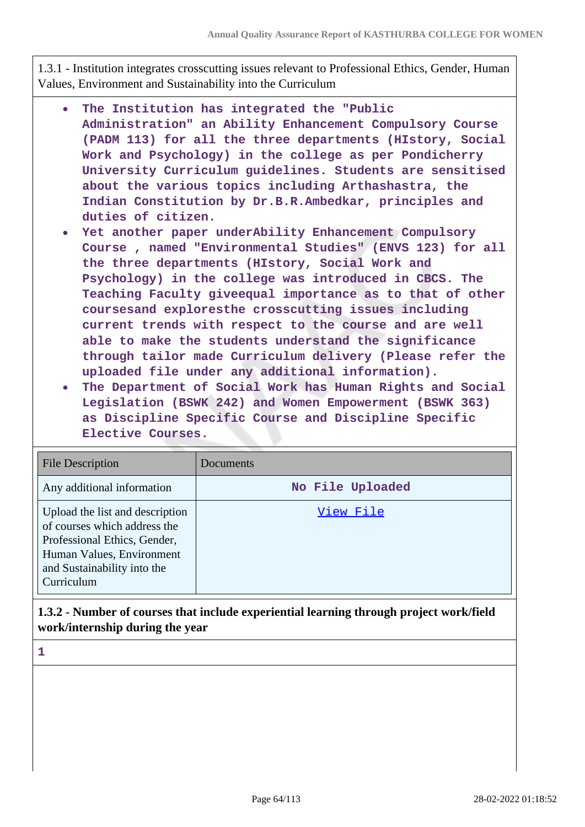1.3.1 - Institution integrates crosscutting issues relevant to Professional Ethics, Gender, Human Values, Environment and Sustainability into the Curriculum

- **The Institution has integrated the "Public Administration" an Ability Enhancement Compulsory Course (PADM 113) for all the three departments (HIstory, Social Work and Psychology) in the college as per Pondicherry University Curriculum guidelines. Students are sensitised about the various topics including Arthashastra, the Indian Constitution by Dr.B.R.Ambedkar, principles and duties of citizen.**
- **Yet another paper underAbility Enhancement Compulsory Course , named "Environmental Studies" (ENVS 123) for all the three departments (HIstory, Social Work and Psychology) in the college was introduced in CBCS. The Teaching Faculty giveequal importance as to that of other coursesand exploresthe crosscutting issues including current trends with respect to the course and are well able to make the students understand the significance through tailor made Curriculum delivery (Please refer the uploaded file under any additional information).**
- **The Department of Social Work has Human Rights and Social Legislation (BSWK 242) and Women Empowerment (BSWK 363) as Discipline Specific Course and Discipline Specific Elective Courses.**

| <b>File Description</b>                                                                                                                                                   | Documents        |
|---------------------------------------------------------------------------------------------------------------------------------------------------------------------------|------------------|
| Any additional information                                                                                                                                                | No File Uploaded |
| Upload the list and description<br>of courses which address the<br>Professional Ethics, Gender,<br>Human Values, Environment<br>and Sustainability into the<br>Curriculum | View File        |

## **1.3.2 - Number of courses that include experiential learning through project work/field work/internship during the year**

**1**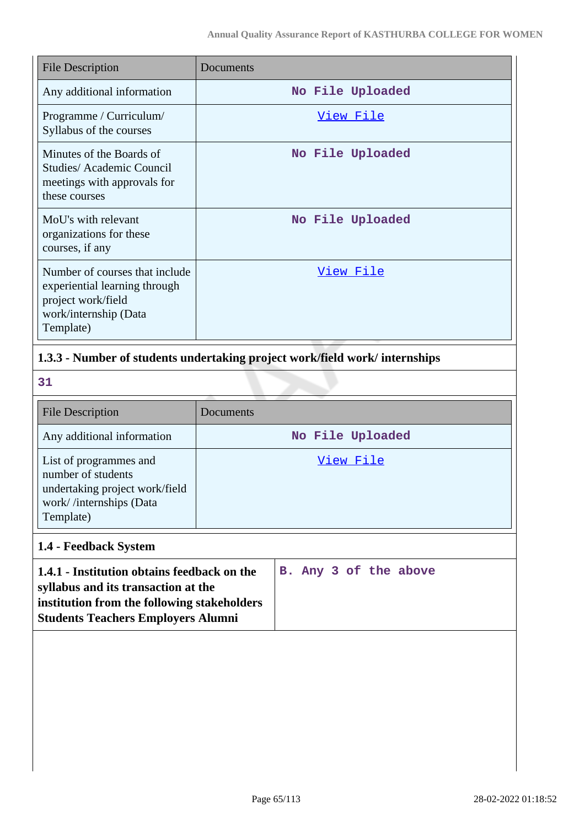| <b>File Description</b>                                                                                                     | Documents        |
|-----------------------------------------------------------------------------------------------------------------------------|------------------|
| Any additional information                                                                                                  | No File Uploaded |
| Programme / Curriculum/<br>Syllabus of the courses                                                                          | View File        |
| Minutes of the Boards of<br>Studies/ Academic Council<br>meetings with approvals for<br>these courses                       | No File Uploaded |
| MoU's with relevant<br>organizations for these<br>courses, if any                                                           | No File Uploaded |
| Number of courses that include<br>experiential learning through<br>project work/field<br>work/internship (Data<br>Template) | View File        |

## **1.3.3 - Number of students undertaking project work/field work/ internships**

**31**

| <b>File Description</b>                                                                                                | Documents        |
|------------------------------------------------------------------------------------------------------------------------|------------------|
| Any additional information                                                                                             | No File Uploaded |
| List of programmes and<br>number of students<br>undertaking project work/field<br>work//internships (Data<br>Template) | View File        |

## **1.4 - Feedback System**

| 1.4.1 - Institution obtains feedback on the |  |  | B. Any 3 of the above |
|---------------------------------------------|--|--|-----------------------|
| syllabus and its transaction at the         |  |  |                       |
| institution from the following stakeholders |  |  |                       |
| <b>Students Teachers Employers Alumni</b>   |  |  |                       |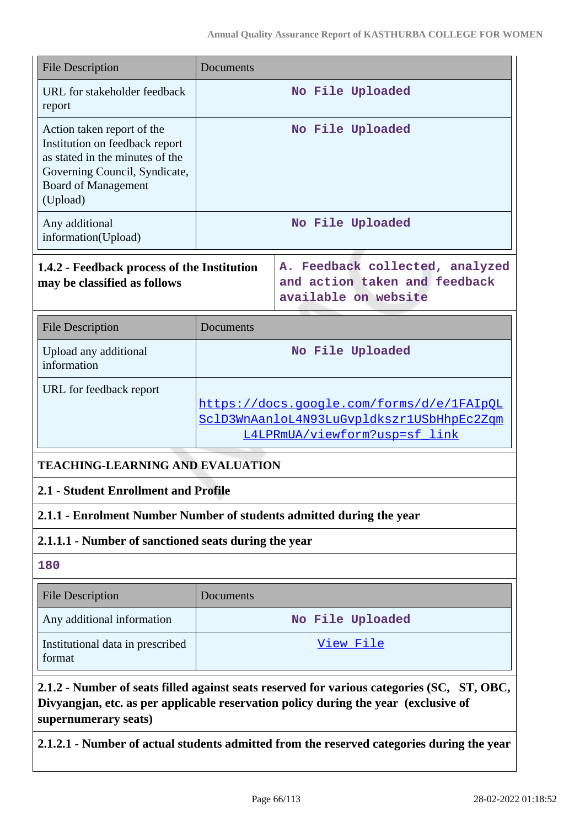| <b>File Description</b>                                                                                                                                                                                   | Documents                                                                                                               |                                                                                          |  |
|-----------------------------------------------------------------------------------------------------------------------------------------------------------------------------------------------------------|-------------------------------------------------------------------------------------------------------------------------|------------------------------------------------------------------------------------------|--|
| URL for stakeholder feedback<br>report                                                                                                                                                                    | No File Uploaded                                                                                                        |                                                                                          |  |
| Action taken report of the<br>Institution on feedback report<br>as stated in the minutes of the<br>Governing Council, Syndicate,<br><b>Board of Management</b><br>(Upload)                                |                                                                                                                         | No File Uploaded                                                                         |  |
| Any additional<br>information(Upload)                                                                                                                                                                     |                                                                                                                         | No File Uploaded                                                                         |  |
| 1.4.2 - Feedback process of the Institution<br>may be classified as follows                                                                                                                               |                                                                                                                         | A. Feedback collected, analyzed<br>and action taken and feedback<br>available on website |  |
| <b>File Description</b>                                                                                                                                                                                   | Documents                                                                                                               |                                                                                          |  |
| Upload any additional<br>information                                                                                                                                                                      | No File Uploaded                                                                                                        |                                                                                          |  |
| URL for feedback report                                                                                                                                                                                   | https://docs.google.com/forms/d/e/1FAIpQL<br>SclD3WnAanloL4N93LuGvpldkszr1USbHhpEc2Zqm<br>L4LPRmUA/viewform?usp=sf_link |                                                                                          |  |
| <b>TEACHING-LEARNING AND EVALUATION</b>                                                                                                                                                                   |                                                                                                                         |                                                                                          |  |
| 2.1 - Student Enrollment and Profile                                                                                                                                                                      |                                                                                                                         |                                                                                          |  |
| 2.1.1 - Enrolment Number Number of students admitted during the year                                                                                                                                      |                                                                                                                         |                                                                                          |  |
| 2.1.1.1 - Number of sanctioned seats during the year                                                                                                                                                      |                                                                                                                         |                                                                                          |  |
| 180                                                                                                                                                                                                       |                                                                                                                         |                                                                                          |  |
| <b>File Description</b>                                                                                                                                                                                   | Documents                                                                                                               |                                                                                          |  |
| Any additional information                                                                                                                                                                                |                                                                                                                         | No File Uploaded                                                                         |  |
| Institutional data in prescribed<br>format                                                                                                                                                                |                                                                                                                         | <u>View File</u>                                                                         |  |
| 2.1.2 - Number of seats filled against seats reserved for various categories (SC, ST, OBC,<br>Divyangjan, etc. as per applicable reservation policy during the year (exclusive of<br>supernumerary seats) |                                                                                                                         |                                                                                          |  |

**2.1.2.1 - Number of actual students admitted from the reserved categories during the year**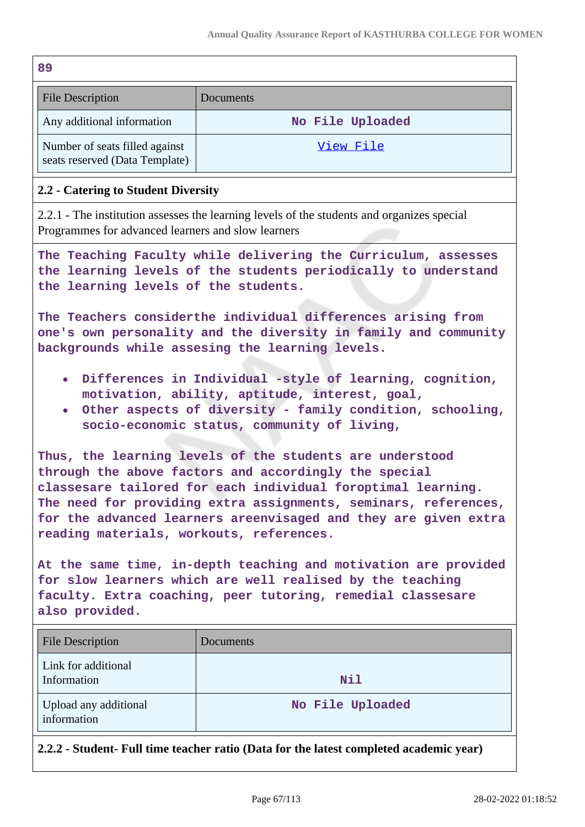| 89                                                                                                                                                                                                                                                                                                                                                                  |                  |  |  |
|---------------------------------------------------------------------------------------------------------------------------------------------------------------------------------------------------------------------------------------------------------------------------------------------------------------------------------------------------------------------|------------------|--|--|
| <b>File Description</b>                                                                                                                                                                                                                                                                                                                                             | Documents        |  |  |
| Any additional information                                                                                                                                                                                                                                                                                                                                          | No File Uploaded |  |  |
| Number of seats filled against<br>seats reserved (Data Template)                                                                                                                                                                                                                                                                                                    | View File        |  |  |
| 2.2 - Catering to Student Diversity                                                                                                                                                                                                                                                                                                                                 |                  |  |  |
| 2.2.1 - The institution assesses the learning levels of the students and organizes special<br>Programmes for advanced learners and slow learners                                                                                                                                                                                                                    |                  |  |  |
| The Teaching Faculty while delivering the Curriculum, assesses<br>the learning levels of the students periodically to understand<br>the learning levels of the students.                                                                                                                                                                                            |                  |  |  |
| The Teachers considerthe individual differences arising from<br>one's own personality and the diversity in family and community<br>backgrounds while assesing the learning levels.                                                                                                                                                                                  |                  |  |  |
| Differences in Individual -style of learning, cognition,<br>$\bullet$<br>motivation, ability, aptitude, interest, goal,<br>Other aspects of diversity - family condition, schooling,<br>$\bullet$<br>socio-economic status, community of living,                                                                                                                    |                  |  |  |
| Thus, the learning levels of the students are understood<br>through the above factors and accordingly the special<br>classesare tailored for each individual foroptimal learning.<br>The need for providing extra assignments, seminars, references,<br>for the advanced learners areenvisaged and they are given extra<br>reading materials, workouts, references. |                  |  |  |
| At the same time, in-depth teaching and motivation are provided<br>for slow learners which are well realised by the teaching<br>faculty. Extra coaching, peer tutoring, remedial classesare<br>also provided.                                                                                                                                                       |                  |  |  |
| <b>File Description</b>                                                                                                                                                                                                                                                                                                                                             | Documents        |  |  |
| Link for additional<br>Information                                                                                                                                                                                                                                                                                                                                  | Nil              |  |  |
| Upload any additional<br>information                                                                                                                                                                                                                                                                                                                                | No File Uploaded |  |  |
| 2.2.2 - Student- Full time teacher ratio (Data for the latest completed academic year)                                                                                                                                                                                                                                                                              |                  |  |  |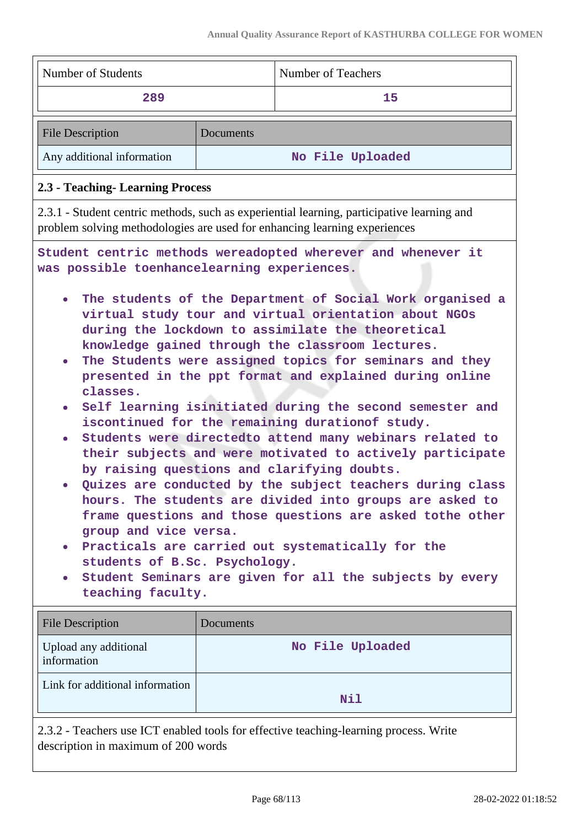$\overline{\phantom{0}}$ 

| Number of Students                                                                                                                                                                         |                  | <b>Number of Teachers</b>                                                                                                                                                                                                                                                                                                                                                                                                                                                                                                                                                                                                                                                                                                                                                                                                                                                                                                                                                                                                           |  |
|--------------------------------------------------------------------------------------------------------------------------------------------------------------------------------------------|------------------|-------------------------------------------------------------------------------------------------------------------------------------------------------------------------------------------------------------------------------------------------------------------------------------------------------------------------------------------------------------------------------------------------------------------------------------------------------------------------------------------------------------------------------------------------------------------------------------------------------------------------------------------------------------------------------------------------------------------------------------------------------------------------------------------------------------------------------------------------------------------------------------------------------------------------------------------------------------------------------------------------------------------------------------|--|
| 289<br>15                                                                                                                                                                                  |                  |                                                                                                                                                                                                                                                                                                                                                                                                                                                                                                                                                                                                                                                                                                                                                                                                                                                                                                                                                                                                                                     |  |
| <b>File Description</b>                                                                                                                                                                    | Documents        |                                                                                                                                                                                                                                                                                                                                                                                                                                                                                                                                                                                                                                                                                                                                                                                                                                                                                                                                                                                                                                     |  |
| Any additional information                                                                                                                                                                 | No File Uploaded |                                                                                                                                                                                                                                                                                                                                                                                                                                                                                                                                                                                                                                                                                                                                                                                                                                                                                                                                                                                                                                     |  |
| 2.3 - Teaching- Learning Process                                                                                                                                                           |                  |                                                                                                                                                                                                                                                                                                                                                                                                                                                                                                                                                                                                                                                                                                                                                                                                                                                                                                                                                                                                                                     |  |
| 2.3.1 - Student centric methods, such as experiential learning, participative learning and<br>problem solving methodologies are used for enhancing learning experiences                    |                  |                                                                                                                                                                                                                                                                                                                                                                                                                                                                                                                                                                                                                                                                                                                                                                                                                                                                                                                                                                                                                                     |  |
| was possible toenhancelearning experiences.<br>classes.<br>group and vice versa.<br>students of B.Sc. Psychology.<br>teaching faculty.<br><b>File Description</b><br>Upload any additional | Documents        | Student centric methods wereadopted wherever and whenever it<br>The students of the Department of Social Work organised a<br>virtual study tour and virtual orientation about NGOs<br>during the lockdown to assimilate the theoretical<br>knowledge gained through the classroom lectures.<br>The Students were assigned topics for seminars and they<br>presented in the ppt format and explained during online<br>Self learning isinitiated during the second semester and<br>iscontinued for the remaining durationof study.<br>Students were directedto attend many webinars related to<br>their subjects and were motivated to actively participate<br>by raising questions and clarifying doubts.<br>Quizes are conducted by the subject teachers during class<br>hours. The students are divided into groups are asked to<br>frame questions and those questions are asked tothe other<br>Practicals are carried out systematically for the<br>Student Seminars are given for all the subjects by every<br>No File Uploaded |  |
| information                                                                                                                                                                                |                  |                                                                                                                                                                                                                                                                                                                                                                                                                                                                                                                                                                                                                                                                                                                                                                                                                                                                                                                                                                                                                                     |  |
| Link for additional information                                                                                                                                                            |                  | Nil                                                                                                                                                                                                                                                                                                                                                                                                                                                                                                                                                                                                                                                                                                                                                                                                                                                                                                                                                                                                                                 |  |
| 2.3.2 - Teachers use ICT enabled tools for effective teaching-learning process. Write<br>description in maximum of 200 words                                                               |                  |                                                                                                                                                                                                                                                                                                                                                                                                                                                                                                                                                                                                                                                                                                                                                                                                                                                                                                                                                                                                                                     |  |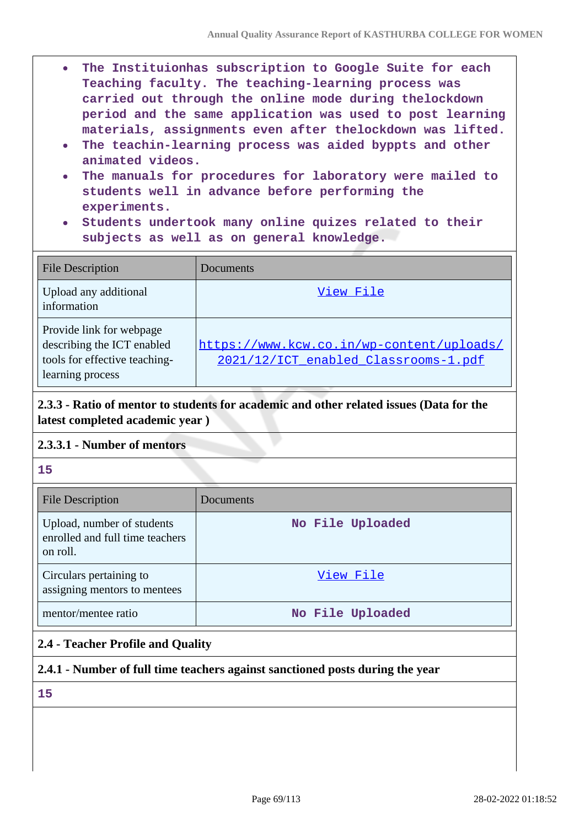- **The Instituionhas subscription to Google Suite for each**  $\bullet$ **Teaching faculty. The teaching-learning process was carried out through the online mode during thelockdown period and the same application was used to post learning materials, assignments even after thelockdown was lifted.**
- **The teachin-learning process was aided byppts and other animated videos.**
- **The manuals for procedures for laboratory were mailed to students well in advance before performing the experiments.**
- **Students undertook many online quizes related to their subjects as well as on general knowledge.**

| <b>File Description</b>                                                                                     | Documents                                                                         |
|-------------------------------------------------------------------------------------------------------------|-----------------------------------------------------------------------------------|
| Upload any additional<br>information                                                                        | View File                                                                         |
| Provide link for webpage<br>describing the ICT enabled<br>tools for effective teaching-<br>learning process | https://www.kcw.co.in/wp-content/uploads/<br>2021/12/ICT_enabled_Classrooms-1.pdf |

## **2.3.3 - Ratio of mentor to students for academic and other related issues (Data for the latest completed academic year )**

## **2.3.3.1 - Number of mentors**

**15**

| <b>File Description</b>                                                   | Documents        |
|---------------------------------------------------------------------------|------------------|
| Upload, number of students<br>enrolled and full time teachers<br>on roll. | No File Uploaded |
| Circulars pertaining to<br>assigning mentors to mentees                   | View File        |
| mentor/mentee ratio                                                       | No File Uploaded |

## **2.4 - Teacher Profile and Quality**

## **2.4.1 - Number of full time teachers against sanctioned posts during the year**

**15**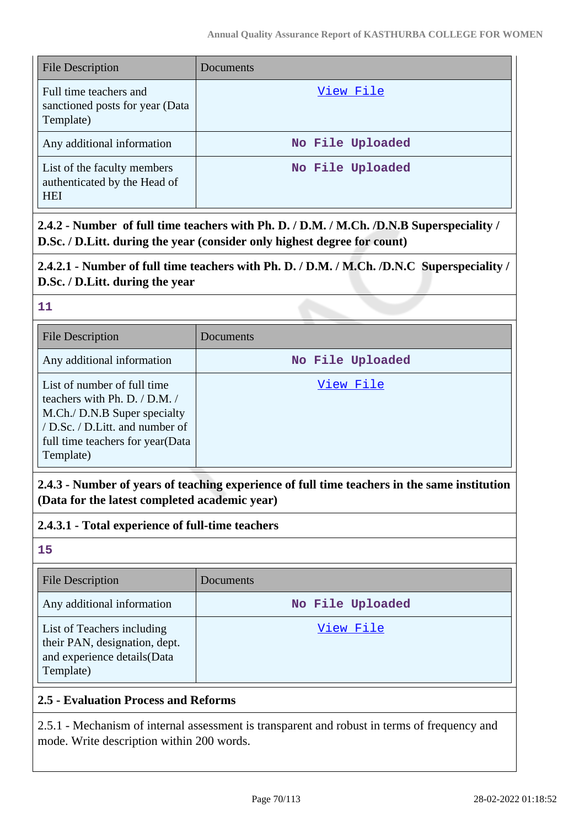| <b>File Description</b>                                                   | Documents        |
|---------------------------------------------------------------------------|------------------|
| Full time teachers and<br>sanctioned posts for year (Data<br>Template)    | View File        |
| Any additional information                                                | No File Uploaded |
| List of the faculty members<br>authenticated by the Head of<br><b>HEI</b> | No File Uploaded |

**2.4.2 - Number of full time teachers with Ph. D. / D.M. / M.Ch. /D.N.B Superspeciality / D.Sc. / D.Litt. during the year (consider only highest degree for count)**

## **2.4.2.1 - Number of full time teachers with Ph. D. / D.M. / M.Ch. /D.N.C Superspeciality / D.Sc. / D.Litt. during the year**

**11**

| <b>File Description</b>                                                                                                                                                           | Documents        |
|-----------------------------------------------------------------------------------------------------------------------------------------------------------------------------------|------------------|
| Any additional information                                                                                                                                                        | No File Uploaded |
| List of number of full time<br>teachers with Ph. D. / D.M. /<br>M.Ch./ D.N.B Super specialty<br>/ D.Sc. / D.Litt. and number of<br>full time teachers for year (Data<br>Template) | View File        |

**2.4.3 - Number of years of teaching experience of full time teachers in the same institution (Data for the latest completed academic year)**

**2.4.3.1 - Total experience of full-time teachers**

**15**

| <b>File Description</b>                                                                                  | Documents        |
|----------------------------------------------------------------------------------------------------------|------------------|
| Any additional information                                                                               | No File Uploaded |
| List of Teachers including<br>their PAN, designation, dept.<br>and experience details (Data<br>Template) | View File        |

## **2.5 - Evaluation Process and Reforms**

2.5.1 - Mechanism of internal assessment is transparent and robust in terms of frequency and mode. Write description within 200 words.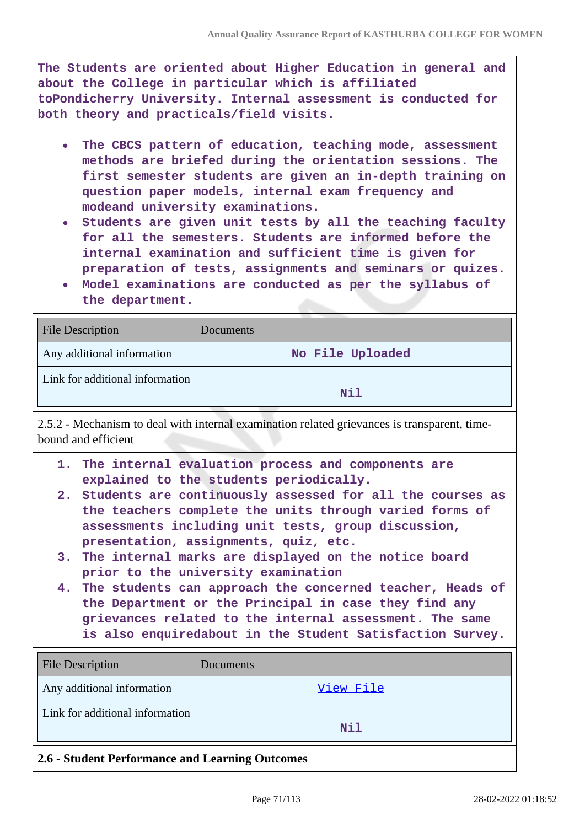**The Students are oriented about Higher Education in general and about the College in particular which is affiliated toPondicherry University. Internal assessment is conducted for both theory and practicals/field visits.**

- **The CBCS pattern of education, teaching mode, assessment methods are briefed during the orientation sessions. The first semester students are given an in-depth training on question paper models, internal exam frequency and modeand university examinations.**
- **Students are given unit tests by all the teaching faculty for all the semesters. Students are informed before the internal examination and sufficient time is given for preparation of tests, assignments and seminars or quizes.**
- **Model examinations are conducted as per the syllabus of the department.**

| <b>File Description</b>         | <b>Documents</b> |
|---------------------------------|------------------|
| Any additional information      | No File Uploaded |
| Link for additional information |                  |
|                                 | Nil              |

2.5.2 - Mechanism to deal with internal examination related grievances is transparent, timebound and efficient

- **1. The internal evaluation process and components are explained to the students periodically.**
- **2. Students are continuously assessed for all the courses as the teachers complete the units through varied forms of assessments including unit tests, group discussion, presentation, assignments, quiz, etc.**
- **3. The internal marks are displayed on the notice board prior to the university examination**
- **4. The students can approach the concerned teacher, Heads of the Department or the Principal in case they find any grievances related to the internal assessment. The same is also enquiredabout in the Student Satisfaction Survey.**

| <b>File Description</b>                         | Documents |  |
|-------------------------------------------------|-----------|--|
| Any additional information                      | View File |  |
| Link for additional information                 | Nil       |  |
| 2.6 - Student Performance and Learning Outcomes |           |  |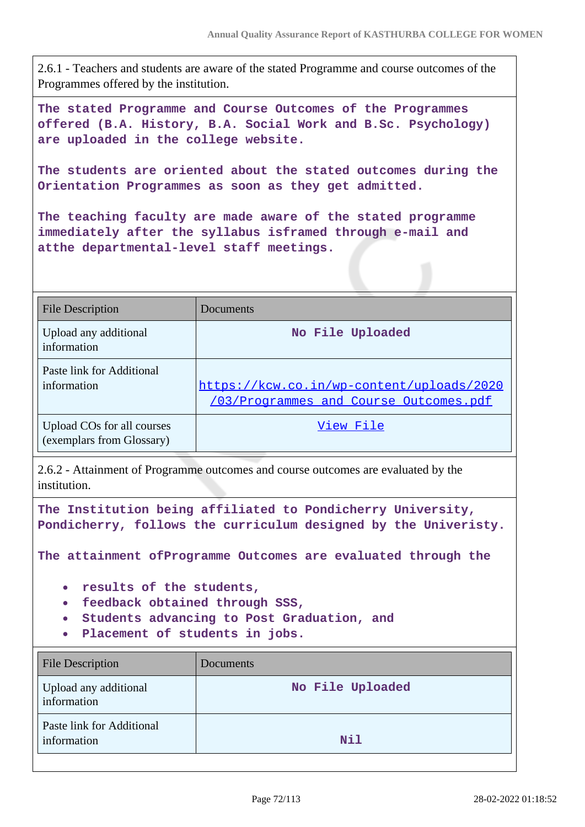2.6.1 - Teachers and students are aware of the stated Programme and course outcomes of the Programmes offered by the institution.

**The stated Programme and Course Outcomes of the Programmes offered (B.A. History, B.A. Social Work and B.Sc. Psychology) are uploaded in the college website.**

**The students are oriented about the stated outcomes during the Orientation Programmes as soon as they get admitted.**

**The teaching faculty are made aware of the stated programme immediately after the syllabus isframed through e-mail and atthe departmental-level staff meetings.**

| <b>File Description</b>                                 | Documents                                                                                  |
|---------------------------------------------------------|--------------------------------------------------------------------------------------------|
| Upload any additional<br>information                    | No File Uploaded                                                                           |
| Paste link for Additional<br>information                | https://kcw.co.in/wp-content/uploads/2020<br><u>/03/Programmes and Course Outcomes.pdf</u> |
| Upload COs for all courses<br>(exemplars from Glossary) | View File                                                                                  |

2.6.2 - Attainment of Programme outcomes and course outcomes are evaluated by the institution.

**The Institution being affiliated to Pondicherry University, Pondicherry, follows the curriculum designed by the Univeristy.**

**The attainment ofProgramme Outcomes are evaluated through the**

- **results of the students,**
- **feedback obtained through SSS,**
- **Students advancing to Post Graduation, and**
- **Placement of students in jobs.**

| <b>File Description</b>                  | Documents        |
|------------------------------------------|------------------|
| Upload any additional<br>information     | No File Uploaded |
| Paste link for Additional<br>information | Nil              |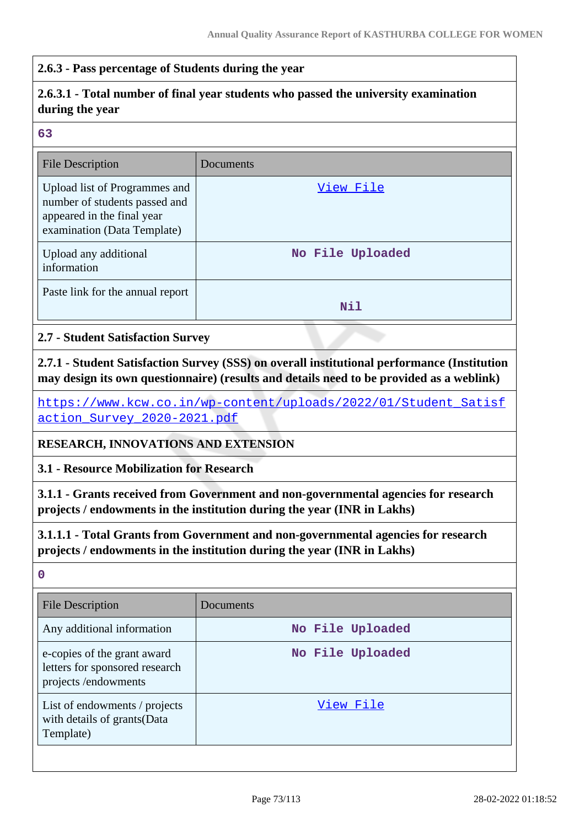## **2.6.3 - Pass percentage of Students during the year**

# **2.6.3.1 - Total number of final year students who passed the university examination during the year**

#### **63**

| <b>File Description</b>                                                                                                     | Documents        |
|-----------------------------------------------------------------------------------------------------------------------------|------------------|
| Upload list of Programmes and<br>number of students passed and<br>appeared in the final year<br>examination (Data Template) | View File        |
| Upload any additional<br>information                                                                                        | No File Uploaded |
| Paste link for the annual report                                                                                            | Nil              |

### **2.7 - Student Satisfaction Survey**

**2.7.1 - Student Satisfaction Survey (SSS) on overall institutional performance (Institution may design its own questionnaire) (results and details need to be provided as a weblink)**

[https://www.kcw.co.in/wp-content/uploads/2022/01/Student\\_Satisf](https://www.kcw.co.in/wp-content/uploads/2022/01/Student_Satisfaction_Survey_2020-2021.pdf) [action\\_Survey\\_2020-2021.pdf](https://www.kcw.co.in/wp-content/uploads/2022/01/Student_Satisfaction_Survey_2020-2021.pdf)

#### **RESEARCH, INNOVATIONS AND EXTENSION**

**3.1 - Resource Mobilization for Research**

**3.1.1 - Grants received from Government and non-governmental agencies for research projects / endowments in the institution during the year (INR in Lakhs)**

**3.1.1.1 - Total Grants from Government and non-governmental agencies for research projects / endowments in the institution during the year (INR in Lakhs)**

| <b>File Description</b>                                                              | Documents        |
|--------------------------------------------------------------------------------------|------------------|
| Any additional information                                                           | No File Uploaded |
| e-copies of the grant award<br>letters for sponsored research<br>projects/endowments | No File Uploaded |
| List of endowments / projects<br>with details of grants (Data<br>Template)           | View File        |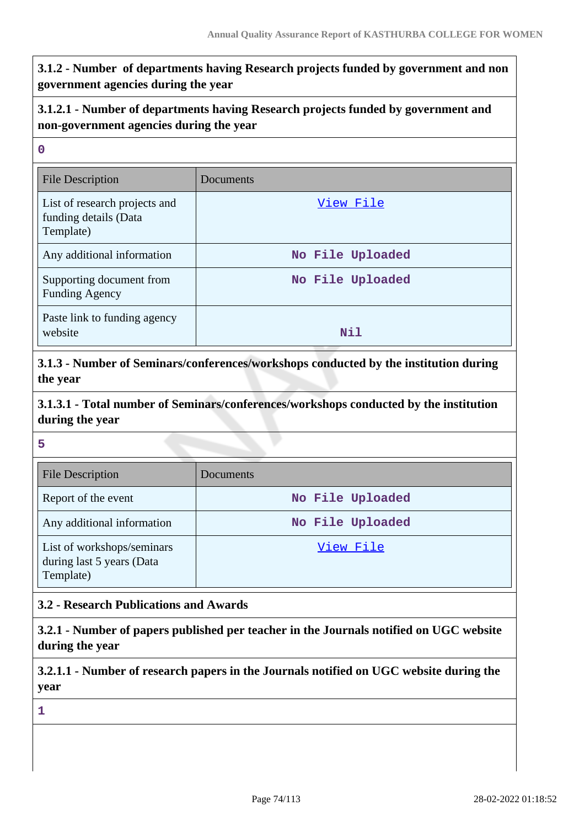**3.1.2 - Number of departments having Research projects funded by government and non government agencies during the year**

## **3.1.2.1 - Number of departments having Research projects funded by government and non-government agencies during the year**

#### **0**

| <b>File Description</b>                                             | Documents        |
|---------------------------------------------------------------------|------------------|
| List of research projects and<br>funding details (Data<br>Template) | View File        |
| Any additional information                                          | No File Uploaded |
| Supporting document from<br><b>Funding Agency</b>                   | No File Uploaded |
| Paste link to funding agency<br>website                             | Nil              |

**3.1.3 - Number of Seminars/conferences/workshops conducted by the institution during the year**

**3.1.3.1 - Total number of Seminars/conferences/workshops conducted by the institution during the year**

### **5**

| <b>File Description</b>                                              | Documents        |
|----------------------------------------------------------------------|------------------|
| Report of the event                                                  | No File Uploaded |
| Any additional information                                           | No File Uploaded |
| List of workshops/seminars<br>during last 5 years (Data<br>Template) | View File        |

## **3.2 - Research Publications and Awards**

**3.2.1 - Number of papers published per teacher in the Journals notified on UGC website during the year**

**3.2.1.1 - Number of research papers in the Journals notified on UGC website during the year**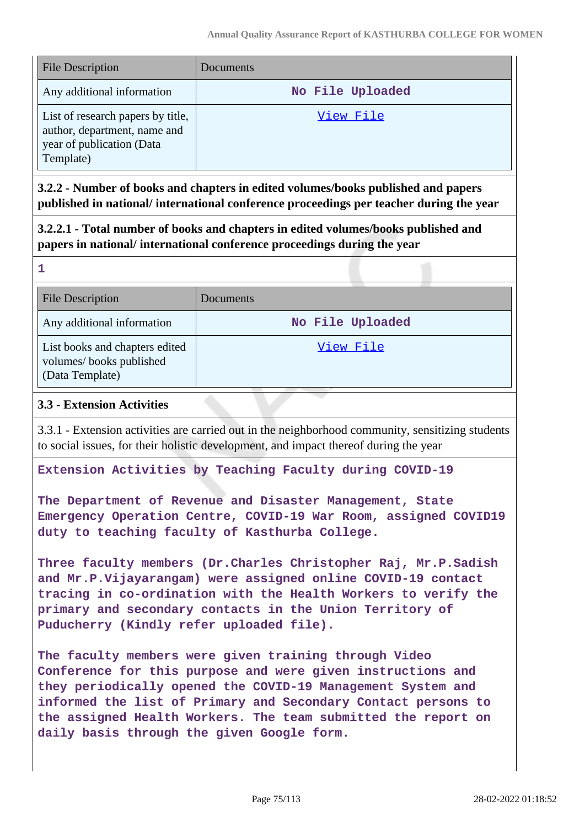| <b>File Description</b>                                                                                     | Documents        |
|-------------------------------------------------------------------------------------------------------------|------------------|
| Any additional information                                                                                  | No File Uploaded |
| List of research papers by title,<br>author, department, name and<br>year of publication (Data<br>Template) | View File        |

**3.2.2 - Number of books and chapters in edited volumes/books published and papers published in national/ international conference proceedings per teacher during the year**

**3.2.2.1 - Total number of books and chapters in edited volumes/books published and papers in national/ international conference proceedings during the year**

File Description Documents Any additional information **No File Uploaded** List books and chapters edited volumes/ books published (Data Template) [View File](https://assessmentonline.naac.gov.in/storage/app/public/aqar/12083/12083_33_73.xlsx?1646034522)

## **3.3 - Extension Activities**

**1**

3.3.1 - Extension activities are carried out in the neighborhood community, sensitizing students to social issues, for their holistic development, and impact thereof during the year

**Extension Activities by Teaching Faculty during COVID-19** 

**The Department of Revenue and Disaster Management, State Emergency Operation Centre, COVID-19 War Room, assigned COVID19 duty to teaching faculty of Kasthurba College.**

**Three faculty members (Dr.Charles Christopher Raj, Mr.P.Sadish and Mr.P.Vijayarangam) were assigned online COVID-19 contact tracing in co-ordination with the Health Workers to verify the primary and secondary contacts in the Union Territory of Puducherry (Kindly refer uploaded file).**

**The faculty members were given training through Video Conference for this purpose and were given instructions and they periodically opened the COVID-19 Management System and informed the list of Primary and Secondary Contact persons to the assigned Health Workers. The team submitted the report on daily basis through the given Google form.**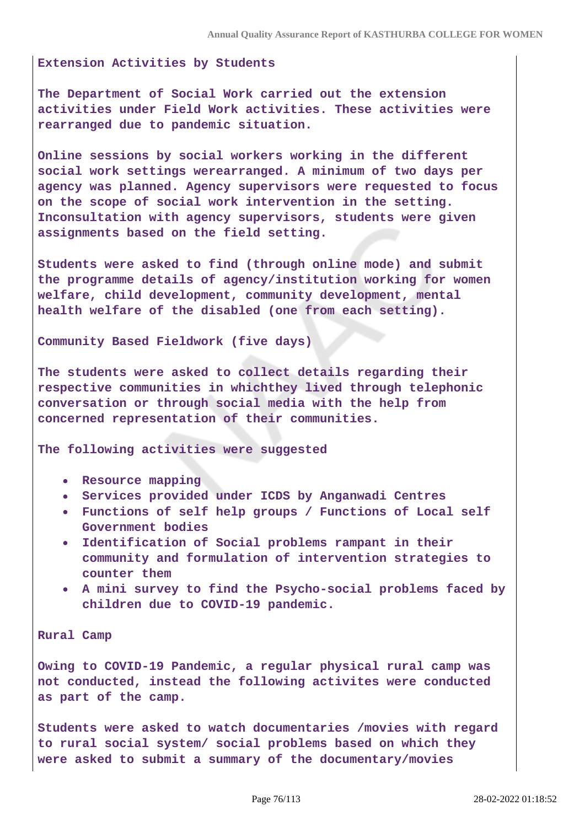**Extension Activities by Students** 

**The Department of Social Work carried out the extension activities under Field Work activities. These activities were rearranged due to pandemic situation.**

**Online sessions by social workers working in the different social work settings werearranged. A minimum of two days per agency was planned. Agency supervisors were requested to focus on the scope of social work intervention in the setting. Inconsultation with agency supervisors, students were given assignments based on the field setting.**

**Students were asked to find (through online mode) and submit the programme details of agency/institution working for women welfare, child development, community development, mental health welfare of the disabled (one from each setting).**

**Community Based Fieldwork (five days)**

**The students were asked to collect details regarding their respective communities in whichthey lived through telephonic conversation or through social media with the help from concerned representation of their communities.**

**The following activities were suggested**

- **Resource mapping**
- **Services provided under ICDS by Anganwadi Centres**
- **Functions of self help groups / Functions of Local self Government bodies**
- **Identification of Social problems rampant in their community and formulation of intervention strategies to counter them**
- **A mini survey to find the Psycho-social problems faced by children due to COVID-19 pandemic.**

**Rural Camp**

**Owing to COVID-19 Pandemic, a regular physical rural camp was not conducted, instead the following activites were conducted as part of the camp.**

**Students were asked to watch documentaries /movies with regard to rural social system/ social problems based on which they were asked to submit a summary of the documentary/movies**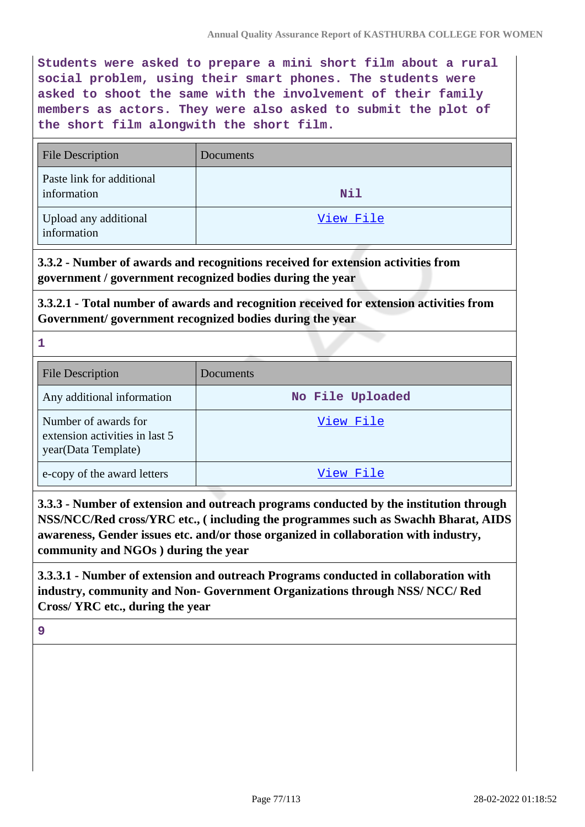**Students were asked to prepare a mini short film about a rural social problem, using their smart phones. The students were asked to shoot the same with the involvement of their family members as actors. They were also asked to submit the plot of the short film alongwith the short film.**

| <b>File Description</b>                  | <b>Documents</b> |
|------------------------------------------|------------------|
| Paste link for additional<br>information | <b>Nil</b>       |
| Upload any additional<br>information     | View File        |

**3.3.2 - Number of awards and recognitions received for extension activities from government / government recognized bodies during the year**

**3.3.2.1 - Total number of awards and recognition received for extension activities from Government/ government recognized bodies during the year**

**1**

| <b>File Description</b>                                                       | Documents        |
|-------------------------------------------------------------------------------|------------------|
| Any additional information                                                    | No File Uploaded |
| Number of awards for<br>extension activities in last 5<br>year(Data Template) | View File        |
| e-copy of the award letters                                                   | View File        |

**3.3.3 - Number of extension and outreach programs conducted by the institution through NSS/NCC/Red cross/YRC etc., ( including the programmes such as Swachh Bharat, AIDS awareness, Gender issues etc. and/or those organized in collaboration with industry, community and NGOs ) during the year**

**3.3.3.1 - Number of extension and outreach Programs conducted in collaboration with industry, community and Non- Government Organizations through NSS/ NCC/ Red Cross/ YRC etc., during the year**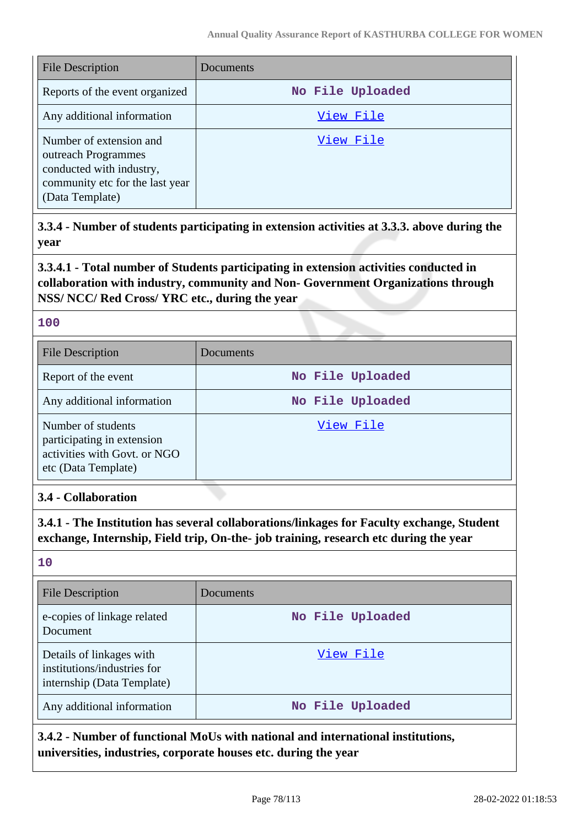| <b>File Description</b>                                                                                                          | Documents        |
|----------------------------------------------------------------------------------------------------------------------------------|------------------|
| Reports of the event organized                                                                                                   | No File Uploaded |
| Any additional information                                                                                                       | View File        |
| Number of extension and<br>outreach Programmes<br>conducted with industry,<br>community etc for the last year<br>(Data Template) | View File        |

**3.3.4 - Number of students participating in extension activities at 3.3.3. above during the year**

**3.3.4.1 - Total number of Students participating in extension activities conducted in collaboration with industry, community and Non- Government Organizations through NSS/ NCC/ Red Cross/ YRC etc., during the year**

### **100**

| <b>File Description</b>                                                                                 | Documents        |
|---------------------------------------------------------------------------------------------------------|------------------|
| Report of the event                                                                                     | No File Uploaded |
| Any additional information                                                                              | No File Uploaded |
| Number of students<br>participating in extension<br>activities with Govt. or NGO<br>etc (Data Template) | View File        |

## **3.4 - Collaboration**

**3.4.1 - The Institution has several collaborations/linkages for Faculty exchange, Student exchange, Internship, Field trip, On-the- job training, research etc during the year**

#### **10**

| <b>File Description</b>                                                               | Documents        |
|---------------------------------------------------------------------------------------|------------------|
| e-copies of linkage related<br>Document                                               | No File Uploaded |
| Details of linkages with<br>institutions/industries for<br>internship (Data Template) | View File        |
| Any additional information                                                            | No File Uploaded |

**3.4.2 - Number of functional MoUs with national and international institutions, universities, industries, corporate houses etc. during the year**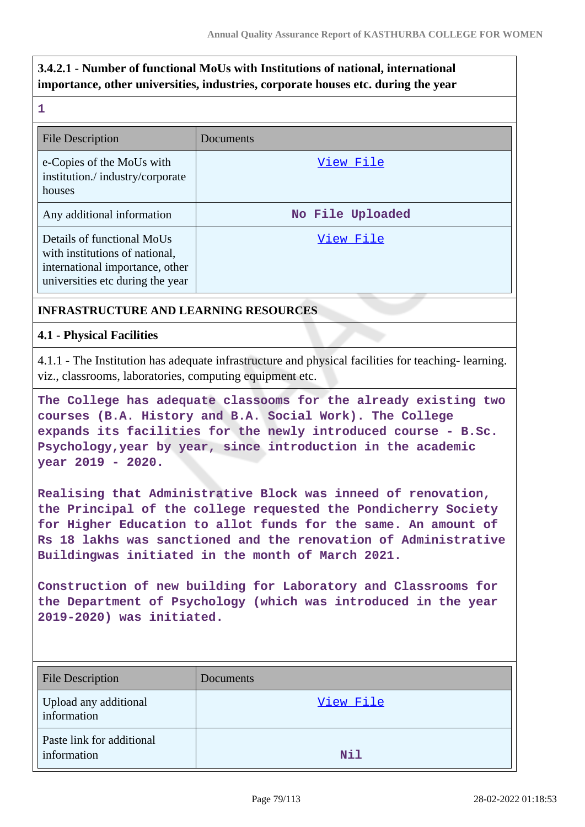# **3.4.2.1 - Number of functional MoUs with Institutions of national, international importance, other universities, industries, corporate houses etc. during the year**

**1**

| <b>File Description</b>                                                                                                             | Documents        |
|-------------------------------------------------------------------------------------------------------------------------------------|------------------|
| e-Copies of the MoUs with<br>institution./industry/corporate<br>houses                                                              | View File        |
| Any additional information                                                                                                          | No File Uploaded |
| Details of functional MoUs<br>with institutions of national,<br>international importance, other<br>universities etc during the year | View File        |

## **INFRASTRUCTURE AND LEARNING RESOURCES**

### **4.1 - Physical Facilities**

4.1.1 - The Institution has adequate infrastructure and physical facilities for teaching- learning. viz., classrooms, laboratories, computing equipment etc.

**The College has adequate classooms for the already existing two courses (B.A. History and B.A. Social Work). The College expands its facilities for the newly introduced course - B.Sc. Psychology,year by year, since introduction in the academic year 2019 - 2020.**

**Realising that Administrative Block was inneed of renovation, the Principal of the college requested the Pondicherry Society for Higher Education to allot funds for the same. An amount of Rs 18 lakhs was sanctioned and the renovation of Administrative Buildingwas initiated in the month of March 2021.**

**Construction of new building for Laboratory and Classrooms for the Department of Psychology (which was introduced in the year 2019-2020) was initiated.**

| <b>File Description</b>                  | Documents |
|------------------------------------------|-----------|
| Upload any additional<br>information     | View File |
| Paste link for additional<br>information | Nil       |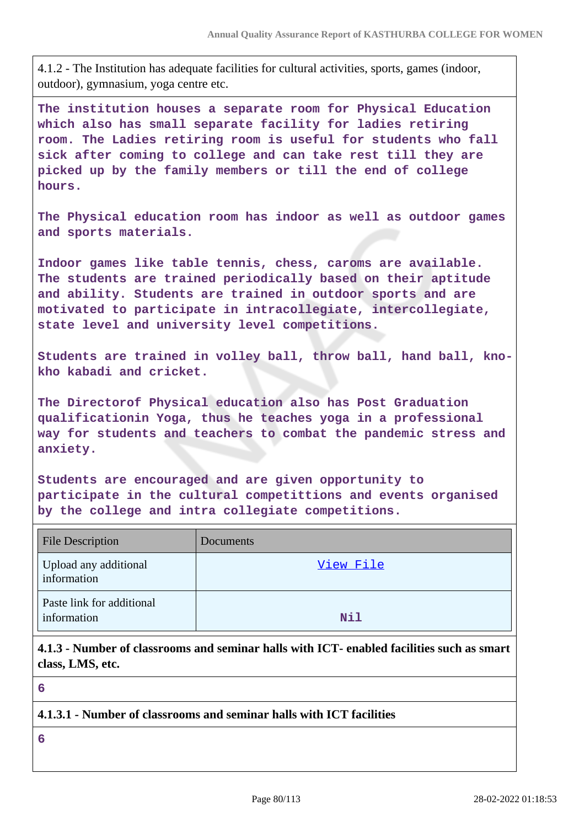4.1.2 - The Institution has adequate facilities for cultural activities, sports, games (indoor, outdoor), gymnasium, yoga centre etc.

**The institution houses a separate room for Physical Education which also has small separate facility for ladies retiring room. The Ladies retiring room is useful for students who fall sick after coming to college and can take rest till they are picked up by the family members or till the end of college hours.**

**The Physical education room has indoor as well as outdoor games and sports materials.**

**Indoor games like table tennis, chess, caroms are available. The students are trained periodically based on their aptitude and ability. Students are trained in outdoor sports and are motivated to participate in intracollegiate, intercollegiate, state level and university level competitions.**

**Students are trained in volley ball, throw ball, hand ball, knokho kabadi and cricket.**

**The Directorof Physical education also has Post Graduation qualificationin Yoga, thus he teaches yoga in a professional way for students and teachers to combat the pandemic stress and anxiety.**

**Students are encouraged and are given opportunity to participate in the cultural competittions and events organised by the college and intra collegiate competitions.**

| <b>File Description</b>                  | Documents |
|------------------------------------------|-----------|
| Upload any additional<br>information     | View File |
| Paste link for additional<br>information | Nil       |

**4.1.3 - Number of classrooms and seminar halls with ICT- enabled facilities such as smart class, LMS, etc.**

**6**

### **4.1.3.1 - Number of classrooms and seminar halls with ICT facilities**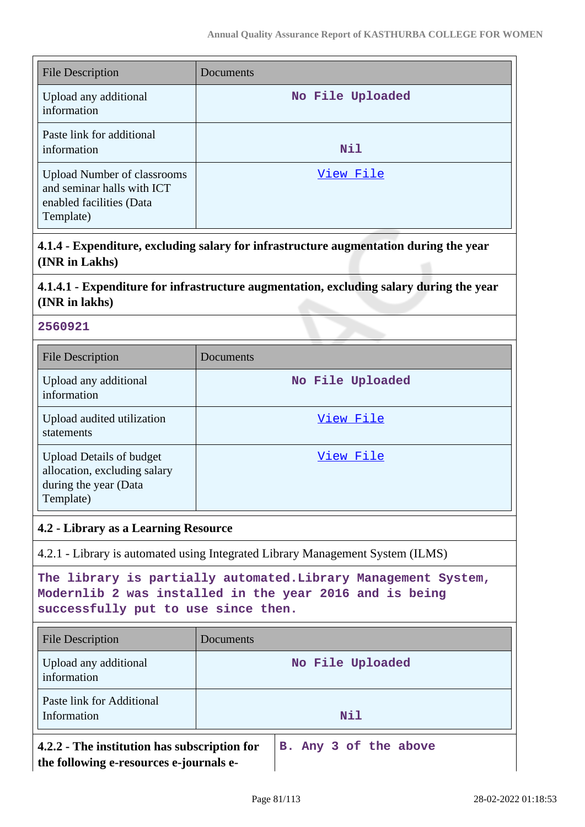| <b>File Description</b>                                                                                   | Documents        |
|-----------------------------------------------------------------------------------------------------------|------------------|
| Upload any additional<br>information                                                                      | No File Uploaded |
| Paste link for additional<br>information                                                                  | Nil              |
| <b>Upload Number of classrooms</b><br>and seminar halls with ICT<br>enabled facilities (Data<br>Template) | View File        |

**4.1.4 - Expenditure, excluding salary for infrastructure augmentation during the year (INR in Lakhs)**

# **4.1.4.1 - Expenditure for infrastructure augmentation, excluding salary during the year (INR in lakhs)**

### **2560921**

| <b>File Description</b>                                                                               | Documents        |
|-------------------------------------------------------------------------------------------------------|------------------|
| Upload any additional<br>information                                                                  | No File Uploaded |
| Upload audited utilization<br>statements                                                              | View File        |
| <b>Upload Details of budget</b><br>allocation, excluding salary<br>during the year (Data<br>Template) | View File        |

## **4.2 - Library as a Learning Resource**

4.2.1 - Library is automated using Integrated Library Management System (ILMS)

**The library is partially automated.Library Management System, Modernlib 2 was installed in the year 2016 and is being successfully put to use since then.**

| <b>File Description</b>                                                                 | Documents             |  |
|-----------------------------------------------------------------------------------------|-----------------------|--|
| Upload any additional<br>information                                                    | No File Uploaded      |  |
| Paste link for Additional<br>Information                                                | Nil                   |  |
| 4.2.2 - The institution has subscription for<br>the following e-resources e-journals e- | B. Any 3 of the above |  |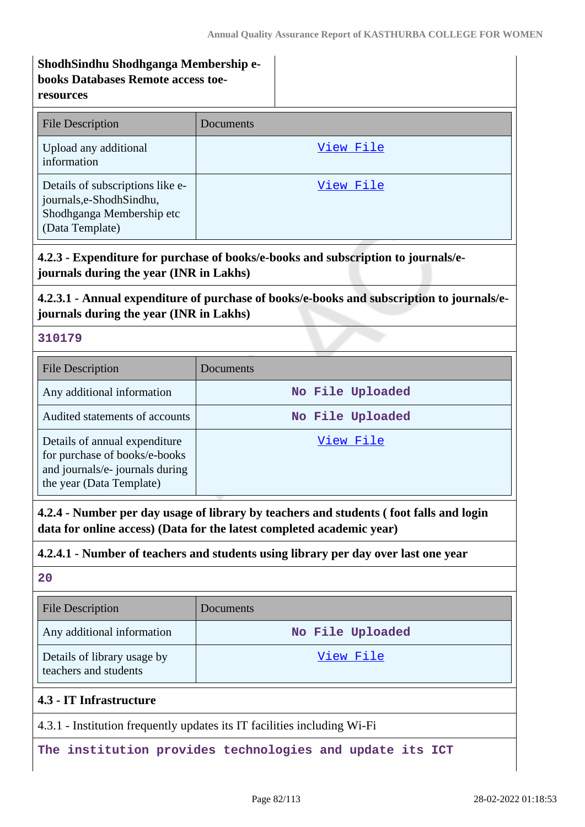## **ShodhSindhu Shodhganga Membership ebooks Databases Remote access toeresources**

| <b>File Description</b>                                                                                       | Documents |
|---------------------------------------------------------------------------------------------------------------|-----------|
| Upload any additional<br>information                                                                          | View File |
| Details of subscriptions like e-<br>journals, e-Shodh Sindhu,<br>Shodhganga Membership etc<br>(Data Template) | View File |

# **4.2.3 - Expenditure for purchase of books/e-books and subscription to journals/ejournals during the year (INR in Lakhs)**

## **4.2.3.1 - Annual expenditure of purchase of books/e-books and subscription to journals/ejournals during the year (INR in Lakhs)**

## **310179**

| <b>File Description</b>                                                                                                       | Documents        |
|-------------------------------------------------------------------------------------------------------------------------------|------------------|
| Any additional information                                                                                                    | No File Uploaded |
| Audited statements of accounts                                                                                                | No File Uploaded |
| Details of annual expenditure<br>for purchase of books/e-books<br>and journals/e- journals during<br>the year (Data Template) | View File        |

**4.2.4 - Number per day usage of library by teachers and students ( foot falls and login data for online access) (Data for the latest completed academic year)**

## **4.2.4.1 - Number of teachers and students using library per day over last one year**

## **20**

| <b>File Description</b>                              | <b>Documents</b> |
|------------------------------------------------------|------------------|
| Any additional information                           | No File Uploaded |
| Details of library usage by<br>teachers and students | View File        |
| 4.3 - IT Infrastructure                              |                  |

4.3.1 - Institution frequently updates its IT facilities including Wi-Fi

**The institution provides technologies and update its ICT**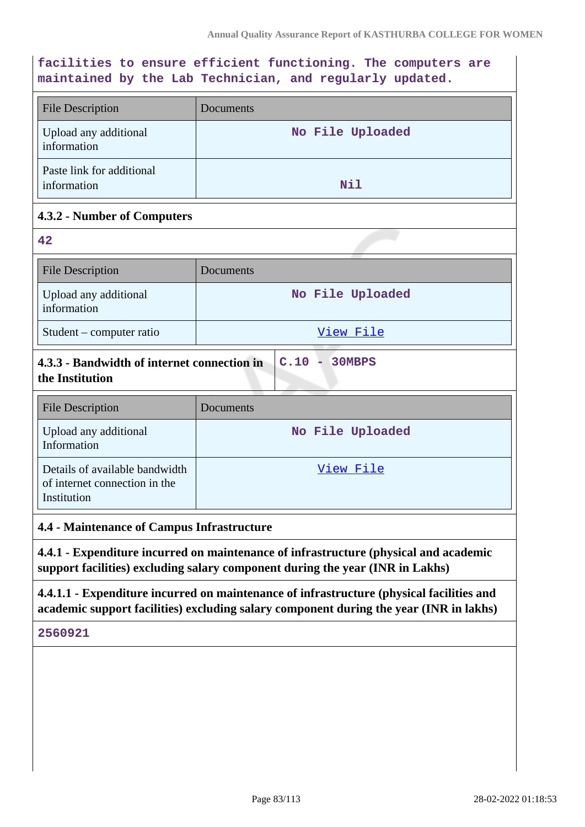**facilities to ensure efficient functioning. The computers are maintained by the Lab Technician, and regularly updated.** File Description Documents Upload any additional information **No File Uploaded** Paste link for additional information **Nil 4.3.2 - Number of Computers 42** File Description Documents Upload any additional information **No File Uploaded** Student – computer ratio and a view File **4.3.3 - Bandwidth of internet connection in the Institution C.10 - 30MBPS** File Description Documents Upload any additional Information **No File Uploaded** Details of available bandwidth of internet connection in the Institution [View File](https://assessmentonline.naac.gov.in/storage/app/public/aqar/12083/12083_50_114.pdf?1646034524) **4.4 - Maintenance of Campus Infrastructure 4.4.1 - Expenditure incurred on maintenance of infrastructure (physical and academic support facilities) excluding salary component during the year (INR in Lakhs) 4.4.1.1 - Expenditure incurred on maintenance of infrastructure (physical facilities and academic support facilities) excluding salary component during the year (INR in lakhs) 2560921**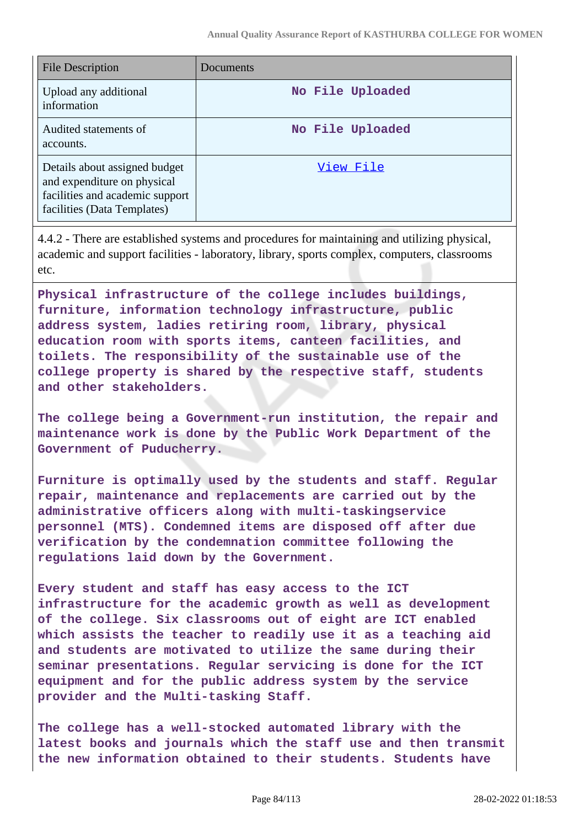| <b>File Description</b>                                                                                                        | Documents        |
|--------------------------------------------------------------------------------------------------------------------------------|------------------|
| Upload any additional<br>information                                                                                           | No File Uploaded |
| Audited statements of<br>accounts.                                                                                             | No File Uploaded |
| Details about assigned budget<br>and expenditure on physical<br>facilities and academic support<br>facilities (Data Templates) | View File        |

4.4.2 - There are established systems and procedures for maintaining and utilizing physical, academic and support facilities - laboratory, library, sports complex, computers, classrooms etc.

**Physical infrastructure of the college includes buildings, furniture, information technology infrastructure, public address system, ladies retiring room, library, physical education room with sports items, canteen facilities, and toilets. The responsibility of the sustainable use of the college property is shared by the respective staff, students and other stakeholders.**

**The college being a Government-run institution, the repair and maintenance work is done by the Public Work Department of the Government of Puducherry.**

**Furniture is optimally used by the students and staff. Regular repair, maintenance and replacements are carried out by the administrative officers along with multi-taskingservice personnel (MTS). Condemned items are disposed off after due verification by the condemnation committee following the regulations laid down by the Government.**

**Every student and staff has easy access to the ICT infrastructure for the academic growth as well as development of the college. Six classrooms out of eight are ICT enabled which assists the teacher to readily use it as a teaching aid and students are motivated to utilize the same during their seminar presentations. Regular servicing is done for the ICT equipment and for the public address system by the service provider and the Multi-tasking Staff.**

**The college has a well-stocked automated library with the latest books and journals which the staff use and then transmit the new information obtained to their students. Students have**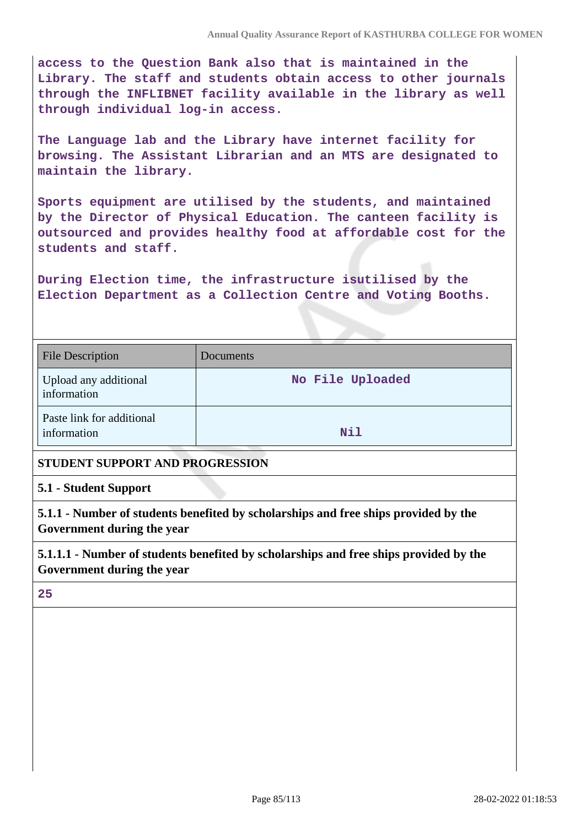**access to the Question Bank also that is maintained in the Library. The staff and students obtain access to other journals through the INFLIBNET facility available in the library as well through individual log-in access.**

**The Language lab and the Library have internet facility for browsing. The Assistant Librarian and an MTS are designated to maintain the library.**

**Sports equipment are utilised by the students, and maintained by the Director of Physical Education. The canteen facility is outsourced and provides healthy food at affordable cost for the students and staff.**

**During Election time, the infrastructure isutilised by the Election Department as a Collection Centre and Voting Booths.**

| <b>File Description</b>                  | <b>Documents</b> |
|------------------------------------------|------------------|
| Upload any additional<br>information     | No File Uploaded |
| Paste link for additional<br>information | Nil              |

## **STUDENT SUPPORT AND PROGRESSION**

#### **5.1 - Student Support**

**5.1.1 - Number of students benefited by scholarships and free ships provided by the Government during the year**

**5.1.1.1 - Number of students benefited by scholarships and free ships provided by the Government during the year**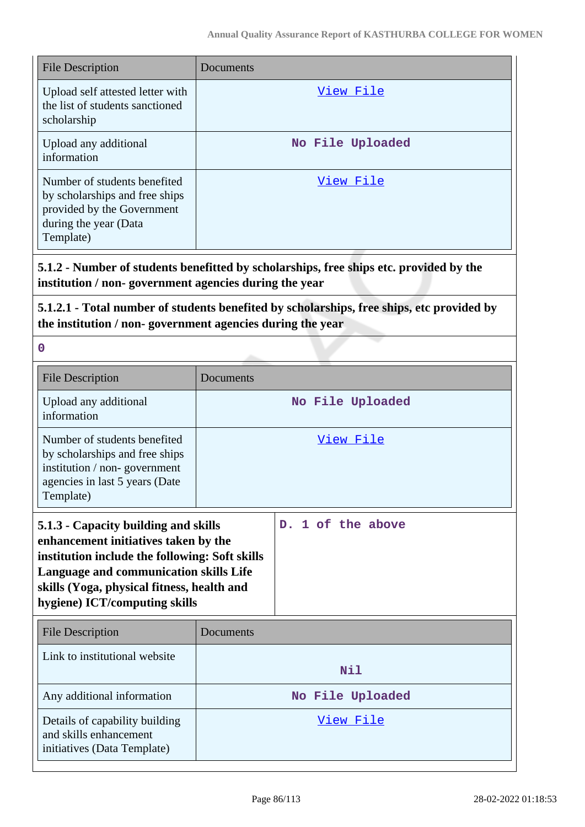| <b>File Description</b>                                                                                                            | Documents        |
|------------------------------------------------------------------------------------------------------------------------------------|------------------|
| Upload self attested letter with<br>the list of students sanctioned<br>scholarship                                                 | View File        |
| Upload any additional<br>information                                                                                               | No File Uploaded |
| Number of students benefited<br>by scholarships and free ships<br>provided by the Government<br>during the year (Data<br>Template) | View File        |

**5.1.2 - Number of students benefitted by scholarships, free ships etc. provided by the institution / non- government agencies during the year**

**5.1.2.1 - Total number of students benefited by scholarships, free ships, etc provided by the institution / non- government agencies during the year**

| <b>File Description</b>                                                                                                                                                                                                                                 | Documents        |                   |  |
|---------------------------------------------------------------------------------------------------------------------------------------------------------------------------------------------------------------------------------------------------------|------------------|-------------------|--|
| Upload any additional<br>information                                                                                                                                                                                                                    | No File Uploaded |                   |  |
| Number of students benefited<br>by scholarships and free ships<br>institution / non-government<br>agencies in last 5 years (Date<br>Template)                                                                                                           | <u>View File</u> |                   |  |
| 5.1.3 - Capacity building and skills<br>enhancement initiatives taken by the<br>institution include the following: Soft skills<br>Language and communication skills Life<br>skills (Yoga, physical fitness, health and<br>hygiene) ICT/computing skills |                  | D. 1 of the above |  |
| <b>File Description</b>                                                                                                                                                                                                                                 | Documents        |                   |  |
| Link to institutional website                                                                                                                                                                                                                           |                  | Nil               |  |
| Any additional information                                                                                                                                                                                                                              | No File Uploaded |                   |  |
| Details of capability building<br>and skills enhancement<br>initiatives (Data Template)                                                                                                                                                                 | View File        |                   |  |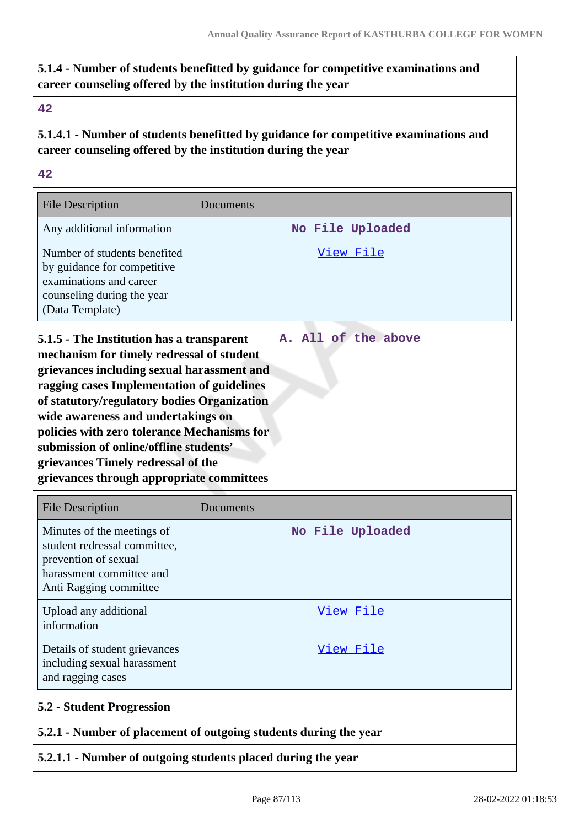# **5.1.4 - Number of students benefitted by guidance for competitive examinations and career counseling offered by the institution during the year**

### **42**

# **5.1.4.1 - Number of students benefitted by guidance for competitive examinations and career counseling offered by the institution during the year**

**42**

| <b>File Description</b>                                                                                                                                                                                                                                                                                                                                                                                                                             | Documents |                     |
|-----------------------------------------------------------------------------------------------------------------------------------------------------------------------------------------------------------------------------------------------------------------------------------------------------------------------------------------------------------------------------------------------------------------------------------------------------|-----------|---------------------|
| Any additional information                                                                                                                                                                                                                                                                                                                                                                                                                          |           | No File Uploaded    |
| Number of students benefited<br>by guidance for competitive<br>examinations and career<br>counseling during the year<br>(Data Template)                                                                                                                                                                                                                                                                                                             | View File |                     |
| 5.1.5 - The Institution has a transparent<br>mechanism for timely redressal of student<br>grievances including sexual harassment and<br>ragging cases Implementation of guidelines<br>of statutory/regulatory bodies Organization<br>wide awareness and undertakings on<br>policies with zero tolerance Mechanisms for<br>submission of online/offline students'<br>grievances Timely redressal of the<br>grievances through appropriate committees |           | A. All of the above |

| <b>File Description</b>                                                                                                                  | Documents        |
|------------------------------------------------------------------------------------------------------------------------------------------|------------------|
| Minutes of the meetings of<br>student redressal committee,<br>prevention of sexual<br>harassment committee and<br>Anti Ragging committee | No File Uploaded |
| Upload any additional<br>information                                                                                                     | View File        |
| Details of student grievances<br>including sexual harassment<br>and ragging cases                                                        | View File        |
| 5.2 - Student Progression                                                                                                                |                  |
| 5.2.1 - Number of placement of outgoing students during the year                                                                         |                  |

## **5.2.1.1 - Number of outgoing students placed during the year**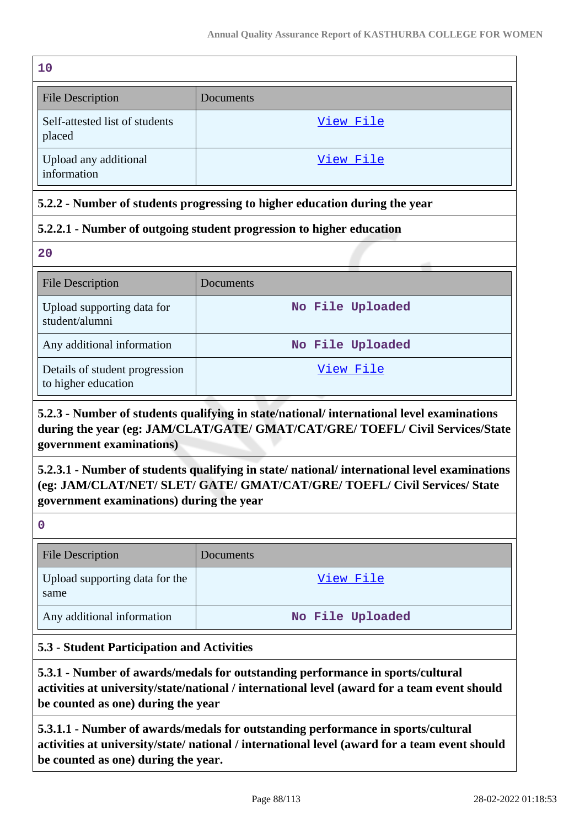| 10                                       |           |
|------------------------------------------|-----------|
| <b>File Description</b>                  | Documents |
| Self-attested list of students<br>placed | View File |
| Upload any additional<br>information     | View File |

## **5.2.2 - Number of students progressing to higher education during the year**

## **5.2.2.1 - Number of outgoing student progression to higher education**

**20**

| <b>File Description</b>                               | Documents        |
|-------------------------------------------------------|------------------|
| Upload supporting data for<br>student/alumni          | No File Uploaded |
| Any additional information                            | No File Uploaded |
| Details of student progression<br>to higher education | View File        |

# **5.2.3 - Number of students qualifying in state/national/ international level examinations during the year (eg: JAM/CLAT/GATE/ GMAT/CAT/GRE/ TOEFL/ Civil Services/State government examinations)**

# **5.2.3.1 - Number of students qualifying in state/ national/ international level examinations (eg: JAM/CLAT/NET/ SLET/ GATE/ GMAT/CAT/GRE/ TOEFL/ Civil Services/ State government examinations) during the year**

**0**

| <b>File Description</b>                | Documents        |
|----------------------------------------|------------------|
| Upload supporting data for the<br>same | View File        |
| Any additional information             | No File Uploaded |

## **5.3 - Student Participation and Activities**

**5.3.1 - Number of awards/medals for outstanding performance in sports/cultural activities at university/state/national / international level (award for a team event should be counted as one) during the year**

**5.3.1.1 - Number of awards/medals for outstanding performance in sports/cultural activities at university/state/ national / international level (award for a team event should be counted as one) during the year.**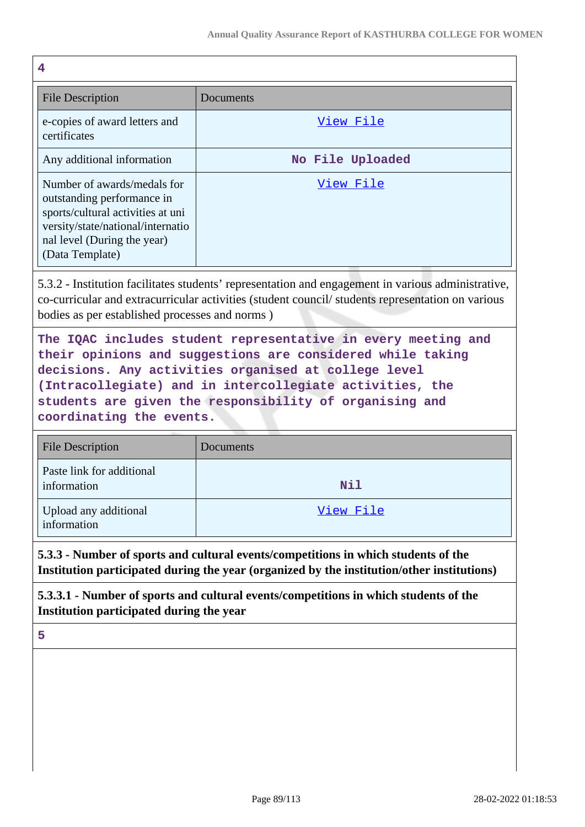| 4                                                                                                                                                                                                                                                                                                                                      |                  |  |
|----------------------------------------------------------------------------------------------------------------------------------------------------------------------------------------------------------------------------------------------------------------------------------------------------------------------------------------|------------------|--|
| <b>File Description</b>                                                                                                                                                                                                                                                                                                                | Documents        |  |
| e-copies of award letters and<br>certificates                                                                                                                                                                                                                                                                                          | <u>View File</u> |  |
| Any additional information                                                                                                                                                                                                                                                                                                             | No File Uploaded |  |
| Number of awards/medals for<br>outstanding performance in<br>sports/cultural activities at uni<br>versity/state/national/internatio<br>nal level (During the year)<br>(Data Template)                                                                                                                                                  | <u>View File</u> |  |
| 5.3.2 - Institution facilitates students' representation and engagement in various administrative,<br>co-curricular and extracurricular activities (student council/students representation on various<br>bodies as per established processes and norms)                                                                               |                  |  |
| The IQAC includes student representative in every meeting and<br>their opinions and suggestions are considered while taking<br>decisions. Any activities organised at college level<br>(Intracollegiate) and in intercollegiate activities, the<br>students are given the responsibility of organising and<br>coordinating the events. |                  |  |
| <b>File Description</b>                                                                                                                                                                                                                                                                                                                | Documents        |  |
| Paste link for additional<br>information                                                                                                                                                                                                                                                                                               | Nil              |  |
| Upload any additional<br>information                                                                                                                                                                                                                                                                                                   | <u>View File</u> |  |
| 5.3.3 - Number of sports and cultural events/competitions in which students of the<br>Institution participated during the year (organized by the institution/other institutions)                                                                                                                                                       |                  |  |
| 5.3.3.1 - Number of sports and cultural events/competitions in which students of the<br>Institution participated during the year                                                                                                                                                                                                       |                  |  |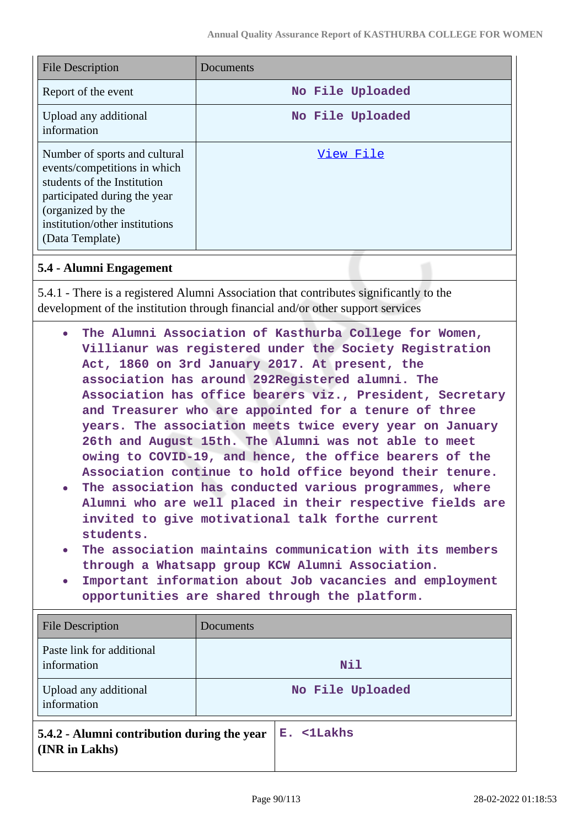| <b>File Description</b>                                                                                                                                                                                | Documents        |
|--------------------------------------------------------------------------------------------------------------------------------------------------------------------------------------------------------|------------------|
| Report of the event                                                                                                                                                                                    | No File Uploaded |
| Upload any additional<br>information                                                                                                                                                                   | No File Uploaded |
| Number of sports and cultural<br>events/competitions in which<br>students of the Institution<br>participated during the year<br>(organized by the<br>institution/other institutions<br>(Data Template) | View File        |

#### **5.4 - Alumni Engagement**

5.4.1 - There is a registered Alumni Association that contributes significantly to the development of the institution through financial and/or other support services

- **The Alumni Association of Kasthurba College for Women, Villianur was registered under the Society Registration Act, 1860 on 3rd January 2017. At present, the association has around 292Registered alumni. The Association has office bearers viz., President, Secretary and Treasurer who are appointed for a tenure of three years. The association meets twice every year on January 26th and August 15th. The Alumni was not able to meet owing to COVID-19, and hence, the office bearers of the Association continue to hold office beyond their tenure.**
- **The association has conducted various programmes, where Alumni who are well placed in their respective fields are invited to give motivational talk forthe current students.**
- **The association maintains communication with its members through a Whatsapp group KCW Alumni Association.**
- **Important information about Job vacancies and employment opportunities are shared through the platform.**

| <b>File Description</b>                                       | Documents        |
|---------------------------------------------------------------|------------------|
| Paste link for additional<br>information                      | Nil              |
| Upload any additional<br>information                          | No File Uploaded |
| 5.4.2 - Alumni contribution during the year<br>(INR in Lakhs) | E. <1Lakhs       |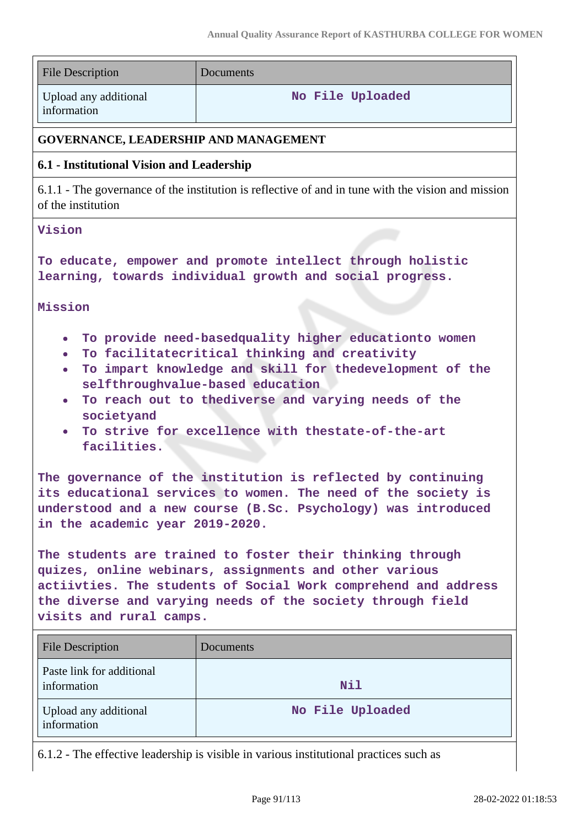| <b>File Description</b>                                                                                                                                                                                                                                                                                                                                                                                                                                            | Documents        |  |
|--------------------------------------------------------------------------------------------------------------------------------------------------------------------------------------------------------------------------------------------------------------------------------------------------------------------------------------------------------------------------------------------------------------------------------------------------------------------|------------------|--|
| Upload any additional<br>information                                                                                                                                                                                                                                                                                                                                                                                                                               | No File Uploaded |  |
| <b>GOVERNANCE, LEADERSHIP AND MANAGEMENT</b>                                                                                                                                                                                                                                                                                                                                                                                                                       |                  |  |
| 6.1 - Institutional Vision and Leadership                                                                                                                                                                                                                                                                                                                                                                                                                          |                  |  |
| 6.1.1 - The governance of the institution is reflective of and in tune with the vision and mission<br>of the institution                                                                                                                                                                                                                                                                                                                                           |                  |  |
| Vision                                                                                                                                                                                                                                                                                                                                                                                                                                                             |                  |  |
| To educate, empower and promote intellect through holistic<br>learning, towards individual growth and social progress.                                                                                                                                                                                                                                                                                                                                             |                  |  |
| Mission                                                                                                                                                                                                                                                                                                                                                                                                                                                            |                  |  |
| To provide need-basedquality higher educationto women<br>$\bullet$<br>To facilitatecritical thinking and creativity<br>$\bullet$<br>To impart knowledge and skill for thedevelopment of the<br>selfthroughvalue-based education<br>To reach out to thediverse and varying needs of the<br>$\bullet$<br>societyand<br>To strive for excellence with thestate-of-the-art<br>$\bullet$<br>facilities.<br>The governance of the institution is reflected by continuing |                  |  |
| its educational services to women. The need of the society is<br>understood and a new course (B.Sc. Psychology) was introduced<br>in the academic year 2019-2020.                                                                                                                                                                                                                                                                                                  |                  |  |
| The students are trained to foster their thinking through<br>quizes, online webinars, assignments and other various<br>actiivties. The students of Social Work comprehend and address<br>the diverse and varying needs of the society through field<br>visits and rural camps.                                                                                                                                                                                     |                  |  |
| <b>File Description</b>                                                                                                                                                                                                                                                                                                                                                                                                                                            | Documents        |  |
| Paste link for additional<br>information                                                                                                                                                                                                                                                                                                                                                                                                                           | Nil              |  |
| Upload any additional<br>information                                                                                                                                                                                                                                                                                                                                                                                                                               | No File Uploaded |  |
| 6.1.2 - The effective leadership is visible in various institutional practices such as                                                                                                                                                                                                                                                                                                                                                                             |                  |  |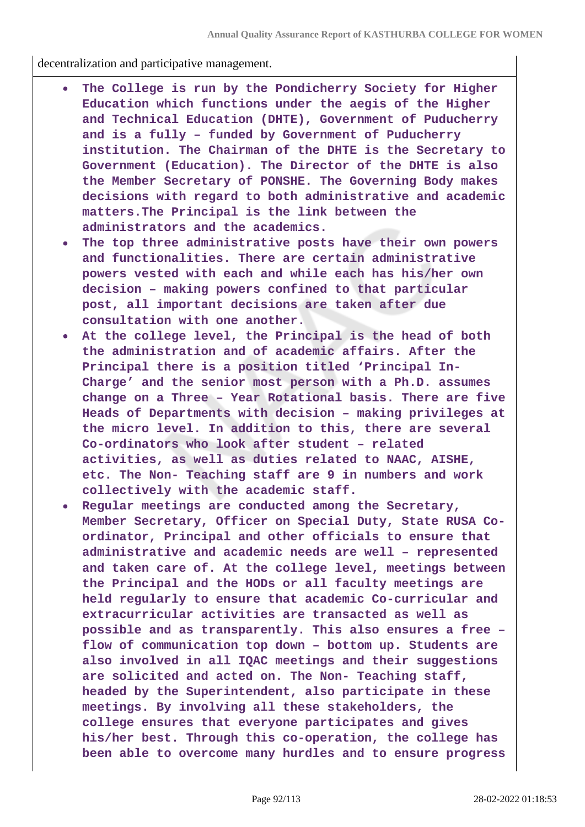decentralization and participative management.

- **The College is run by the Pondicherry Society for Higher Education which functions under the aegis of the Higher and Technical Education (DHTE), Government of Puducherry and is a fully – funded by Government of Puducherry institution. The Chairman of the DHTE is the Secretary to Government (Education). The Director of the DHTE is also the Member Secretary of PONSHE. The Governing Body makes decisions with regard to both administrative and academic matters.The Principal is the link between the administrators and the academics.**
- **The top three administrative posts have their own powers and functionalities. There are certain administrative powers vested with each and while each has his/her own decision – making powers confined to that particular post, all important decisions are taken after due consultation with one another.**
- **At the college level, the Principal is the head of both the administration and of academic affairs. After the Principal there is a position titled 'Principal In-Charge' and the senior most person with a Ph.D. assumes change on a Three – Year Rotational basis. There are five Heads of Departments with decision – making privileges at the micro level. In addition to this, there are several Co-ordinators who look after student – related activities, as well as duties related to NAAC, AISHE, etc. The Non- Teaching staff are 9 in numbers and work collectively with the academic staff.**
- **Regular meetings are conducted among the Secretary, Member Secretary, Officer on Special Duty, State RUSA Coordinator, Principal and other officials to ensure that administrative and academic needs are well – represented and taken care of. At the college level, meetings between the Principal and the HODs or all faculty meetings are held regularly to ensure that academic Co-curricular and extracurricular activities are transacted as well as possible and as transparently. This also ensures a free – flow of communication top down – bottom up. Students are also involved in all IQAC meetings and their suggestions are solicited and acted on. The Non- Teaching staff, headed by the Superintendent, also participate in these meetings. By involving all these stakeholders, the college ensures that everyone participates and gives his/her best. Through this co-operation, the college has been able to overcome many hurdles and to ensure progress**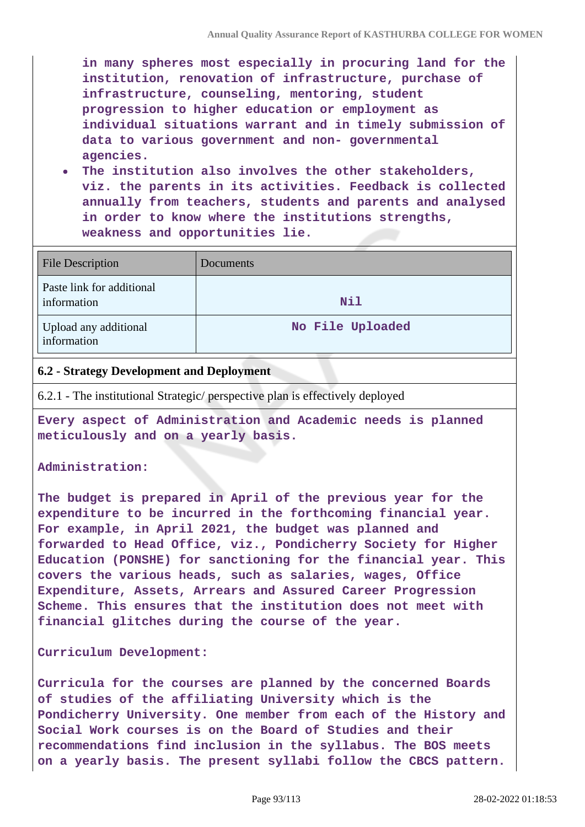**in many spheres most especially in procuring land for the institution, renovation of infrastructure, purchase of infrastructure, counseling, mentoring, student progression to higher education or employment as individual situations warrant and in timely submission of data to various government and non- governmental agencies.**

**The institution also involves the other stakeholders, viz. the parents in its activities. Feedback is collected annually from teachers, students and parents and analysed in order to know where the institutions strengths, weakness and opportunities lie.**

| <b>File Description</b>                  | Documents        |
|------------------------------------------|------------------|
| Paste link for additional<br>information | Nil              |
| Upload any additional<br>information     | No File Uploaded |

#### **6.2 - Strategy Development and Deployment**

6.2.1 - The institutional Strategic/ perspective plan is effectively deployed

**Every aspect of Administration and Academic needs is planned meticulously and on a yearly basis.**

#### **Administration:**

**The budget is prepared in April of the previous year for the expenditure to be incurred in the forthcoming financial year. For example, in April 2021, the budget was planned and forwarded to Head Office, viz., Pondicherry Society for Higher Education (PONSHE) for sanctioning for the financial year. This covers the various heads, such as salaries, wages, Office Expenditure, Assets, Arrears and Assured Career Progression Scheme. This ensures that the institution does not meet with financial glitches during the course of the year.**

#### **Curriculum Development:**

**Curricula for the courses are planned by the concerned Boards of studies of the affiliating University which is the Pondicherry University. One member from each of the History and Social Work courses is on the Board of Studies and their recommendations find inclusion in the syllabus. The BOS meets on a yearly basis. The present syllabi follow the CBCS pattern.**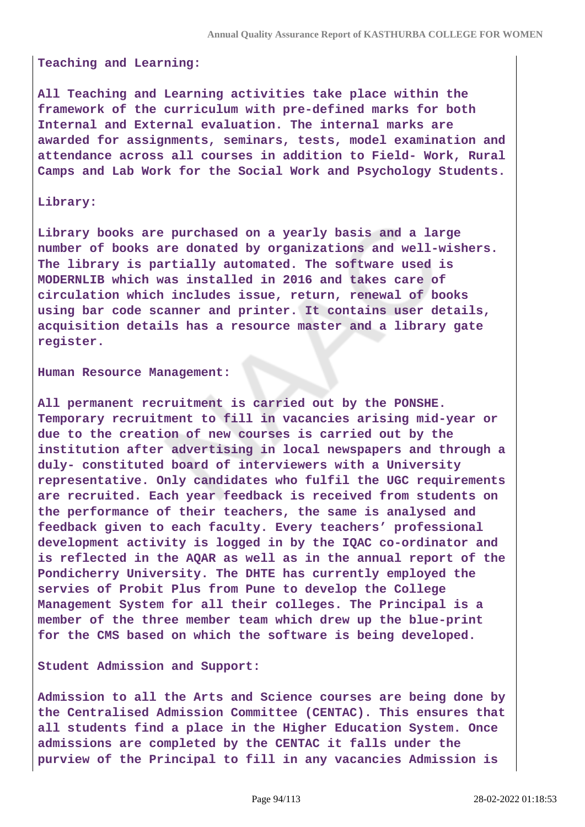#### **Teaching and Learning:**

**All Teaching and Learning activities take place within the framework of the curriculum with pre-defined marks for both Internal and External evaluation. The internal marks are awarded for assignments, seminars, tests, model examination and attendance across all courses in addition to Field- Work, Rural Camps and Lab Work for the Social Work and Psychology Students.**

#### **Library:**

**Library books are purchased on a yearly basis and a large number of books are donated by organizations and well-wishers. The library is partially automated. The software used is MODERNLIB which was installed in 2016 and takes care of circulation which includes issue, return, renewal of books using bar code scanner and printer. It contains user details, acquisition details has a resource master and a library gate register.**

#### **Human Resource Management:**

**All permanent recruitment is carried out by the PONSHE. Temporary recruitment to fill in vacancies arising mid-year or due to the creation of new courses is carried out by the institution after advertising in local newspapers and through a duly- constituted board of interviewers with a University representative. Only candidates who fulfil the UGC requirements are recruited. Each year feedback is received from students on the performance of their teachers, the same is analysed and feedback given to each faculty. Every teachers' professional development activity is logged in by the IQAC co-ordinator and is reflected in the AQAR as well as in the annual report of the Pondicherry University. The DHTE has currently employed the servies of Probit Plus from Pune to develop the College Management System for all their colleges. The Principal is a member of the three member team which drew up the blue-print for the CMS based on which the software is being developed.**

#### **Student Admission and Support:**

**Admission to all the Arts and Science courses are being done by the Centralised Admission Committee (CENTAC). This ensures that all students find a place in the Higher Education System. Once admissions are completed by the CENTAC it falls under the purview of the Principal to fill in any vacancies Admission is**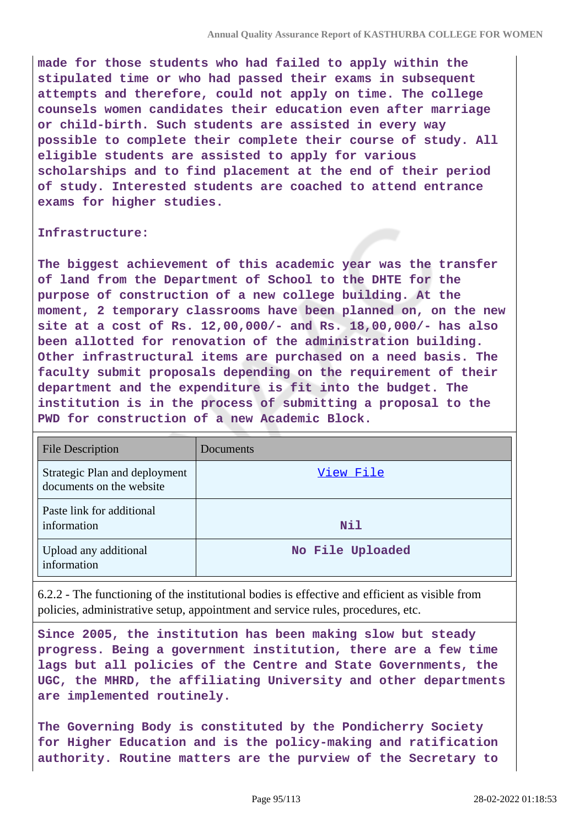**made for those students who had failed to apply within the stipulated time or who had passed their exams in subsequent attempts and therefore, could not apply on time. The college counsels women candidates their education even after marriage or child-birth. Such students are assisted in every way possible to complete their complete their course of study. All eligible students are assisted to apply for various scholarships and to find placement at the end of their period of study. Interested students are coached to attend entrance exams for higher studies.**

#### **Infrastructure:**

**The biggest achievement of this academic year was the transfer of land from the Department of School to the DHTE for the purpose of construction of a new college building. At the moment, 2 temporary classrooms have been planned on, on the new site at a cost of Rs. 12,00,000/- and Rs. 18,00,000/- has also been allotted for renovation of the administration building. Other infrastructural items are purchased on a need basis. The faculty submit proposals depending on the requirement of their department and the expenditure is fit into the budget. The institution is in the process of submitting a proposal to the PWD for construction of a new Academic Block.**

| <b>File Description</b>                                   | Documents        |
|-----------------------------------------------------------|------------------|
| Strategic Plan and deployment<br>documents on the website | View File        |
| Paste link for additional<br>information                  | <b>Nil</b>       |
| Upload any additional<br>information                      | No File Uploaded |

6.2.2 - The functioning of the institutional bodies is effective and efficient as visible from policies, administrative setup, appointment and service rules, procedures, etc.

**Since 2005, the institution has been making slow but steady progress. Being a government institution, there are a few time lags but all policies of the Centre and State Governments, the UGC, the MHRD, the affiliating University and other departments are implemented routinely.**

**The Governing Body is constituted by the Pondicherry Society for Higher Education and is the policy-making and ratification authority. Routine matters are the purview of the Secretary to**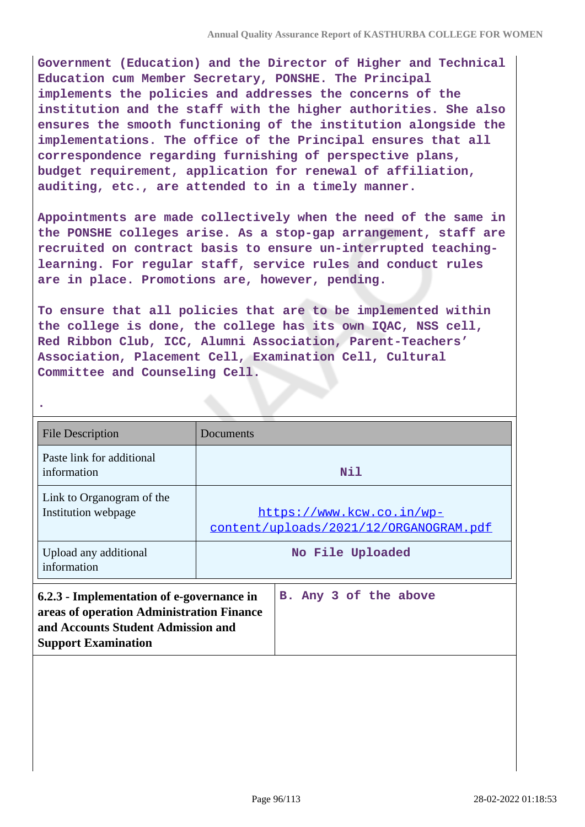**Government (Education) and the Director of Higher and Technical Education cum Member Secretary, PONSHE. The Principal implements the policies and addresses the concerns of the institution and the staff with the higher authorities. She also ensures the smooth functioning of the institution alongside the implementations. The office of the Principal ensures that all correspondence regarding furnishing of perspective plans, budget requirement, application for renewal of affiliation, auditing, etc., are attended to in a timely manner.**

**Appointments are made collectively when the need of the same in the PONSHE colleges arise. As a stop-gap arrangement, staff are recruited on contract basis to ensure un-interrupted teachinglearning. For regular staff, service rules and conduct rules are in place. Promotions are, however, pending.**

**To ensure that all policies that are to be implemented within the college is done, the college has its own IQAC, NSS cell, Red Ribbon Club, ICC, Alumni Association, Parent-Teachers' Association, Placement Cell, Examination Cell, Cultural Committee and Counseling Cell.**

**.**

| <b>File Description</b>                                                                                                                                    | Documents                                                           |
|------------------------------------------------------------------------------------------------------------------------------------------------------------|---------------------------------------------------------------------|
| Paste link for additional<br>information                                                                                                                   | Nil                                                                 |
| Link to Organogram of the<br>Institution webpage                                                                                                           | https://www.kcw.co.in/wp-<br>content/uploads/2021/12/ORGANOGRAM.pdf |
| Upload any additional<br>information                                                                                                                       | No File Uploaded                                                    |
| 6.2.3 - Implementation of e-governance in<br>areas of operation Administration Finance<br>and Accounts Student Admission and<br><b>Support Examination</b> | B. Any 3 of the above                                               |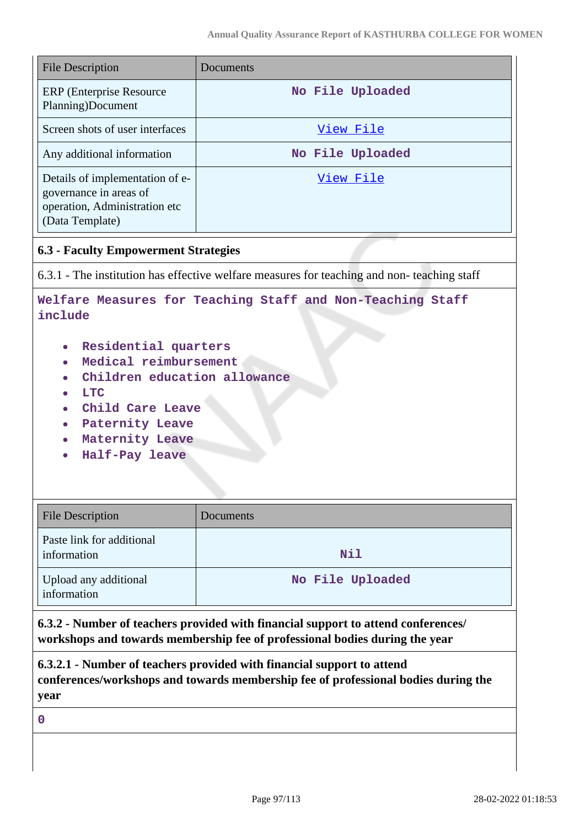| <b>File Description</b>                                                                                                                                                                     | Documents        |  |
|---------------------------------------------------------------------------------------------------------------------------------------------------------------------------------------------|------------------|--|
| <b>ERP</b> (Enterprise Resource)<br>Planning)Document                                                                                                                                       | No File Uploaded |  |
| Screen shots of user interfaces                                                                                                                                                             | View File        |  |
| Any additional information                                                                                                                                                                  | No File Uploaded |  |
| Details of implementation of e-<br>governance in areas of<br>operation, Administration etc<br>(Data Template)                                                                               | <u>View File</u> |  |
| <b>6.3 - Faculty Empowerment Strategies</b>                                                                                                                                                 |                  |  |
| 6.3.1 - The institution has effective welfare measures for teaching and non-teaching staff                                                                                                  |                  |  |
| Welfare Measures for Teaching Staff and Non-Teaching Staff<br>include                                                                                                                       |                  |  |
| Residential quarters<br>$\bullet$<br>Medical reimbursement<br>Children education allowance<br><b>LTC</b><br>Child Care Leave<br><b>Paternity Leave</b><br>Maternity Leave<br>Half-Pay leave |                  |  |
| <b>File Description</b>                                                                                                                                                                     | Documents        |  |
| Paste link for additional<br>information                                                                                                                                                    | Nil              |  |
| Upload any additional<br>information                                                                                                                                                        | No File Uploaded |  |
| 6.3.2 - Number of teachers provided with financial support to attend conferences/<br>workshops and towards membership fee of professional bodies during the year                            |                  |  |
| 6.3.2.1 - Number of teachers provided with financial support to attend<br>conferences/workshops and towards membership fee of professional bodies during the<br>year                        |                  |  |
| $\mathbf 0$                                                                                                                                                                                 |                  |  |
|                                                                                                                                                                                             |                  |  |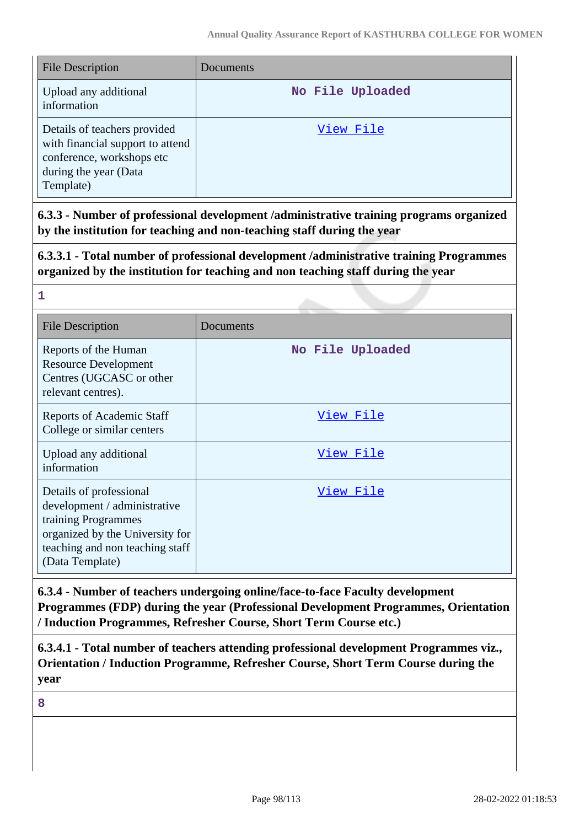| <b>File Description</b>                                                                                                             | Documents        |
|-------------------------------------------------------------------------------------------------------------------------------------|------------------|
| Upload any additional<br>information                                                                                                | No File Uploaded |
| Details of teachers provided<br>with financial support to attend<br>conference, workshops etc<br>during the year (Data<br>Template) | View File        |

**6.3.3 - Number of professional development /administrative training programs organized by the institution for teaching and non-teaching staff during the year**

**6.3.3.1 - Total number of professional development /administrative training Programmes organized by the institution for teaching and non teaching staff during the year**

**1**

| <b>File Description</b>                                                                                                                                                 | Documents        |
|-------------------------------------------------------------------------------------------------------------------------------------------------------------------------|------------------|
| Reports of the Human<br><b>Resource Development</b><br>Centres (UGCASC or other<br>relevant centres).                                                                   | No File Uploaded |
| Reports of Academic Staff<br>College or similar centers                                                                                                                 | View File        |
| Upload any additional<br>information                                                                                                                                    | View File        |
| Details of professional<br>development / administrative<br>training Programmes<br>organized by the University for<br>teaching and non teaching staff<br>(Data Template) | View File        |

**6.3.4 - Number of teachers undergoing online/face-to-face Faculty development Programmes (FDP) during the year (Professional Development Programmes, Orientation / Induction Programmes, Refresher Course, Short Term Course etc.)**

**6.3.4.1 - Total number of teachers attending professional development Programmes viz., Orientation / Induction Programme, Refresher Course, Short Term Course during the year**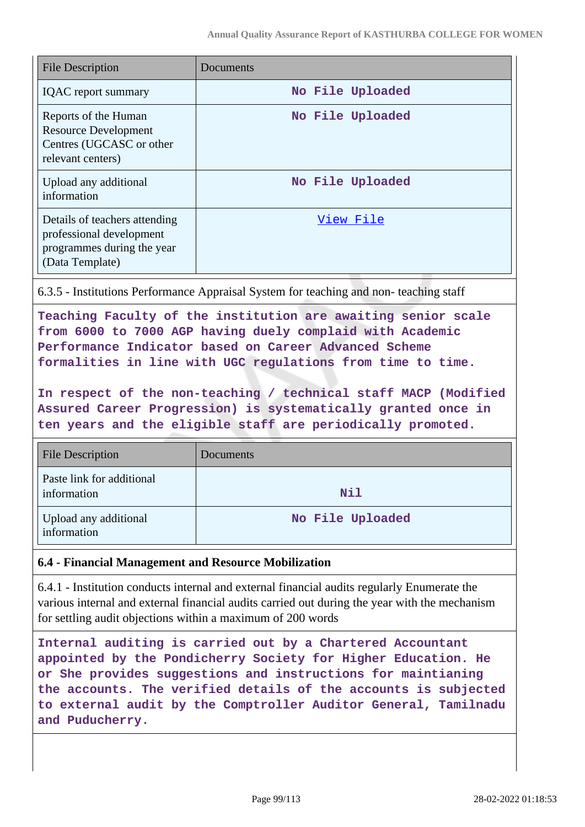| <b>File Description</b>                                                                                    | Documents        |
|------------------------------------------------------------------------------------------------------------|------------------|
| <b>IQAC</b> report summary                                                                                 | No File Uploaded |
| Reports of the Human<br><b>Resource Development</b><br>Centres (UGCASC or other<br>relevant centers)       | No File Uploaded |
| Upload any additional<br>information                                                                       | No File Uploaded |
| Details of teachers attending<br>professional development<br>programmes during the year<br>(Data Template) | View File        |

6.3.5 - Institutions Performance Appraisal System for teaching and non- teaching staff

**Teaching Faculty of the institution are awaiting senior scale from 6000 to 7000 AGP having duely complaid with Academic Performance Indicator based on Career Advanced Scheme formalities in line with UGC regulations from time to time.**

**In respect of the non-teaching / technical staff MACP (Modified Assured Career Progression) is systematically granted once in ten years and the eligible staff are periodically promoted.**

| <b>File Description</b>                  | Documents        |
|------------------------------------------|------------------|
| Paste link for additional<br>information | Nil              |
| Upload any additional<br>information     | No File Uploaded |

## **6.4 - Financial Management and Resource Mobilization**

6.4.1 - Institution conducts internal and external financial audits regularly Enumerate the various internal and external financial audits carried out during the year with the mechanism for settling audit objections within a maximum of 200 words

**Internal auditing is carried out by a Chartered Accountant appointed by the Pondicherry Society for Higher Education. He or She provides suggestions and instructions for maintianing the accounts. The verified details of the accounts is subjected to external audit by the Comptroller Auditor General, Tamilnadu and Puducherry.**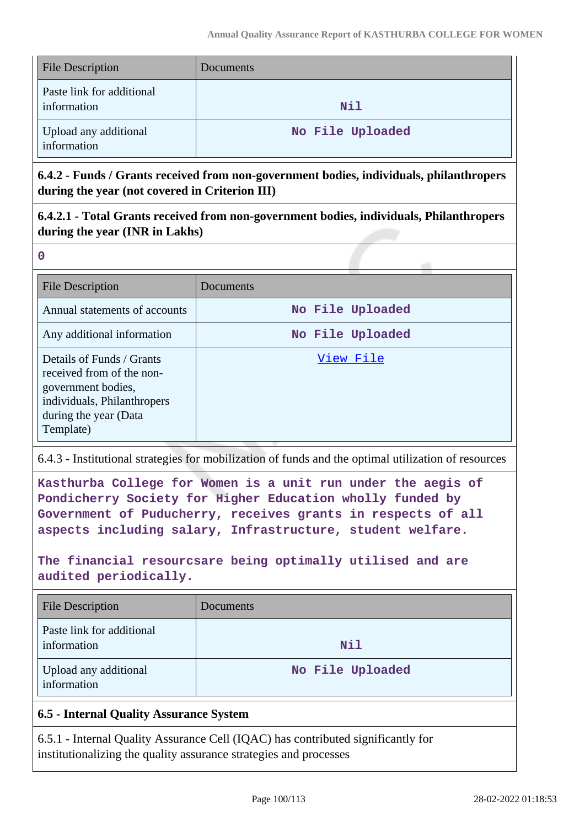| <b>File Description</b>                  | Documents        |
|------------------------------------------|------------------|
| Paste link for additional<br>information | Nil              |
| Upload any additional<br>information     | No File Uploaded |

**6.4.2 - Funds / Grants received from non-government bodies, individuals, philanthropers during the year (not covered in Criterion III)**

**6.4.2.1 - Total Grants received from non-government bodies, individuals, Philanthropers during the year (INR in Lakhs)**

**0**

| <b>File Description</b>                                                                                                                           | Documents        |
|---------------------------------------------------------------------------------------------------------------------------------------------------|------------------|
| Annual statements of accounts                                                                                                                     | No File Uploaded |
| Any additional information                                                                                                                        | No File Uploaded |
| Details of Funds / Grants<br>received from of the non-<br>government bodies,<br>individuals, Philanthropers<br>during the year (Data<br>Template) | View File        |

6.4.3 - Institutional strategies for mobilization of funds and the optimal utilization of resources

**Kasthurba College for Women is a unit run under the aegis of Pondicherry Society for Higher Education wholly funded by Government of Puducherry, receives grants in respects of all aspects including salary, Infrastructure, student welfare.**

**The financial resourcsare being optimally utilised and are audited periodically.**

| <b>File Description</b>                  | Documents        |
|------------------------------------------|------------------|
| Paste link for additional<br>information | Nil              |
| Upload any additional<br>information     | No File Uploaded |

## **6.5 - Internal Quality Assurance System**

6.5.1 - Internal Quality Assurance Cell (IQAC) has contributed significantly for institutionalizing the quality assurance strategies and processes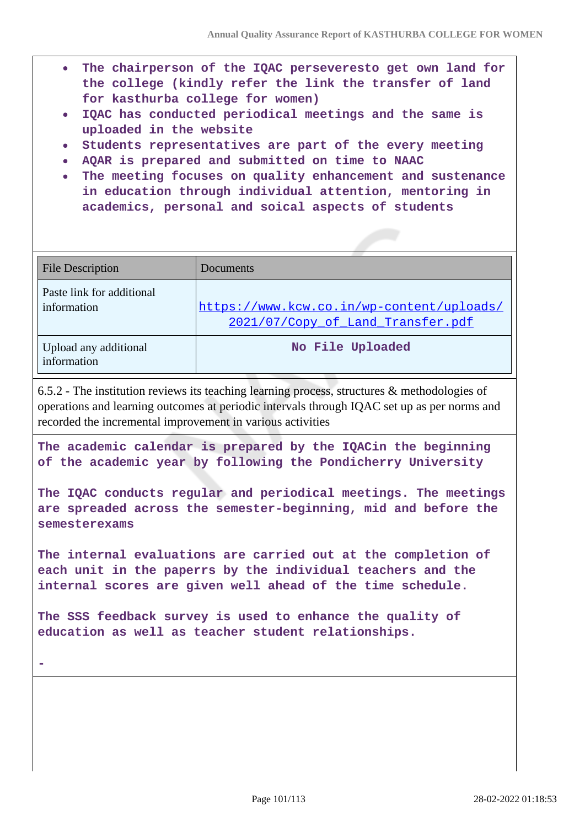- **The chairperson of the IQAC perseveresto get own land for the college (kindly refer the link the transfer of land for kasthurba college for women)**
- **IQAC has conducted periodical meetings and the same is uploaded in the website**
- **Students representatives are part of the every meeting**
- **AQAR is prepared and submitted on time to NAAC**
- **The meeting focuses on quality enhancement and sustenance in education through individual attention, mentoring in academics, personal and soical aspects of students**

| <b>File Description</b>                  | Documents                                                                      |
|------------------------------------------|--------------------------------------------------------------------------------|
| Paste link for additional<br>information | https://www.kcw.co.in/wp-content/uploads/<br>2021/07/Copy of Land Transfer.pdf |
| Upload any additional<br>information     | No File Uploaded                                                               |

6.5.2 - The institution reviews its teaching learning process, structures & methodologies of operations and learning outcomes at periodic intervals through IQAC set up as per norms and recorded the incremental improvement in various activities

**The academic calendar is prepared by the IQACin the beginning of the academic year by following the Pondicherry University**

**The IQAC conducts regular and periodical meetings. The meetings are spreaded across the semester-beginning, mid and before the semesterexams**

**The internal evaluations are carried out at the completion of each unit in the paperrs by the individual teachers and the internal scores are given well ahead of the time schedule.**

**The SSS feedback survey is used to enhance the quality of education as well as teacher student relationships.**

**-**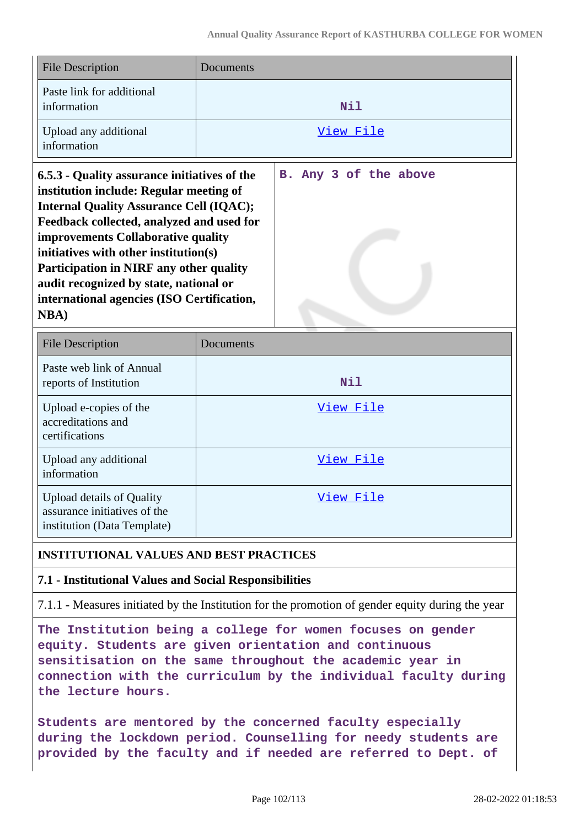| <b>File Description</b>                                                                                                                                                                                                                                                                                                                                                                                                         | Documents |                       |
|---------------------------------------------------------------------------------------------------------------------------------------------------------------------------------------------------------------------------------------------------------------------------------------------------------------------------------------------------------------------------------------------------------------------------------|-----------|-----------------------|
| Paste link for additional<br>information                                                                                                                                                                                                                                                                                                                                                                                        |           | Nil                   |
| Upload any additional<br>information                                                                                                                                                                                                                                                                                                                                                                                            |           | <u>View File</u>      |
| 6.5.3 - Quality assurance initiatives of the<br>institution include: Regular meeting of<br><b>Internal Quality Assurance Cell (IQAC);</b><br>Feedback collected, analyzed and used for<br>improvements Collaborative quality<br>initiatives with other institution(s)<br><b>Participation in NIRF any other quality</b><br>audit recognized by state, national or<br>international agencies (ISO Certification,<br><b>NBA</b> ) |           | B. Any 3 of the above |
| <b>File Description</b>                                                                                                                                                                                                                                                                                                                                                                                                         | Documents |                       |

| <b>File Description</b>                                                                         | Documents |
|-------------------------------------------------------------------------------------------------|-----------|
| Paste web link of Annual<br>reports of Institution                                              | Nil       |
| Upload e-copies of the<br>accreditations and<br>certifications                                  | View File |
| Upload any additional<br>information                                                            | View File |
| <b>Upload details of Quality</b><br>assurance initiatives of the<br>institution (Data Template) | View File |

## **INSTITUTIONAL VALUES AND BEST PRACTICES**

## **7.1 - Institutional Values and Social Responsibilities**

7.1.1 - Measures initiated by the Institution for the promotion of gender equity during the year

**The Institution being a college for women focuses on gender equity. Students are given orientation and continuous sensitisation on the same throughout the academic year in connection with the curriculum by the individual faculty during the lecture hours.**

**Students are mentored by the concerned faculty especially during the lockdown period. Counselling for needy students are provided by the faculty and if needed are referred to Dept. of**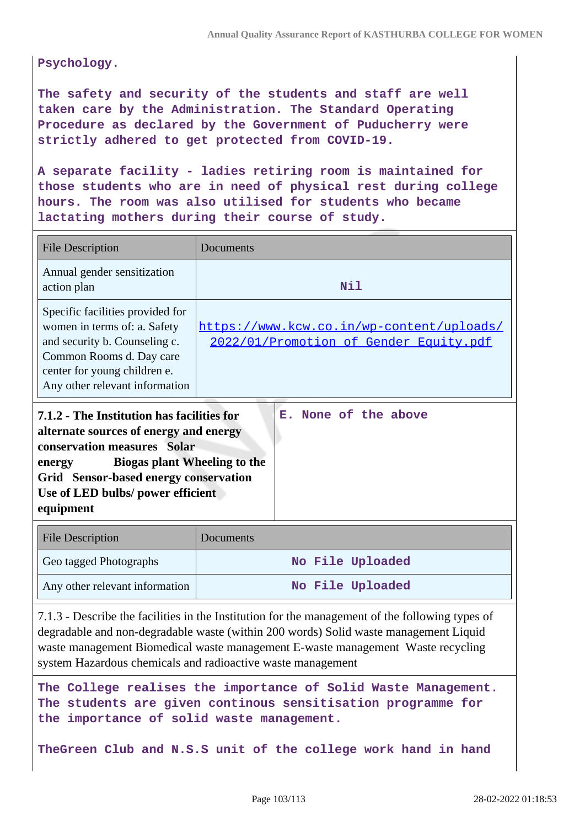**Psychology.**

**The safety and security of the students and staff are well taken care by the Administration. The Standard Operating Procedure as declared by the Government of Puducherry were strictly adhered to get protected from COVID-19.**

**A separate facility - ladies retiring room is maintained for those students who are in need of physical rest during college hours. The room was also utilised for students who became lactating mothers during their course of study.**

| <b>File Description</b>                                                                                                                                                                         | Documents                                                                           |
|-------------------------------------------------------------------------------------------------------------------------------------------------------------------------------------------------|-------------------------------------------------------------------------------------|
| Annual gender sensitization<br>action plan                                                                                                                                                      | Nil                                                                                 |
| Specific facilities provided for<br>women in terms of: a. Safety<br>and security b. Counseling c.<br>Common Rooms d. Day care<br>center for young children e.<br>Any other relevant information | https://www.kcw.co.in/wp-content/uploads/<br>2022/01/Promotion of Gender Equity.pdf |
| 7.1.2 - The Institution has facilities for<br>alternate sources of energy and energy<br>conservation measures Solar<br><b>Biogas plant Wheeling to the</b><br>energy                            | E. None of the above                                                                |

**Grid Sensor-based energy conservation Use of LED bulbs/ power efficient equipment** 

| <b>File Description</b>        | Documents        |
|--------------------------------|------------------|
| Geo tagged Photographs         | No File Uploaded |
| Any other relevant information | No File Uploaded |

7.1.3 - Describe the facilities in the Institution for the management of the following types of degradable and non-degradable waste (within 200 words) Solid waste management Liquid waste management Biomedical waste management E-waste management Waste recycling system Hazardous chemicals and radioactive waste management

**The College realises the importance of Solid Waste Management. The students are given continous sensitisation programme for the importance of solid waste management.**

**TheGreen Club and N.S.S unit of the college work hand in hand**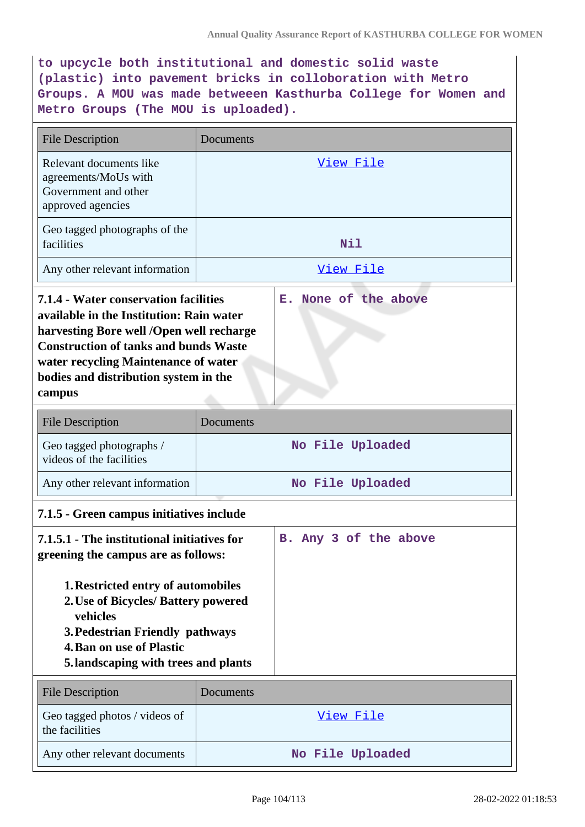**to upcycle both institutional and domestic solid waste (plastic) into pavement bricks in colloboration with Metro Groups. A MOU was made betweeen Kasthurba College for Women and Metro Groups (The MOU is uploaded).**

| <b>File Description</b>                                                                                                                                                                                                                                                                                           | Documents        |  |
|-------------------------------------------------------------------------------------------------------------------------------------------------------------------------------------------------------------------------------------------------------------------------------------------------------------------|------------------|--|
| Relevant documents like<br>agreements/MoUs with<br>Government and other<br>approved agencies                                                                                                                                                                                                                      | View File        |  |
| Geo tagged photographs of the<br>facilities                                                                                                                                                                                                                                                                       | Nil              |  |
| Any other relevant information                                                                                                                                                                                                                                                                                    | View File        |  |
| None of the above<br>7.1.4 - Water conservation facilities<br>Е.<br>available in the Institution: Rain water<br>harvesting Bore well /Open well recharge<br><b>Construction of tanks and bunds Waste</b><br>water recycling Maintenance of water<br>bodies and distribution system in the<br>campus               |                  |  |
| <b>File Description</b>                                                                                                                                                                                                                                                                                           | Documents        |  |
| Geo tagged photographs /<br>videos of the facilities                                                                                                                                                                                                                                                              | No File Uploaded |  |
| Any other relevant information                                                                                                                                                                                                                                                                                    | No File Uploaded |  |
| 7.1.5 - Green campus initiatives include                                                                                                                                                                                                                                                                          |                  |  |
| 7.1.5.1 - The institutional initiatives for<br>B. Any 3 of the above<br>greening the campus are as follows:<br>1. Restricted entry of automobiles<br>2. Use of Bicycles/ Battery powered<br>vehicles<br>3. Pedestrian Friendly pathways<br><b>4. Ban on use of Plastic</b><br>5.landscaping with trees and plants |                  |  |
| <b>File Description</b>                                                                                                                                                                                                                                                                                           | Documents        |  |
| Geo tagged photos / videos of<br>the facilities                                                                                                                                                                                                                                                                   | View File        |  |
| Any other relevant documents                                                                                                                                                                                                                                                                                      | No File Uploaded |  |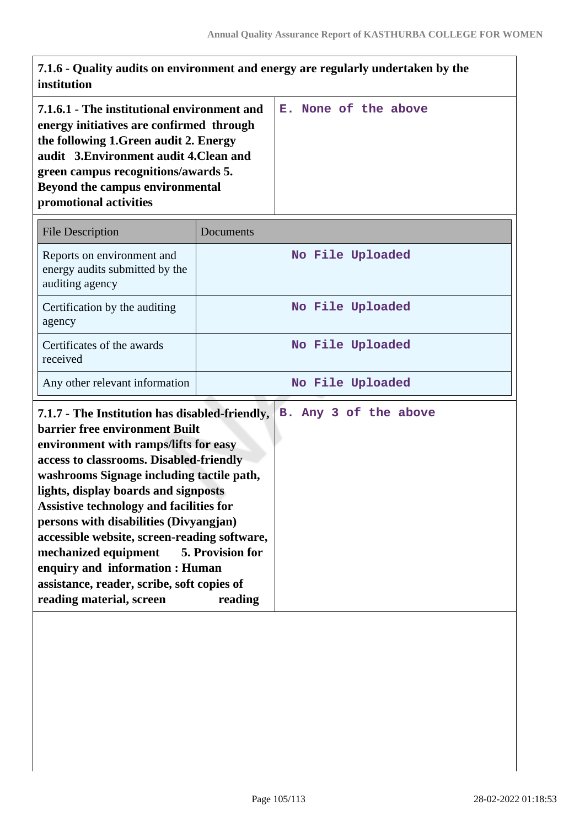| 7.1.6 - Quality audits on environment and energy are regularly undertaken by the<br>institution                                                                                                                                                                                                                                                                                                                                                                                                                                                                           |           |                       |  |  |
|---------------------------------------------------------------------------------------------------------------------------------------------------------------------------------------------------------------------------------------------------------------------------------------------------------------------------------------------------------------------------------------------------------------------------------------------------------------------------------------------------------------------------------------------------------------------------|-----------|-----------------------|--|--|
| 7.1.6.1 - The institutional environment and<br>energy initiatives are confirmed through<br>the following 1.Green audit 2. Energy<br>audit 3. Environment audit 4. Clean and<br>green campus recognitions/awards 5.<br>Beyond the campus environmental<br>promotional activities                                                                                                                                                                                                                                                                                           |           | E. None of the above  |  |  |
| <b>File Description</b>                                                                                                                                                                                                                                                                                                                                                                                                                                                                                                                                                   | Documents |                       |  |  |
| Reports on environment and<br>energy audits submitted by the<br>auditing agency                                                                                                                                                                                                                                                                                                                                                                                                                                                                                           |           | No File Uploaded      |  |  |
| Certification by the auditing<br>agency                                                                                                                                                                                                                                                                                                                                                                                                                                                                                                                                   |           | No File Uploaded      |  |  |
| Certificates of the awards<br>received                                                                                                                                                                                                                                                                                                                                                                                                                                                                                                                                    |           | No File Uploaded      |  |  |
| Any other relevant information                                                                                                                                                                                                                                                                                                                                                                                                                                                                                                                                            |           | No File Uploaded      |  |  |
| 7.1.7 - The Institution has disabled-friendly,<br>barrier free environment Built<br>environment with ramps/lifts for easy<br>access to classrooms. Disabled-friendly<br>washrooms Signage including tactile path,<br>lights, display boards and signposts<br><b>Assistive technology and facilities for</b><br>persons with disabilities (Divyangjan)<br>accessible website, screen-reading software,<br>mechanized equipment<br>5. Provision for<br>enquiry and information : Human<br>assistance, reader, scribe, soft copies of<br>reading material, screen<br>reading |           | B. Any 3 of the above |  |  |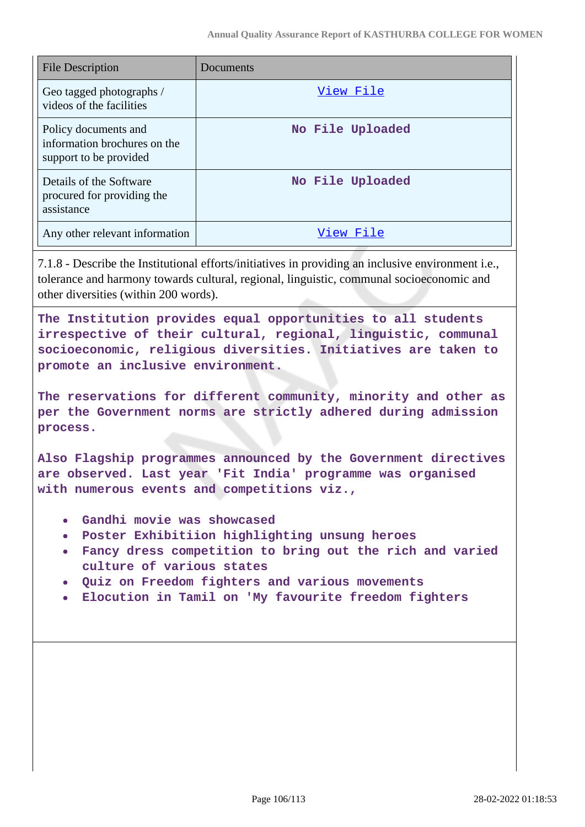| <b>File Description</b>                                                        | Documents        |
|--------------------------------------------------------------------------------|------------------|
| Geo tagged photographs /<br>videos of the facilities                           | View File        |
| Policy documents and<br>information brochures on the<br>support to be provided | No File Uploaded |
| Details of the Software<br>procured for providing the<br>assistance            | No File Uploaded |
| Any other relevant information                                                 | View File        |

7.1.8 - Describe the Institutional efforts/initiatives in providing an inclusive environment i.e., tolerance and harmony towards cultural, regional, linguistic, communal socioeconomic and other diversities (within 200 words).

**The Institution provides equal opportunities to all students irrespective of their cultural, regional, linguistic, communal socioeconomic, religious diversities. Initiatives are taken to promote an inclusive environment.**

**The reservations for different community, minority and other as per the Government norms are strictly adhered during admission process.**

**Also Flagship programmes announced by the Government directives are observed. Last year 'Fit India' programme was organised with numerous events and competitions viz.,**

- **Gandhi movie was showcased**
- **Poster Exhibitiion highlighting unsung heroes**
- **Fancy dress competition to bring out the rich and varied culture of various states**
- **Quiz on Freedom fighters and various movements**
- **Elocution in Tamil on 'My favourite freedom fighters**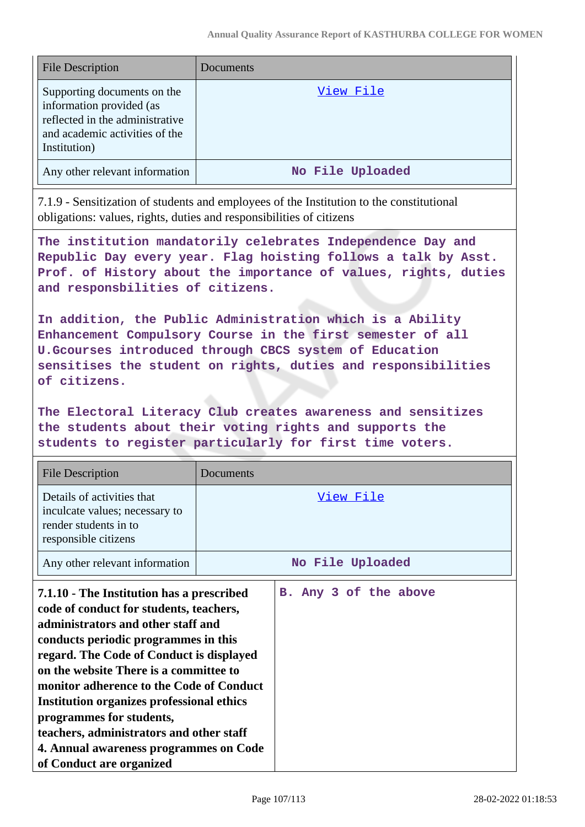| <b>File Description</b>                                                                                                                      | Documents        |
|----------------------------------------------------------------------------------------------------------------------------------------------|------------------|
| Supporting documents on the<br>information provided (as<br>reflected in the administrative<br>and academic activities of the<br>Institution) | View File        |
| Any other relevant information                                                                                                               | No File Uploaded |

7.1.9 - Sensitization of students and employees of the Institution to the constitutional obligations: values, rights, duties and responsibilities of citizens

**The institution mandatorily celebrates Independence Day and Republic Day every year. Flag hoisting follows a talk by Asst. Prof. of History about the importance of values, rights, duties and responsbilities of citizens.**

**In addition, the Public Administration which is a Ability Enhancement Compulsory Course in the first semester of all U.Gcourses introduced through CBCS system of Education sensitises the student on rights, duties and responsibilities of citizens.**

**The Electoral Literacy Club creates awareness and sensitizes the students about their voting rights and supports the students to register particularly for first time voters.**

| <b>File Description</b>                                                                                                                                                                                                                                                                                                                                                                                                                                                                                | Documents |                       |
|--------------------------------------------------------------------------------------------------------------------------------------------------------------------------------------------------------------------------------------------------------------------------------------------------------------------------------------------------------------------------------------------------------------------------------------------------------------------------------------------------------|-----------|-----------------------|
| Details of activities that<br>inculcate values; necessary to<br>render students in to<br>responsible citizens                                                                                                                                                                                                                                                                                                                                                                                          |           | View File             |
| Any other relevant information                                                                                                                                                                                                                                                                                                                                                                                                                                                                         |           | No File Uploaded      |
| 7.1.10 - The Institution has a prescribed<br>code of conduct for students, teachers,<br>administrators and other staff and<br>conducts periodic programmes in this<br>regard. The Code of Conduct is displayed<br>on the website There is a committee to<br>monitor adherence to the Code of Conduct<br><b>Institution organizes professional ethics</b><br>programmes for students,<br>teachers, administrators and other staff<br>4. Annual awareness programmes on Code<br>of Conduct are organized |           | B. Any 3 of the above |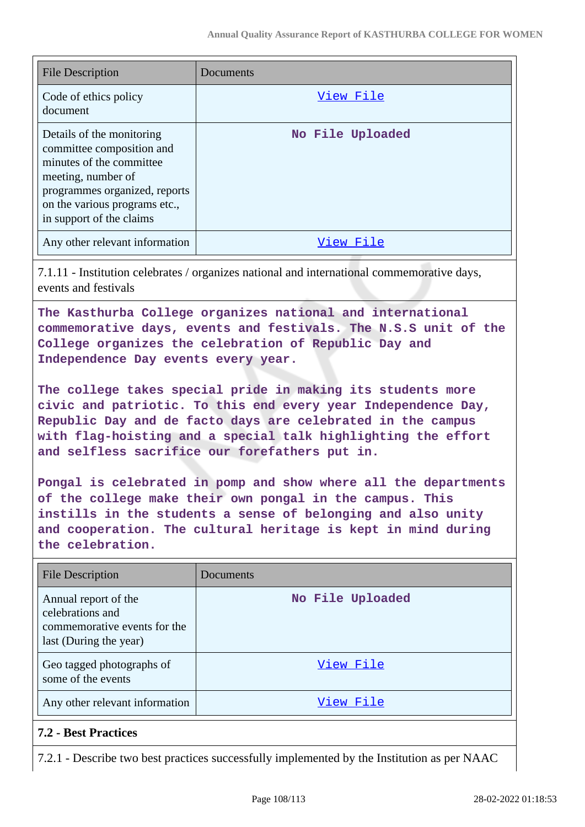| <b>File Description</b>                                                                                                                                                                                | Documents        |
|--------------------------------------------------------------------------------------------------------------------------------------------------------------------------------------------------------|------------------|
| Code of ethics policy<br>document                                                                                                                                                                      | View File        |
| Details of the monitoring<br>committee composition and<br>minutes of the committee<br>meeting, number of<br>programmes organized, reports<br>on the various programs etc.,<br>in support of the claims | No File Uploaded |
| Any other relevant information                                                                                                                                                                         | File<br>View     |

7.1.11 - Institution celebrates / organizes national and international commemorative days, events and festivals

**The Kasthurba College organizes national and international commemorative days, events and festivals. The N.S.S unit of the College organizes the celebration of Republic Day and Independence Day events every year.**

**The college takes special pride in making its students more civic and patriotic. To this end every year Independence Day, Republic Day and de facto days are celebrated in the campus with flag-hoisting and a special talk highlighting the effort and selfless sacrifice our forefathers put in.**

**Pongal is celebrated in pomp and show where all the departments of the college make their own pongal in the campus. This instills in the students a sense of belonging and also unity and cooperation. The cultural heritage is kept in mind during the celebration.**

| <b>File Description</b>                                                                            | Documents        |
|----------------------------------------------------------------------------------------------------|------------------|
| Annual report of the<br>celebrations and<br>commemorative events for the<br>last (During the year) | No File Uploaded |
| Geo tagged photographs of<br>some of the events                                                    | View File        |
| Any other relevant information                                                                     | View File        |

## **7.2 - Best Practices**

7.2.1 - Describe two best practices successfully implemented by the Institution as per NAAC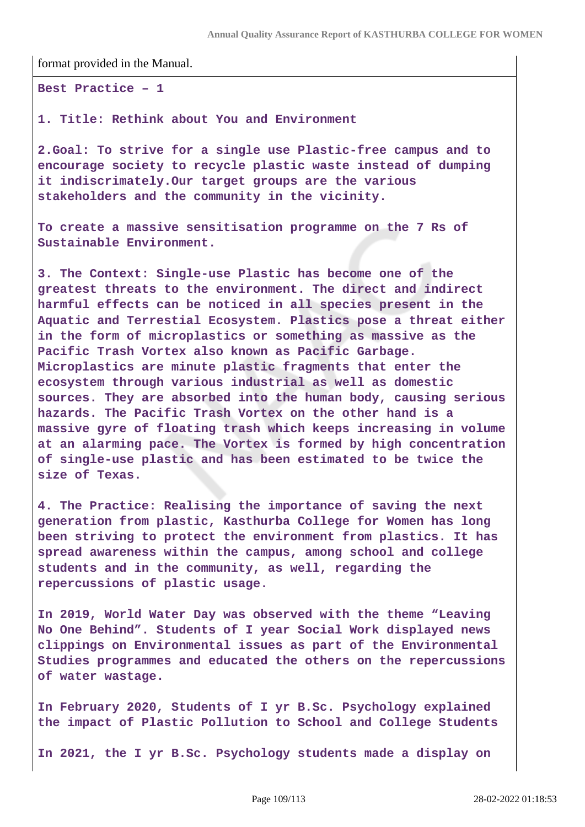format provided in the Manual.

**Best Practice – 1**

**1. Title: Rethink about You and Environment**

**2.Goal: To strive for a single use Plastic-free campus and to encourage society to recycle plastic waste instead of dumping it indiscrimately.Our target groups are the various stakeholders and the community in the vicinity.**

**To create a massive sensitisation programme on the 7 Rs of Sustainable Environment.**

**3. The Context: Single-use Plastic has become one of the greatest threats to the environment. The direct and indirect harmful effects can be noticed in all species present in the Aquatic and Terrestial Ecosystem. Plastics pose a threat either in the form of microplastics or something as massive as the Pacific Trash Vortex also known as Pacific Garbage. Microplastics are minute plastic fragments that enter the ecosystem through various industrial as well as domestic sources. They are absorbed into the human body, causing serious hazards. The Pacific Trash Vortex on the other hand is a massive gyre of floating trash which keeps increasing in volume at an alarming pace. The Vortex is formed by high concentration of single-use plastic and has been estimated to be twice the size of Texas.**

**4. The Practice: Realising the importance of saving the next generation from plastic, Kasthurba College for Women has long been striving to protect the environment from plastics. It has spread awareness within the campus, among school and college students and in the community, as well, regarding the repercussions of plastic usage.**

**In 2019, World Water Day was observed with the theme "Leaving No One Behind". Students of I year Social Work displayed news clippings on Environmental issues as part of the Environmental Studies programmes and educated the others on the repercussions of water wastage.**

**In February 2020, Students of I yr B.Sc. Psychology explained the impact of Plastic Pollution to School and College Students**

**In 2021, the I yr B.Sc. Psychology students made a display on**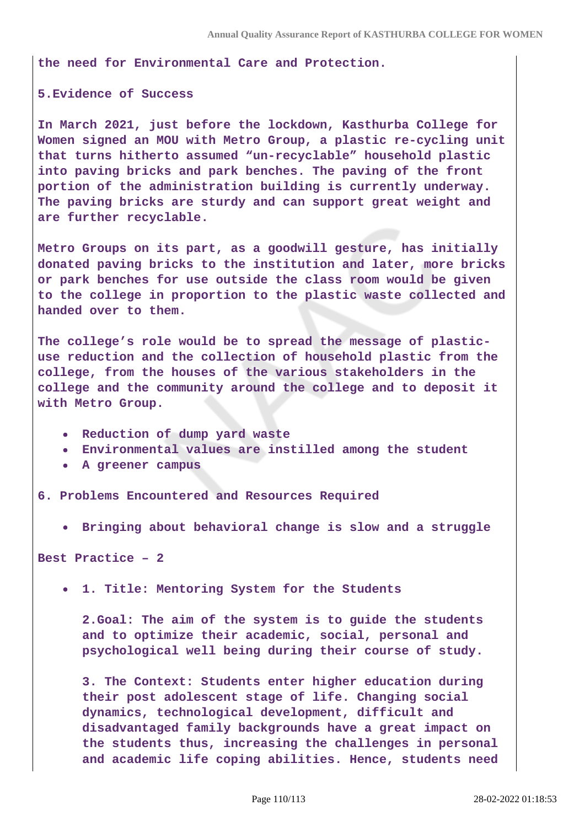**the need for Environmental Care and Protection.**

## **5.Evidence of Success**

**In March 2021, just before the lockdown, Kasthurba College for Women signed an MOU with Metro Group, a plastic re-cycling unit that turns hitherto assumed "un-recyclable" household plastic into paving bricks and park benches. The paving of the front portion of the administration building is currently underway. The paving bricks are sturdy and can support great weight and are further recyclable.**

**Metro Groups on its part, as a goodwill gesture, has initially donated paving bricks to the institution and later, more bricks or park benches for use outside the class room would be given to the college in proportion to the plastic waste collected and handed over to them.**

**The college's role would be to spread the message of plasticuse reduction and the collection of household plastic from the college, from the houses of the various stakeholders in the college and the community around the college and to deposit it with Metro Group.**

- **Reduction of dump yard waste**
- **Environmental values are instilled among the student**
- **A greener campus**

**6. Problems Encountered and Resources Required** 

**Bringing about behavioral change is slow and a struggle**

**Best Practice – 2**

**1. Title: Mentoring System for the Students** 

**2.Goal: The aim of the system is to guide the students and to optimize their academic, social, personal and psychological well being during their course of study.**

**3. The Context: Students enter higher education during their post adolescent stage of life. Changing social dynamics, technological development, difficult and disadvantaged family backgrounds have a great impact on the students thus, increasing the challenges in personal and academic life coping abilities. Hence, students need**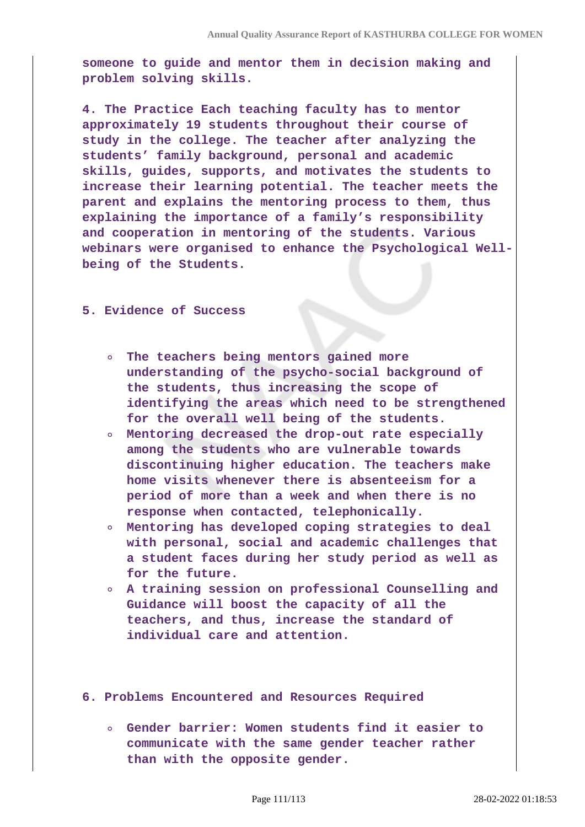**someone to guide and mentor them in decision making and problem solving skills.**

**4. The Practice Each teaching faculty has to mentor approximately 19 students throughout their course of study in the college. The teacher after analyzing the students' family background, personal and academic skills, guides, supports, and motivates the students to increase their learning potential. The teacher meets the parent and explains the mentoring process to them, thus explaining the importance of a family's responsibility and cooperation in mentoring of the students. Various webinars were organised to enhance the Psychological Wellbeing of the Students.**

## **5. Evidence of Success**

- **The teachers being mentors gained more understanding of the psycho-social background of the students, thus increasing the scope of identifying the areas which need to be strengthened for the overall well being of the students.**
- **Mentoring decreased the drop-out rate especially among the students who are vulnerable towards discontinuing higher education. The teachers make home visits whenever there is absenteeism for a period of more than a week and when there is no response when contacted, telephonically.**
- **Mentoring has developed coping strategies to deal with personal, social and academic challenges that a student faces during her study period as well as for the future.**
- **A training session on professional Counselling and Guidance will boost the capacity of all the teachers, and thus, increase the standard of individual care and attention.**
- **6. Problems Encountered and Resources Required** 
	- **Gender barrier: Women students find it easier to communicate with the same gender teacher rather than with the opposite gender.**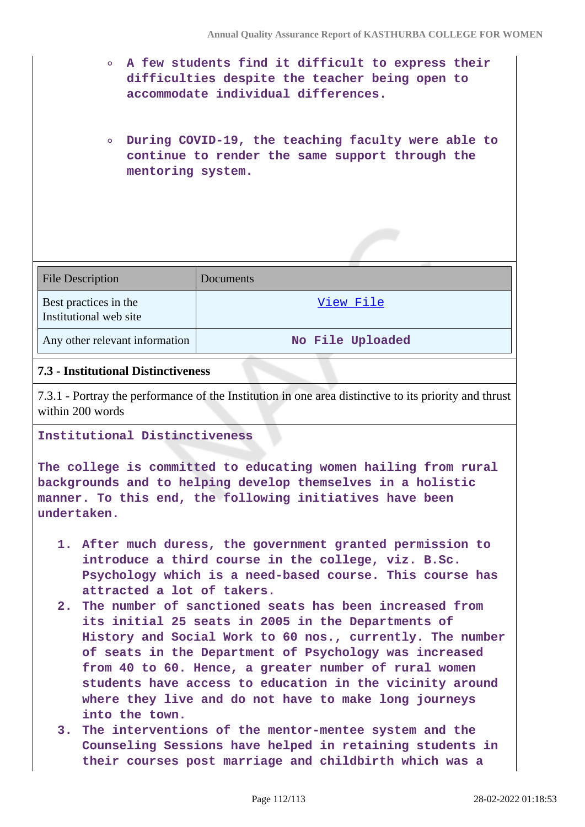- **A few students find it difficult to express their difficulties despite the teacher being open to accommodate individual differences.**
- **During COVID-19, the teaching faculty were able to continue to render the same support through the mentoring system.**

| <b>File Description</b>                         | <b>Documents</b> |
|-------------------------------------------------|------------------|
| Best practices in the<br>Institutional web site | View File        |
| Any other relevant information                  | No File Uploaded |

## **7.3 - Institutional Distinctiveness**

7.3.1 - Portray the performance of the Institution in one area distinctive to its priority and thrust within 200 words

## **Institutional Distinctiveness**

**The college is committed to educating women hailing from rural backgrounds and to helping develop themselves in a holistic manner. To this end, the following initiatives have been undertaken.**

- **1. After much duress, the government granted permission to introduce a third course in the college, viz. B.Sc. Psychology which is a need-based course. This course has attracted a lot of takers.**
- **2. The number of sanctioned seats has been increased from its initial 25 seats in 2005 in the Departments of History and Social Work to 60 nos., currently. The number of seats in the Department of Psychology was increased from 40 to 60. Hence, a greater number of rural women students have access to education in the vicinity around where they live and do not have to make long journeys into the town.**
- **3. The interventions of the mentor-mentee system and the Counseling Sessions have helped in retaining students in their courses post marriage and childbirth which was a**